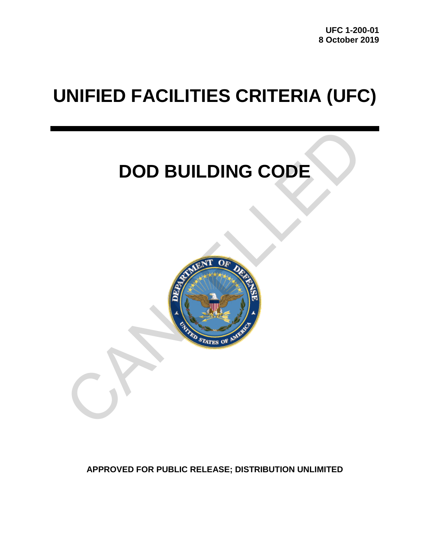**UFC 1-200-01 8 October 2019**

# **UNIFIED FACILITIES CRITERIA (UFC)**

# **DOD BUILDING CODE**



**APPROVED FOR PUBLIC RELEASE; DISTRIBUTION UNLIMITED**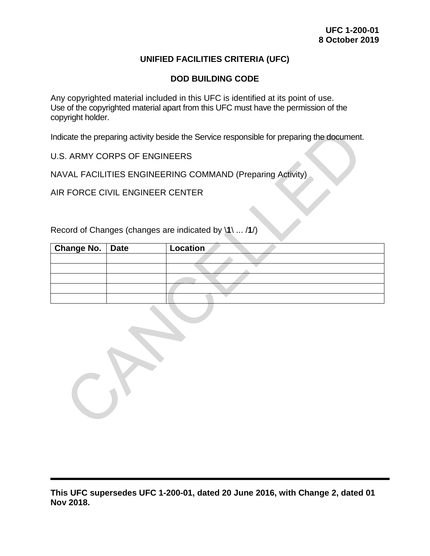# **UNIFIED FACILITIES CRITERIA (UFC)**

#### **DOD BUILDING CODE**

Any copyrighted material included in this UFC is identified at its point of use. Use of the copyrighted material apart from this UFC must have the permission of the copyright holder.

Indicate the preparing activity beside the Service responsible for preparing the document.

U.S. ARMY CORPS OF ENGINEERS

NAVAL FACILITIES ENGINEERING COMMAND (Preparing Activity)

AIR FORCE CIVIL ENGINEER CENTER

Record of Changes (changes are indicated by \**1**\ ... /**1**/)

| <b>Change No. Date</b> | Location |
|------------------------|----------|
|                        |          |
|                        |          |
|                        |          |
|                        |          |
|                        |          |



**This UFC supersedes UFC 1-200-01, dated 20 June 2016, with Change 2, dated 01 Nov 2018.**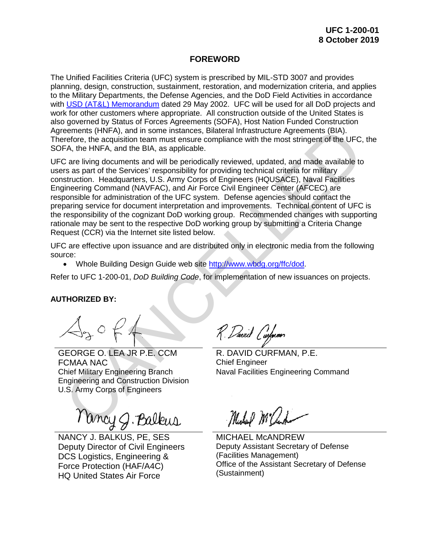#### **FOREWORD**

The Unified Facilities Criteria (UFC) system is prescribed by MIL-STD 3007 and provides planning, design, construction, sustainment, restoration, and modernization criteria, and applies to the Military Departments, the Defense Agencies, and the DoD Field Activities in accordance with USD (AT&L) Memorandum dated 29 May 2002. UFC will be used for all DoD projects and work for other customers where appropriate. All construction outside of the United States is also governed by Status of Forces Agreements (SOFA), Host Nation Funded Construction Agreements (HNFA), and in some instances, Bilateral Infrastructure Agreements (BIA). Therefore, the acquisition team must ensure compliance with the most stringent of the UFC, the SOFA, the HNFA, and the BIA, as applicable.

UFC are living documents and will be periodically reviewed, updated, and made available to users as part of the Services' responsibility for providing technical criteria for military construction. Headquarters, U.S. Army Corps of Engineers (HQUSACE), Naval Facilities Engineering Command (NAVFAC), and Air Force Civil Engineer Center (AFCEC) are responsible for administration of the UFC system. Defense agencies should contact the preparing service for document interpretation and improvements. Technical content of UFC is the responsibility of the cognizant DoD working group. Recommended changes with supporting rationale may be sent to the respective DoD working group by submitting a Criteria Change Request (CCR) via the Internet site listed below. erements (FINFA), and in some instances, Bilateral Infrastructure Agreements (BIA), and the DFC,<br>F-A, the HNFA, and the BIA, as applicable.<br>
F-A, the HNFA, and the BIA, as applicable.<br>
Sa are living decournents and will be

UFC are effective upon issuance and are distributed only in electronic media from the following source:

• Whole Building Design Guide web site http://www.wbdg.org/ffc/dod.

Refer to UFC 1-200-01, *DoD Building Code*, for implementation of new issuances on projects.

#### **AUTHORIZED BY:**

GEORGE O. LEA JR P.E. CCM FCMAA NAC Chief Military Engineering Branch Engineering and Construction Division U.S. Army Corps of Engineers

NANCY J. BALKUS, PE, SES Deputy Director of Civil Engineers DCS Logistics, Engineering & Force Protection (HAF/A4C) HQ United States Air Force

R. DAVID CURFMAN, P.E. Chief Engineer Naval Facilities Engineering Command

MICHAEL McANDREW Deputy Assistant Secretary of Defense (Facilities Management) Office of the Assistant Secretary of Defense (Sustainment)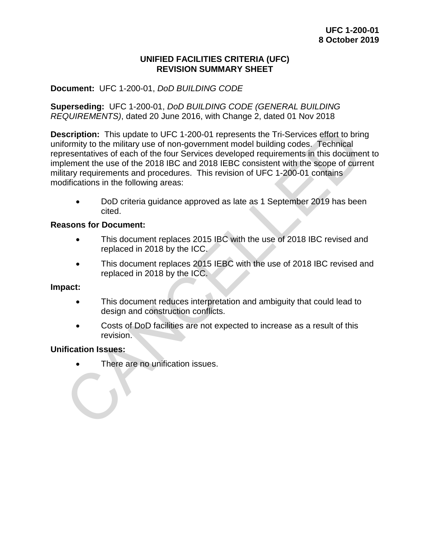#### **UNIFIED FACILITIES CRITERIA (UFC) REVISION SUMMARY SHEET**

**Document:** UFC 1-200-01, *DoD BUILDING CODE*

**Superseding:** UFC 1-200-01, *DoD BUILDING CODE (GENERAL BUILDING REQUIREMENTS)*, dated 20 June 2016, with Change 2, dated 01 Nov 2018

**Description:** This update to UFC 1-200-01 represents the Tri-Services effort to bring uniformity to the military use of non-government model building codes. Technical representatives of each of the four Services developed requirements in this document to implement the use of the 2018 IBC and 2018 IEBC consistent with the scope of current military requirements and procedures. This revision of UFC 1-200-01 contains modifications in the following areas: **Scription:** This update to UFC 1-200-01 represents the Tri-Services effort to brinary to the military use of non-government model building codes. Technical<br>resentatives of each of the four Services developed requirements

• DoD criteria guidance approved as late as 1 September 2019 has been cited.

#### **Reasons for Document:**

- This document replaces 2015 IBC with the use of 2018 IBC revised and replaced in 2018 by the ICC.
- This document replaces 2015 IEBC with the use of 2018 IBC revised and replaced in 2018 by the ICC.

#### **Impact:**

- This document reduces interpretation and ambiguity that could lead to design and construction conflicts.
- Costs of DoD facilities are not expected to increase as a result of this revision.

#### **Unification Issues:**

There are no unification issues.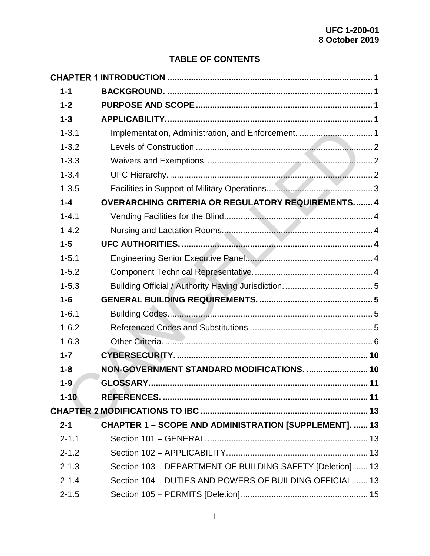# **TABLE OF CONTENTS**

| $1 - 1$   |                                                             |
|-----------|-------------------------------------------------------------|
| $1 - 2$   |                                                             |
| $1 - 3$   |                                                             |
| $1 - 3.1$ | Implementation, Administration, and Enforcement.  1         |
| $1 - 3.2$ |                                                             |
| $1 - 3.3$ |                                                             |
| $1 - 3.4$ |                                                             |
| $1 - 3.5$ |                                                             |
| $1 - 4$   | <b>OVERARCHING CRITERIA OR REGULATORY REQUIREMENTS 4</b>    |
| $1 - 4.1$ |                                                             |
| $1 - 4.2$ |                                                             |
| $1 - 5$   |                                                             |
| $1 - 5.1$ |                                                             |
| $1 - 5.2$ |                                                             |
| $1 - 5.3$ |                                                             |
| $1-6$     |                                                             |
| $1 - 6.1$ |                                                             |
| $1 - 6.2$ |                                                             |
| $1 - 6.3$ |                                                             |
| $1 - 7$   |                                                             |
| $1 - 8$   | NON-GOVERNMENT STANDARD MODIFICATIONS.  10                  |
| $1 - 9$   | . 11                                                        |
| $1 - 10$  |                                                             |
|           |                                                             |
| $2 - 1$   | CHAPTER 1 - SCOPE AND ADMINISTRATION [SUPPLEMENT].  13      |
| $2 - 1.1$ |                                                             |
| $2 - 1.2$ |                                                             |
| $2 - 1.3$ | Section 103 - DEPARTMENT OF BUILDING SAFETY [Deletion].  13 |
| $2 - 1.4$ | Section 104 - DUTIES AND POWERS OF BUILDING OFFICIAL.  13   |
| $2 - 1.5$ |                                                             |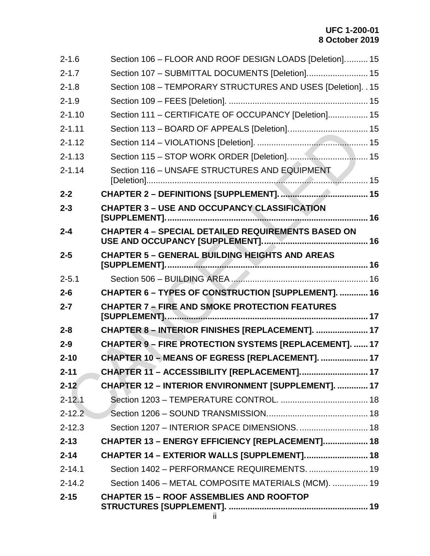| $2 - 1.6$  | Section 106 - FLOOR AND ROOF DESIGN LOADS [Deletion] 15      |  |
|------------|--------------------------------------------------------------|--|
| $2 - 1.7$  | Section 107 - SUBMITTAL DOCUMENTS [Deletion] 15              |  |
| $2 - 1.8$  | Section 108 - TEMPORARY STRUCTURES AND USES [Deletion]. . 15 |  |
| $2 - 1.9$  |                                                              |  |
| $2 - 1.10$ | Section 111 - CERTIFICATE OF OCCUPANCY [Deletion] 15         |  |
| $2 - 1.11$ | Section 113 - BOARD OF APPEALS [Deletion] 15                 |  |
| $2 - 1.12$ |                                                              |  |
| $2 - 1.13$ |                                                              |  |
| $2 - 1.14$ | Section 116 - UNSAFE STRUCTURES AND EQUIPMENT                |  |
| $2 - 2$    |                                                              |  |
| $2 - 3$    | <b>CHAPTER 3 - USE AND OCCUPANCY CLASSIFICATION</b>          |  |
| $2 - 4$    | <b>CHAPTER 4 - SPECIAL DETAILED REQUIREMENTS BASED ON</b>    |  |
| $2 - 5$    | <b>CHAPTER 5 - GENERAL BUILDING HEIGHTS AND AREAS</b>        |  |
| $2 - 5.1$  |                                                              |  |
| $2 - 6$    | CHAPTER 6 - TYPES OF CONSTRUCTION [SUPPLEMENT].  16          |  |
| $2 - 7$    | <b>CHAPTER 7 ← FIRE AND SMOKE PROTECTION FEATURES</b>        |  |
| $2 - 8$    | CHAPTER 8-INTERIOR FINISHES [REPLACEMENT].  17               |  |
| $2 - 9$    | CHAPTER 9 - FIRE PROTECTION SYSTEMS [REPLACEMENT].  17       |  |
| $2 - 10$   | CHAPTER 10 - MEANS OF EGRESS [REPLACEMENT].  17              |  |
| $2 - 11$   | CHAPTER 11 - ACCESSIBILITY [REPLACEMENT] 17                  |  |
| $2 - 12$   | CHAPTER 12 - INTERIOR ENVIRONMENT [SUPPLEMENT].  17          |  |
| $2 - 12.1$ |                                                              |  |
| $2 - 12.2$ |                                                              |  |
| $2 - 12.3$ | Section 1207 - INTERIOR SPACE DIMENSIONS.  18                |  |
| $2 - 13$   | CHAPTER 13 - ENERGY EFFICIENCY [REPLACEMENT] 18              |  |
| $2 - 14$   | CHAPTER 14 - EXTERIOR WALLS [SUPPLEMENT] 18                  |  |
| $2 - 14.1$ | Section 1402 - PERFORMANCE REQUIREMENTS.  19                 |  |
| $2 - 14.2$ | Section 1406 - METAL COMPOSITE MATERIALS (MCM).  19          |  |
| $2 - 15$   | <b>CHAPTER 15 - ROOF ASSEMBLIES AND ROOFTOP</b>              |  |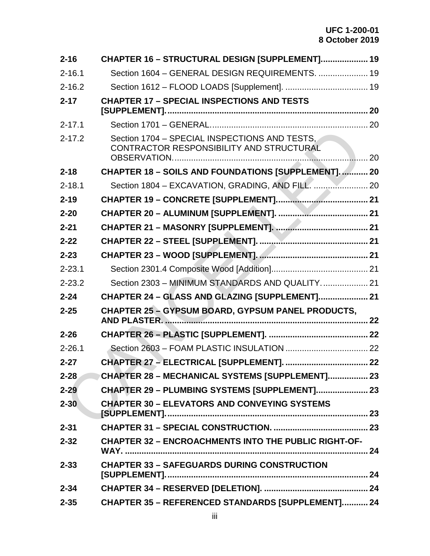| $2 - 16$   | CHAPTER 16 - STRUCTURAL DESIGN [SUPPLEMENT] 19                                            |    |
|------------|-------------------------------------------------------------------------------------------|----|
| $2 - 16.1$ | Section 1604 - GENERAL DESIGN REQUIREMENTS.  19                                           |    |
| $2 - 16.2$ |                                                                                           |    |
| $2 - 17$   | <b>CHAPTER 17 - SPECIAL INSPECTIONS AND TESTS</b>                                         |    |
| $2 - 17.1$ |                                                                                           |    |
| $2 - 17.2$ | Section 1704 - SPECIAL INSPECTIONS AND TESTS,<br>CONTRACTOR RESPONSIBILITY AND STRUCTURAL |    |
| $2 - 18$   | CHAPTER 18 - SOILS AND FOUNDATIONS [SUPPLEMENT].  20                                      |    |
| $2 - 18.1$ |                                                                                           |    |
| $2 - 19$   |                                                                                           |    |
| $2 - 20$   |                                                                                           |    |
| $2 - 21$   |                                                                                           |    |
| $2 - 22$   |                                                                                           |    |
| $2 - 23$   |                                                                                           |    |
| $2 - 23.1$ |                                                                                           |    |
| $2 - 23.2$ | Section 2303 - MINIMUM STANDARDS AND QUALITY 21                                           |    |
| $2 - 24$   | CHAPTER 24 - GLASS AND GLAZING [SUPPLEMENT] 21                                            |    |
| $2 - 25$   | <b>CHAPTER 25 - GYPSUM BOARD, GYPSUM PANEL PRODUCTS,</b>                                  | 22 |
| $2 - 26$   |                                                                                           |    |
| $2 - 26.1$ |                                                                                           |    |
| $2 - 27$   |                                                                                           |    |
| $2 - 28$   | CHAPTER 28 - MECHANICAL SYSTEMS [SUPPLEMENT] 23                                           |    |
| $2 - 29$   | CHAPTER 29 - PLUMBING SYSTEMS [SUPPLEMENT] 23                                             |    |
| $2 - 30$   | <b>CHAPTER 30 - ELEVATORS AND CONVEYING SYSTEMS</b>                                       |    |
| $2 - 31$   |                                                                                           |    |
| $2 - 32$   | <b>CHAPTER 32 - ENCROACHMENTS INTO THE PUBLIC RIGHT-OF-</b>                               |    |
| $2 - 33$   | <b>CHAPTER 33 - SAFEGUARDS DURING CONSTRUCTION</b>                                        |    |
| $2 - 34$   |                                                                                           |    |
| $2 - 35$   | CHAPTER 35 - REFERENCED STANDARDS [SUPPLEMENT] 24                                         |    |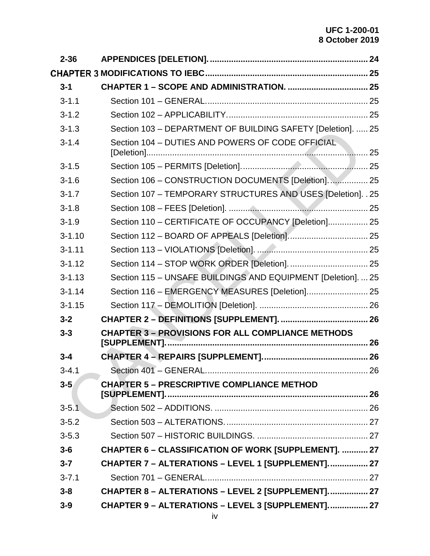| $2 - 36$   |                                                              |  |
|------------|--------------------------------------------------------------|--|
|            |                                                              |  |
| $3 - 1$    |                                                              |  |
| $3 - 1.1$  |                                                              |  |
| $3 - 1.2$  |                                                              |  |
| $3 - 1.3$  | Section 103 - DEPARTMENT OF BUILDING SAFETY [Deletion].  25  |  |
| $3 - 1.4$  | Section 104 - DUTIES AND POWERS OF CODE OFFICIAL             |  |
| $3 - 1.5$  |                                                              |  |
| $3 - 1.6$  | Section 106 - CONSTRUCTION DOCUMENTS [Deletion] 25           |  |
| $3 - 1.7$  | Section 107 - TEMPORARY STRUCTURES AND USES [Deletion]. . 25 |  |
| $3 - 1.8$  |                                                              |  |
| $3 - 1.9$  | Section 110 - CERTIFICATE OF OCCUPANCY [Deletion] 25         |  |
| $3 - 1.10$ |                                                              |  |
| $3 - 1.11$ |                                                              |  |
| $3 - 1.12$ |                                                              |  |
| $3 - 1.13$ | Section 115 - UNSAFE BUILDINGS AND EQUIPMENT [Deletion].  25 |  |
| $3 - 1.14$ |                                                              |  |
| $3 - 1.15$ |                                                              |  |
| $3 - 2$    |                                                              |  |
| $3 - 3$    | <b>CHAPTER 3 - PROVISIONS FOR ALL COMPLIANCE METHODS</b>     |  |
|            |                                                              |  |
| $3 - 4$    |                                                              |  |
| $3 - 4.1$  |                                                              |  |
| $3-5$      | <b>CHAPTER 5 - PRESCRIPTIVE COMPLIANCE METHOD</b>            |  |
| $3 - 5.1$  |                                                              |  |
| $3 - 5.2$  |                                                              |  |
| $3 - 5.3$  |                                                              |  |
| $3-6$      | CHAPTER 6 - CLASSIFICATION OF WORK [SUPPLEMENT].  27         |  |
| $3 - 7$    | CHAPTER 7 - ALTERATIONS - LEVEL 1 [SUPPLEMENT] 27            |  |
| $3 - 7.1$  |                                                              |  |
| $3 - 8$    | CHAPTER 8 - ALTERATIONS - LEVEL 2 [SUPPLEMENT] 27            |  |
| $3-9$      | CHAPTER 9 - ALTERATIONS - LEVEL 3 [SUPPLEMENT] 27            |  |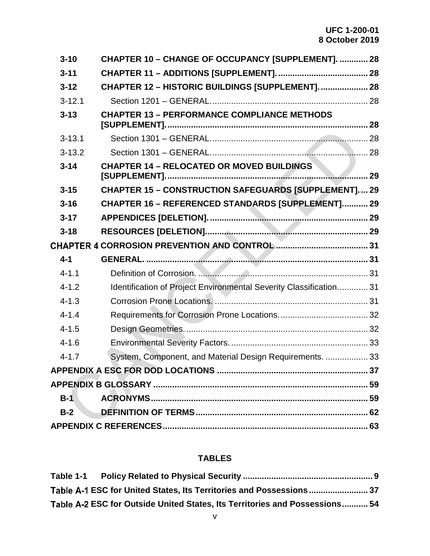| $3 - 10$   | CHAPTER 10 - CHANGE OF OCCUPANCY [SUPPLEMENT].  28                 |  |
|------------|--------------------------------------------------------------------|--|
| $3 - 11$   |                                                                    |  |
| $3 - 12$   | CHAPTER 12 - HISTORIC BUILDINGS [SUPPLEMENT].  28                  |  |
| $3 - 12.1$ |                                                                    |  |
| $3 - 13$   | <b>CHAPTER 13 - PERFORMANCE COMPLIANCE METHODS</b>                 |  |
|            |                                                                    |  |
| $3 - 13.1$ |                                                                    |  |
| $3 - 13.2$ |                                                                    |  |
| $3 - 14$   | <b>CHAPTER 14 - RELOCATED OR MOVED BUILDINGS</b>                   |  |
| $3 - 15$   | <b>CHAPTER 15 - CONSTRUCTION SAFEGUARDS [SUPPLEMENT] 29</b>        |  |
| $3 - 16$   | CHAPTER 16 - REFERENCED STANDARDS [SUPPLEMENT] 29                  |  |
| $3 - 17$   |                                                                    |  |
| $3 - 18$   |                                                                    |  |
|            |                                                                    |  |
|            |                                                                    |  |
| $4 - 1$    |                                                                    |  |
| $4 - 1.1$  | Definition of Corrosion.                                           |  |
| $4 - 1.2$  | Identification of Project Environmental Severity Classification 31 |  |
| $4 - 1.3$  |                                                                    |  |
| $4 - 1.4$  |                                                                    |  |
| $4 - 1.5$  |                                                                    |  |
| $4 - 1.6$  |                                                                    |  |
| $4 - 1.7$  | System, Component, and Material Design Requirements.  33           |  |
|            |                                                                    |  |
|            |                                                                    |  |
| $B-1$      |                                                                    |  |
| $B-2$      |                                                                    |  |

# **TABLES**

| Table 1-1 |                                                                             |  |
|-----------|-----------------------------------------------------------------------------|--|
|           |                                                                             |  |
|           | Table A-2 ESC for Outside United States, Its Territories and Possessions 54 |  |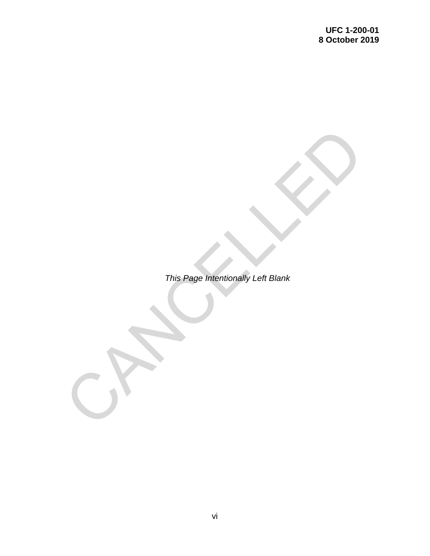*This Page Intentionally Left Blank* This Page Imentionally Left Blank<br>
State of Canada<br>
State of Canada<br>
State of Canada<br>
State of Canada<br>
State of Canada<br>
State of Canada<br>
State of Canada<br>
State of Canada<br>
State of Canada<br>
State of Canada<br>
State of Canada<br>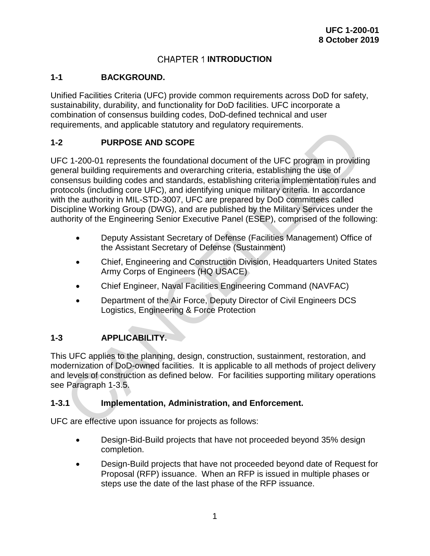# **CHAPTER 1 INTRODUCTION**

## **1-1 BACKGROUND.**

Unified Facilities Criteria (UFC) provide common requirements across DoD for safety, sustainability, durability, and functionality for DoD facilities. UFC incorporate a combination of consensus building codes, DoD-defined technical and user requirements, and applicable statutory and regulatory requirements.

# **1-2 PURPOSE AND SCOPE**

UFC 1-200-01 represents the foundational document of the UFC program in providing general building requirements and overarching criteria, establishing the use of consensus building codes and standards, establishing criteria implementation rules and protocols (including core UFC), and identifying unique military criteria. In accordance with the authority in MIL-STD-3007, UFC are prepared by DoD committees called Discipline Working Group (DWG), and are published by the Military Services under the authority of the Engineering Senior Executive Panel (ESEP), comprised of the following: **PURPOSE AND SCOPE**<br>
C1-200-01 represents the foundational document of the UFC program in providine and building requirements and overarching criteria, establishing the use of<br>
sensus building croles UFC), and dentifying u

- Deputy Assistant Secretary of Defense (Facilities Management) Office of the Assistant Secretary of Defense (Sustainment)
- Chief, Engineering and Construction Division, Headquarters United States Army Corps of Engineers (HQ USACE)
- Chief Engineer, Naval Facilities Engineering Command (NAVFAC)
- Department of the Air Force, Deputy Director of Civil Engineers DCS Logistics, Engineering & Force Protection

# **1-3 APPLICABILITY.**

This UFC applies to the planning, design, construction, sustainment, restoration, and modernization of DoD-owned facilities. It is applicable to all methods of project delivery and levels of construction as defined below. For facilities supporting military operations see Paragraph 1-3.5.

#### **1-3.1 Implementation, Administration, and Enforcement.**

UFC are effective upon issuance for projects as follows:

- Design-Bid-Build projects that have not proceeded beyond 35% design completion.
- Design-Build projects that have not proceeded beyond date of Request for Proposal (RFP) issuance. When an RFP is issued in multiple phases or steps use the date of the last phase of the RFP issuance.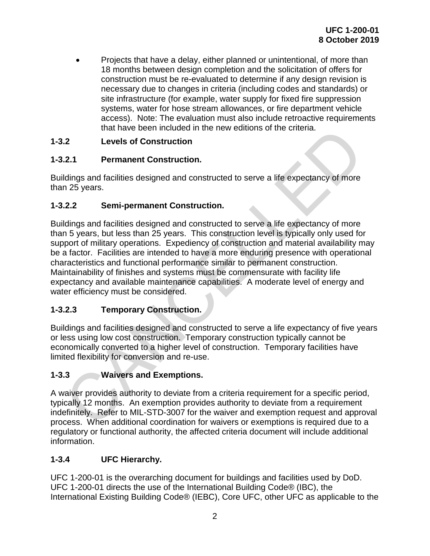• Projects that have a delay, either planned or unintentional, of more than 18 months between design completion and the solicitation of offers for construction must be re-evaluated to determine if any design revision is necessary due to changes in criteria (including codes and standards) or site infrastructure (for example, water supply for fixed fire suppression systems, water for hose stream allowances, or fire department vehicle access). Note: The evaluation must also include retroactive requirements that have been included in the new editions of the criteria.

#### **1-3.2 Levels of Construction**

#### **1-3.2.1 Permanent Construction.**

Buildings and facilities designed and constructed to serve a life expectancy of more than 25 years.

#### **1-3.2.2 Semi-permanent Construction.**

Buildings and facilities designed and constructed to serve a life expectancy of more than 5 years, but less than 25 years. This construction level is typically only used for support of military operations. Expediency of construction and material availability may be a factor. Facilities are intended to have a more enduring presence with operational characteristics and functional performance similar to permanent construction. Maintainability of finishes and systems must be commensurate with facility life expectancy and available maintenance capabilities. A moderate level of energy and water efficiency must be considered. Case of Construction<br>
2.2 Levels of Construction<br>
2.2 Levels of Construction<br>
2.1 Devels of Construction<br>
2.1 Dermanent Construction.<br>
2.2 Semi-permanent Construction.<br>
2.2 Semi-permanent Construction.<br>
2.2 Semi-permanent

#### **1-3.2.3 Temporary Construction.**

Buildings and facilities designed and constructed to serve a life expectancy of five years or less using low cost construction. Temporary construction typically cannot be economically converted to a higher level of construction. Temporary facilities have limited flexibility for conversion and re-use.

#### **1-3.3 Waivers and Exemptions.**

A waiver provides authority to deviate from a criteria requirement for a specific period, typically 12 months. An exemption provides authority to deviate from a requirement indefinitely. Refer to MIL-STD-3007 for the waiver and exemption request and approval process. When additional coordination for waivers or exemptions is required due to a regulatory or functional authority, the affected criteria document will include additional information.

# **1-3.4 UFC Hierarchy.**

UFC 1-200-01 is the overarching document for buildings and facilities used by DoD. UFC 1-200-01 directs the use of the International Building Code® (IBC), the International Existing Building Code® (IEBC), Core UFC, other UFC as applicable to the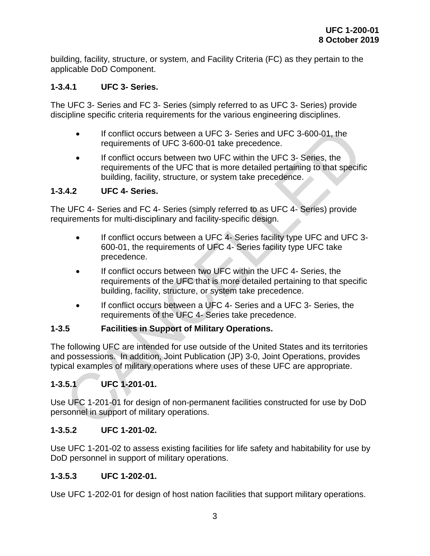building, facility, structure, or system, and Facility Criteria (FC) as they pertain to the applicable DoD Component.

## **1-3.4.1 UFC 3- Series.**

The UFC 3- Series and FC 3- Series (simply referred to as UFC 3- Series) provide discipline specific criteria requirements for the various engineering disciplines.

- If conflict occurs between a UFC 3- Series and UFC 3-600-01, the requirements of UFC 3-600-01 take precedence.
- If conflict occurs between two UFC within the UFC 3- Series, the requirements of the UFC that is more detailed pertaining to that specific building, facility, structure, or system take precedence.

#### **1-3.4.2 UFC 4- Series.**

The UFC 4- Series and FC 4- Series (simply referred to as UFC 4- Series) provide requirements for multi-disciplinary and facility-specific design.

- If conflict occurs between a UFC 4- Series facility type UFC and UFC 3-600-01, the requirements of UFC 4- Series facility type UFC take precedence.
- If conflict occurs between two UFC within the UFC 4- Series, the requirements of the UFC that is more detailed pertaining to that specific building, facility, structure, or system take precedence.
- If conflict occurs between a UFC 4- Series and a UFC 3- Series, the requirements of the UFC 4- Series take precedence.

# **1-3.5 Facilities in Support of Military Operations.**

The following UFC are intended for use outside of the United States and its territories and possessions. In addition, Joint Publication (JP) 3-0, Joint Operations, provides typical examples of military operations where uses of these UFC are appropriate. • If conflict occurs between a UFC 3- Series and UFC 3-600-01, the<br>requirements of UFC 3-600-01 take precedence.<br>
• If conflict occurs between two UFC within the UFC 3- Series, the<br>requirements of the UFC that is more det

# **1-3.5.1 UFC 1-201-01.**

Use UFC 1-201-01 for design of non-permanent facilities constructed for use by DoD personnel in support of military operations.

# **1-3.5.2 UFC 1-201-02.**

Use UFC 1-201-02 to assess existing facilities for life safety and habitability for use by DoD personnel in support of military operations.

#### **1-3.5.3 UFC 1-202-01.**

Use UFC 1-202-01 for design of host nation facilities that support military operations.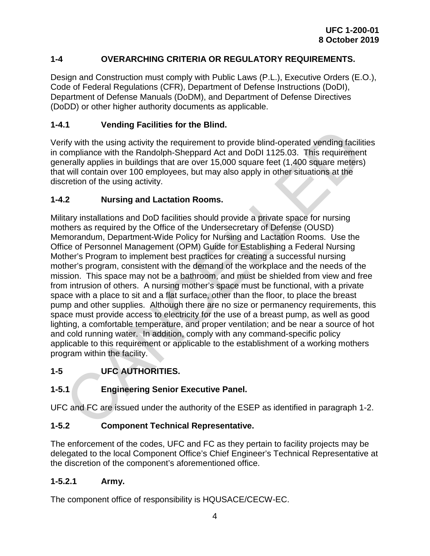# **1-4 OVERARCHING CRITERIA OR REGULATORY REQUIREMENTS.**

Design and Construction must comply with Public Laws (P.L.), Executive Orders (E.O.), Code of Federal Regulations (CFR), Department of Defense Instructions (DoDI), Department of Defense Manuals (DoDM), and Department of Defense Directives (DoDD) or other higher authority documents as applicable.

## **1-4.1 Vending Facilities for the Blind.**

Verify with the using activity the requirement to provide blind-operated vending facilities in compliance with the Randolph-Sheppard Act and DoDI 1125.03. This requirement generally applies in buildings that are over 15,000 square feet (1,400 square meters) that will contain over 100 employees, but may also apply in other situations at the discretion of the using activity.

# **1-4.2 Nursing and Lactation Rooms.**

Military installations and DoD facilities should provide a private space for nursing mothers as required by the Office of the Undersecretary of Defense (OUSD) Memorandum, Department-Wide Policy for Nursing and Lactation Rooms. Use the Office of Personnel Management (OPM) Guide for Establishing a Federal Nursing Mother's Program to implement best practices for creating a successful nursing mother's program, consistent with the demand of the workplace and the needs of the mission. This space may not be a bathroom, and must be shielded from view and free from intrusion of others. A nursing mother's space must be functional, with a private space with a place to sit and a flat surface, other than the floor, to place the breast pump and other supplies. Although there are no size or permanency requirements, this space must provide access to electricity for the use of a breast pump, as well as good lighting, a comfortable temperature, and proper ventilation; and be near a source of hot and cold running water. In addition, comply with any command-specific policy applicable to this requirement or applicable to the establishment of a working mothers program within the facility. ify with the using activity the requirement to provide blind-operated vending facility opplicance with the Randolph-Sheppard Act and DoDI 1125.03. This requirement really applies in buildings that are over 15,000 square fe

# **1-5 UFC AUTHORITIES.**

# **1-5.1 Engineering Senior Executive Panel.**

UFC and FC are issued under the authority of the ESEP as identified in paragraph 1-2.

# **1-5.2 Component Technical Representative.**

The enforcement of the codes, UFC and FC as they pertain to facility projects may be delegated to the local Component Office's Chief Engineer's Technical Representative at the discretion of the component's aforementioned office.

#### **1-5.2.1 Army.**

The component office of responsibility is HQUSACE/CECW-EC.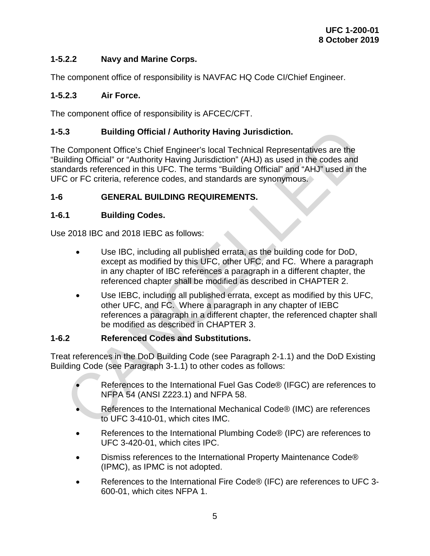# **1-5.2.2 Navy and Marine Corps.**

The component office of responsibility is NAVFAC HQ Code CI/Chief Engineer.

#### **1-5.2.3 Air Force.**

The component office of responsibility is AFCEC/CFT.

#### **1-5.3 Building Official / Authority Having Jurisdiction.**

The Component Office's Chief Engineer's local Technical Representatives are the "Building Official" or "Authority Having Jurisdiction" (AHJ) as used in the codes and standards referenced in this UFC. The terms "Building Official" and "AHJ" used in the UFC or FC criteria, reference codes, and standards are synonymous. 3<br>
3 Building Official / Authority Having Jurisdiction.<br>
Summonent Office's Chief Engineer's local Technical Representatives are the<br>
didng Official" or "Authority Having Jurisdiction" (AHJ) as used in the codes and<br>
C or

#### **1-6 GENERAL BUILDING REQUIREMENTS.**

#### **1-6.1 Building Codes.**

Use 2018 IBC and 2018 IEBC as follows:

- Use IBC, including all published errata, as the building code for DoD, except as modified by this UFC, other UFC, and FC. Where a paragraph in any chapter of IBC references a paragraph in a different chapter, the referenced chapter shall be modified as described in CHAPTER 2.
- Use IEBC, including all published errata, except as modified by this UFC, other UFC, and FC. Where a paragraph in any chapter of IEBC references a paragraph in a different chapter, the referenced chapter shall be modified as described in CHAPTER 3.

#### **1-6.2 Referenced Codes and Substitutions.**

Treat references in the DoD Building Code (see Paragraph 2-1.1) and the DoD Existing Building Code (see Paragraph 3-1.1) to other codes as follows:

- References to the International Fuel Gas Code® (IFGC) are references to NFPA 54 (ANSI Z223.1) and NFPA 58.
- References to the International Mechanical Code® (IMC) are references to UFC 3-410-01, which cites IMC.
- References to the International Plumbing Code® (IPC) are references to UFC 3-420-01, which cites IPC.
- Dismiss references to the International Property Maintenance Code® (IPMC), as IPMC is not adopted.
- References to the International Fire Code® (IFC) are references to UFC 3- 600-01, which cites NFPA 1.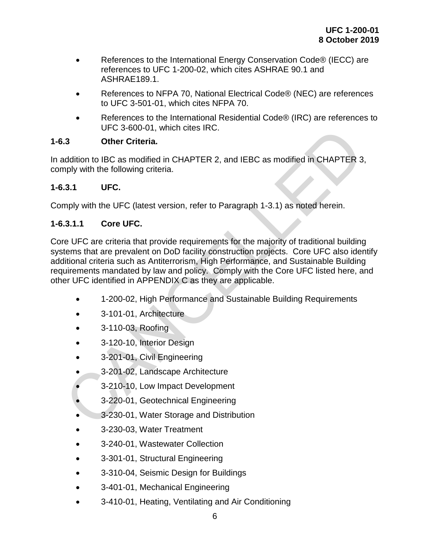- References to the International Energy Conservation Code® (IECC) are references to UFC 1-200-02, which cites ASHRAE 90.1 and ASHRAE189.1.
- References to NFPA 70, National Electrical Code® (NEC) are references to UFC 3-501-01, which cites NFPA 70.
- References to the International Residential Code® (IRC) are references to UFC 3-600-01, which cites IRC.

# **1-6.3 Other Criteria.**

In addition to IBC as modified in CHAPTER 2, and IEBC as modified in CHAPTER 3, comply with the following criteria.

# **1-6.3.1 UFC.**

Comply with the UFC (latest version, refer to Paragraph 1-3.1) as noted herein.

# **1-6.3.1.1 Core UFC.**

Core UFC are criteria that provide requirements for the majority of traditional building systems that are prevalent on DoD facility construction projects. Core UFC also identify additional criteria such as Antiterrorism, High Performance, and Sustainable Building requirements mandated by law and policy. Comply with the Core UFC listed here, and other UFC identified in APPENDIX C as they are applicable. orcosofted in CHAPTER 2, and IEBC as modified in CHAPTER 3<br>
and didition to IBC as modified in CHAPTER 2, and IEBC as modified in CHAPTER 3<br>
phy with the following criteria.<br>
3.1.1 UFC.<br>
and UPC (latest version, refer to P

- 1-200-02, High Performance and Sustainable Building Requirements
- 3-101-01, Architecture
- 3-110-03, Roofing
- 3-120-10, Interior Design
- 3-201-01, Civil Engineering
- 3-201-02, Landscape Architecture
- 3-210-10, Low Impact Development
- 3-220-01, Geotechnical Engineering
- 3-230-01, Water Storage and Distribution
- 3-230-03, Water Treatment
- 3-240-01, Wastewater Collection
- 3-301-01, Structural Engineering
- 3-310-04, Seismic Design for Buildings
- 3-401-01, Mechanical Engineering
- 3-410-01, Heating, Ventilating and Air Conditioning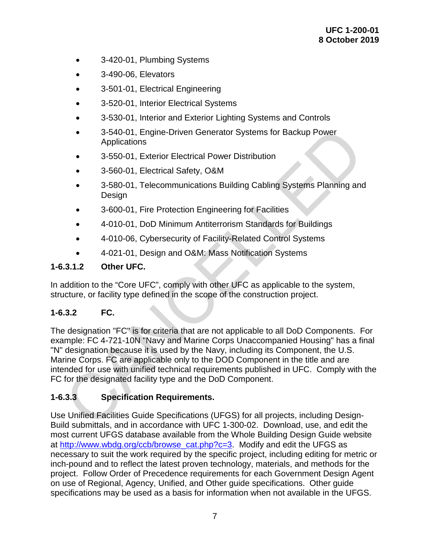- 3-420-01, Plumbing Systems
- 3-490-06, Elevators
- 3-501-01, Electrical Engineering
- 3-520-01, Interior Electrical Systems
- 3-530-01, Interior and Exterior Lighting Systems and Controls
- 3-540-01, Engine-Driven Generator Systems for Backup Power Applications
- 3-550-01, Exterior Electrical Power Distribution
- 3-560-01, Electrical Safety, O&M
- 3-580-01, Telecommunications Building Cabling Systems Planning and Design
- 3-600-01, Fire Protection Engineering for Facilities
- 4-010-01, DoD Minimum Antiterrorism Standards for Buildings
- 4-010-06, Cybersecurity of Facility-Related Control Systems
- 4-021-01, Design and O&M: Mass Notification Systems

# **1-6.3.1.2 Other UFC.**

In addition to the "Core UFC", comply with other UFC as applicable to the system, structure, or facility type defined in the scope of the construction project.

# **1-6.3.2 FC.**

The designation "FC" is for criteria that are not applicable to all DoD Components. For example: FC 4-721-10N "Navy and Marine Corps Unaccompanied Housing" has a final "N" designation because it is used by the Navy, including its Component, the U.S. Marine Corps. FC are applicable only to the DOD Component in the title and are intended for use with unified technical requirements published in UFC. Comply with the FC for the designated facility type and the DoD Component. 3-540-01, Engine-Driven Generator Systems for Backup Power<br>
Applications<br>
3-550-01, Electrical Safety, O&M<br>
3-550-01, Electrical Safety, O&M<br>
3-560-01, Electrical Safety, O&M<br>
3-680-01, Filecommunications Building Cabling

# **1-6.3.3 Specification Requirements.**

Use Unified Facilities Guide Specifications (UFGS) for all projects, including Design-Build submittals, and in accordance with UFC 1-300-02. Download, use, and edit the most current UFGS database available from the Whole Building Design Guide website at http://www.wbdg.org/ccb/browse\_cat.php?c=3. Modify and edit the UFGS as necessary to suit the work required by the specific project, including editing for metric or inch-pound and to reflect the latest proven technology, materials, and methods for the project. Follow Order of Precedence requirements for each Government Design Agent on use of Regional, Agency, Unified, and Other guide specifications. Other guide specifications may be used as a basis for information when not available in the UFGS.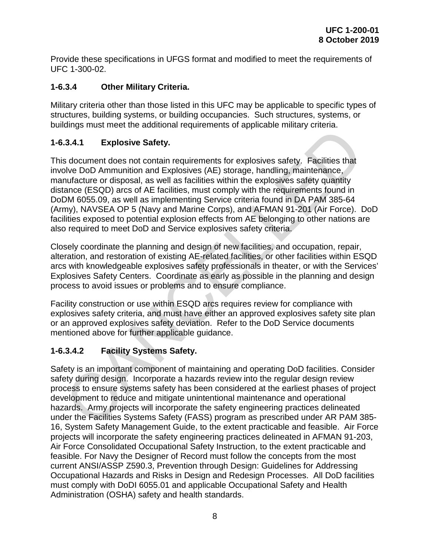Provide these specifications in UFGS format and modified to meet the requirements of UFC 1-300-02.

# **1-6.3.4 Other Military Criteria.**

Military criteria other than those listed in this UFC may be applicable to specific types of structures, building systems, or building occupancies. Such structures, systems, or buildings must meet the additional requirements of applicable military criteria.

# **1-6.3.4.1 Explosive Safety.**

This document does not contain requirements for explosives safety. Facilities that involve DoD Ammunition and Explosives (AE) storage, handling, maintenance, manufacture or disposal, as well as facilities within the explosives safety quantity distance (ESQD) arcs of AE facilities, must comply with the requirements found in DoDM 6055.09, as well as implementing Service criteria found in DA PAM 385-64 (Army), NAVSEA OP 5 (Navy and Marine Corps), and AFMAN 91-201 (Air Force). DoD facilities exposed to potential explosion effects from AE belonging to other nations are also required to meet DoD and Service explosives safety criteria. 3.3.4.1 Explosive Safety.<br>
Solocoment does not contain requirements for explosives safety. Facilities that<br>
blve DoD Ammunition and Explosives (AE) storage, handling, maintenance,<br>
nuracture or disposal, as well as facilit

Closely coordinate the planning and design of new facilities, and occupation, repair, alteration, and restoration of existing AE-related facilities, or other facilities within ESQD arcs with knowledgeable explosives safety professionals in theater, or with the Services' Explosives Safety Centers. Coordinate as early as possible in the planning and design process to avoid issues or problems and to ensure compliance.

Facility construction or use within ESQD arcs requires review for compliance with explosives safety criteria, and must have either an approved explosives safety site plan or an approved explosives safety deviation. Refer to the DoD Service documents mentioned above for further applicable guidance.

# **1-6.3.4.2 Facility Systems Safety.**

Safety is an important component of maintaining and operating DoD facilities. Consider safety during design. Incorporate a hazards review into the regular design review process to ensure systems safety has been considered at the earliest phases of project development to reduce and mitigate unintentional maintenance and operational hazards. Army projects will incorporate the safety engineering practices delineated under the Facilities Systems Safety (FASS) program as prescribed under AR PAM 385- 16, System Safety Management Guide, to the extent practicable and feasible. Air Force projects will incorporate the safety engineering practices delineated in AFMAN 91-203, Air Force Consolidated Occupational Safety Instruction, to the extent practicable and feasible. For Navy the Designer of Record must follow the concepts from the most current ANSI/ASSP Z590.3, Prevention through Design: Guidelines for Addressing Occupational Hazards and Risks in Design and Redesign Processes. All DoD facilities must comply with DoDI 6055.01 and applicable Occupational Safety and Health Administration (OSHA) safety and health standards.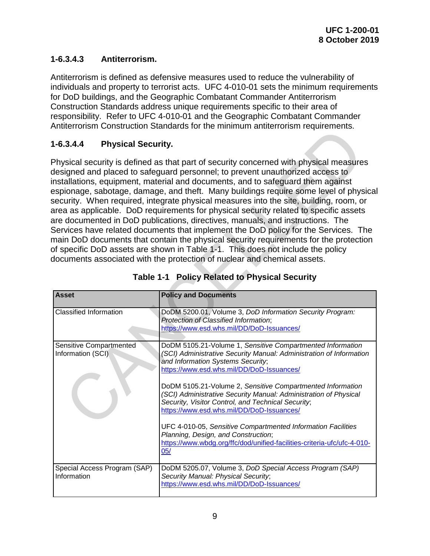## **1-6.3.4.3 Antiterrorism.**

Antiterrorism is defined as defensive measures used to reduce the vulnerability of individuals and property to terrorist acts. UFC 4-010-01 sets the minimum requirements for DoD buildings, and the Geographic Combatant Commander Antiterrorism Construction Standards address unique requirements specific to their area of responsibility. Refer to UFC 4-010-01 and the Geographic Combatant Commander Antiterrorism Construction Standards for the minimum antiterrorism requirements.

# **1-6.3.4.4 Physical Security.**

|                                                                                                                                                                                                                                                                                                                                                                                                                                                                                                                                                                                                                                                                                                                                                                                                                                                                                                                                                                                                                                | <u>unun Conunuum Cianaarau ion inu mimmam amitum mum roquirumum.</u>                                                                                                                                                                                                                                                                                  |  |
|--------------------------------------------------------------------------------------------------------------------------------------------------------------------------------------------------------------------------------------------------------------------------------------------------------------------------------------------------------------------------------------------------------------------------------------------------------------------------------------------------------------------------------------------------------------------------------------------------------------------------------------------------------------------------------------------------------------------------------------------------------------------------------------------------------------------------------------------------------------------------------------------------------------------------------------------------------------------------------------------------------------------------------|-------------------------------------------------------------------------------------------------------------------------------------------------------------------------------------------------------------------------------------------------------------------------------------------------------------------------------------------------------|--|
| 1-6.3.4.4<br><b>Physical Security.</b>                                                                                                                                                                                                                                                                                                                                                                                                                                                                                                                                                                                                                                                                                                                                                                                                                                                                                                                                                                                         |                                                                                                                                                                                                                                                                                                                                                       |  |
| Physical security is defined as that part of security concerned with physical measures<br>designed and placed to safeguard personnel; to prevent unauthorized access to<br>installations, equipment, material and documents, and to safeguard them against<br>espionage, sabotage, damage, and theft. Many buildings require some level of physica<br>security. When required, integrate physical measures into the site, building, room, or<br>area as applicable. DoD requirements for physical security related to specific assets<br>are documented in DoD publications, directives, manuals, and instructions. The<br>Services have related documents that implement the DoD policy for the Services. The<br>main DoD documents that contain the physical security requirements for the protection<br>of specific DoD assets are shown in Table 1-1. This does not include the policy<br>documents associated with the protection of nuclear and chemical assets.<br><b>Table 1-1 Policy Related to Physical Security</b> |                                                                                                                                                                                                                                                                                                                                                       |  |
| <b>Asset</b>                                                                                                                                                                                                                                                                                                                                                                                                                                                                                                                                                                                                                                                                                                                                                                                                                                                                                                                                                                                                                   | <b>Policy and Documents</b>                                                                                                                                                                                                                                                                                                                           |  |
| <b>Classified Information</b>                                                                                                                                                                                                                                                                                                                                                                                                                                                                                                                                                                                                                                                                                                                                                                                                                                                                                                                                                                                                  | DoDM 5200.01, Volume 3, DoD Information Security Program:<br>Protection of Classified Information;<br>https://www.esd.whs.mil/DD/DoD-Issuances/                                                                                                                                                                                                       |  |
| Sensitive Compartmented<br>Information (SCI)                                                                                                                                                                                                                                                                                                                                                                                                                                                                                                                                                                                                                                                                                                                                                                                                                                                                                                                                                                                   | DoDM 5105.21-Volume 1, Sensitive Compartmented Information<br>(SCI) Administrative Security Manual: Administration of Information<br>and Information Systems Security;<br>https://www.esd.whs.mil/DD/DoD-Issuances/<br>DoDM 5105.21-Volume 2, Sensitive Compartmented Information<br>(SCI) Administrative Security Manual: Administration of Physical |  |
|                                                                                                                                                                                                                                                                                                                                                                                                                                                                                                                                                                                                                                                                                                                                                                                                                                                                                                                                                                                                                                | Security, Visitor Control, and Technical Security;<br>https://www.esd.whs.mil/DD/DoD-Issuances/                                                                                                                                                                                                                                                       |  |
|                                                                                                                                                                                                                                                                                                                                                                                                                                                                                                                                                                                                                                                                                                                                                                                                                                                                                                                                                                                                                                | UFC 4-010-05, Sensitive Compartmented Information Facilities<br>Planning, Design, and Construction;<br>https://www.wbdg.org/ffc/dod/unified-facilities-criteria-ufc/ufc-4-010-<br>05/                                                                                                                                                                 |  |
| Special Access Program (SAP)<br>Information                                                                                                                                                                                                                                                                                                                                                                                                                                                                                                                                                                                                                                                                                                                                                                                                                                                                                                                                                                                    | DoDM 5205.07, Volume 3, DoD Special Access Program (SAP)<br>Security Manual: Physical Security;<br>https://www.esd.whs.mil/DD/DoD-Issuances/                                                                                                                                                                                                          |  |

| <b>Table 1-1 Policy Related to Physical Security</b> |  |  |  |  |
|------------------------------------------------------|--|--|--|--|
|------------------------------------------------------|--|--|--|--|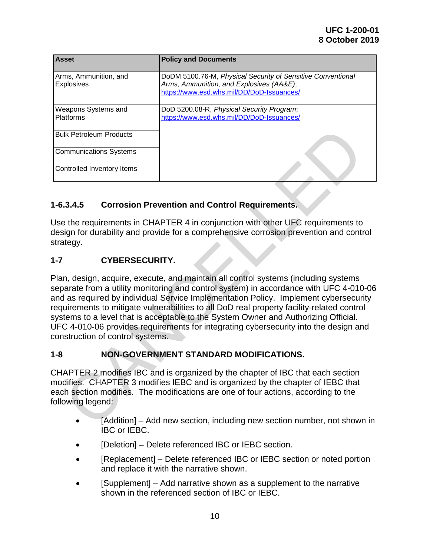| <b>Asset</b>                               | <b>Policy and Documents</b>                                                                                                                          |
|--------------------------------------------|------------------------------------------------------------------------------------------------------------------------------------------------------|
| Arms, Ammunition, and<br><b>Explosives</b> | DoDM 5100.76-M, Physical Security of Sensitive Conventional<br>Arms, Ammunition, and Explosives (AA&E);<br>https://www.esd.whs.mil/DD/DoD-Issuances/ |
| Weapons Systems and<br><b>Platforms</b>    | DoD 5200.08-R, Physical Security Program;<br>https://www.esd.whs.mil/DD/DoD-Issuances/                                                               |
| <b>Bulk Petroleum Products</b>             |                                                                                                                                                      |
| <b>Communications Systems</b>              |                                                                                                                                                      |
| Controlled Inventory Items                 |                                                                                                                                                      |

# **1-6.3.4.5 Corrosion Prevention and Control Requirements.**

Use the requirements in CHAPTER 4 in conjunction with other UFC requirements to design for durability and provide for a comprehensive corrosion prevention and control strategy.

#### **1-7 CYBERSECURITY.**

Plan, design, acquire, execute, and maintain all control systems (including systems separate from a utility monitoring and control system) in accordance with UFC 4-010-06 and as required by individual Service Implementation Policy. Implement cybersecurity requirements to mitigate vulnerabilities to all DoD real property facility-related control systems to a level that is acceptable to the System Owner and Authorizing Official. UFC 4-010-06 provides requirements for integrating cybersecurity into the design and construction of control systems. Ik Petroleum Products<br>
mmunications Systems<br>
Introlled Inventory Items<br>
anticolled Inventory Items<br>
and Control Requirements.<br>
1.3.4.5 Corrosion Prevention and Control Requirements.<br>
Every,<br>
corrosion provide for a compreh

#### **1-8 NON-GOVERNMENT STANDARD MODIFICATIONS.**

CHAPTER 2 modifies IBC and is organized by the chapter of IBC that each section modifies. CHAPTER 3 modifies IEBC and is organized by the chapter of IEBC that each section modifies. The modifications are one of four actions, according to the following legend:

- [Addition] Add new section, including new section number, not shown in IBC or IEBC.
- [Deletion] Delete referenced IBC or IEBC section.
- **IReplacement]** Delete referenced IBC or IEBC section or noted portion and replace it with the narrative shown.
- [Supplement] Add narrative shown as a supplement to the narrative shown in the referenced section of IBC or IEBC.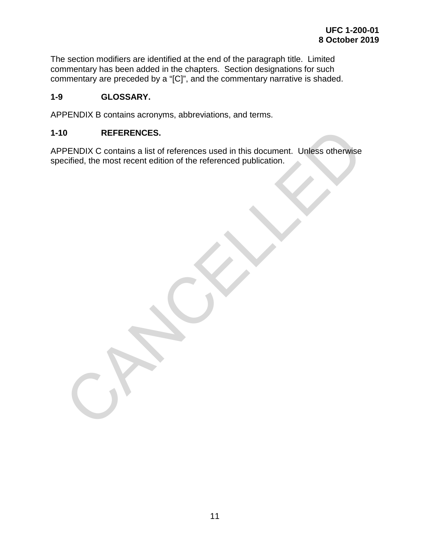The section modifiers are identified at the end of the paragraph title. Limited commentary has been added in the chapters. Section designations for such commentary are preceded by a "[C]", and the commentary narrative is shaded.

#### **1-9 GLOSSARY.**

APPENDIX B contains acronyms, abbreviations, and terms.

#### **1-10 REFERENCES.**

APPENDIX C contains a list of references used in this document. Unless otherwise specified, the most recent edition of the referenced publication. ONDIX C contains a list of references used in this document. Unless otherwise<br>Crified, the most recent edition of the referenced publication.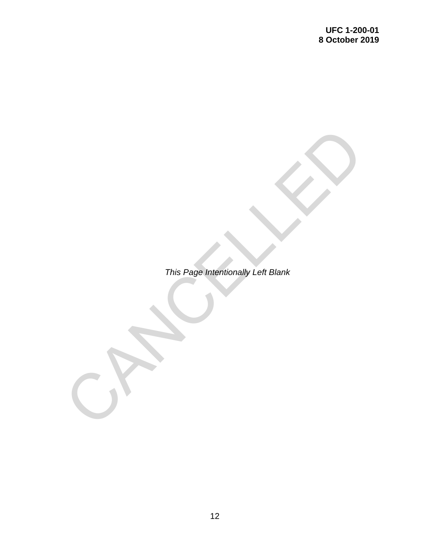*This Page Intentionally Left Blank* This Page Internionally Left Blank<br>
This Page Internionally Left Blank<br>
Canada<br>
Canada<br>
Canada<br>
Canada<br>
Canada<br>
Canada<br>
Canada<br>
Canada<br>
Canada<br>
Canada<br>
Canada<br>
Canada<br>
Canada<br>
Canada<br>
Canada<br>
Canada<br>
Canada<br>
Canada<br>
Canada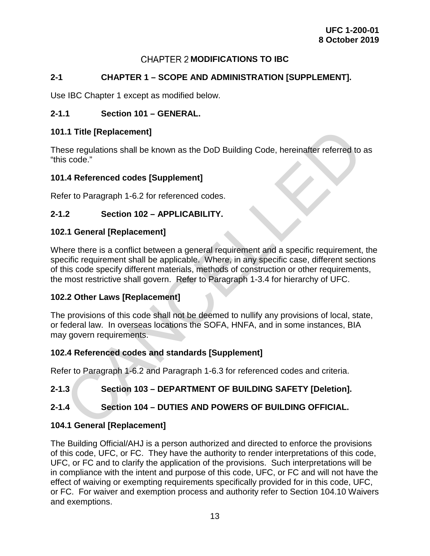# **CHAPTER 2 MODIFICATIONS TO IBC**

# **2-1 CHAPTER 1 – SCOPE AND ADMINISTRATION [SUPPLEMENT].**

Use IBC Chapter 1 except as modified below.

#### **2-1.1 Section 101 – GENERAL.**

#### **101.1 Title [Replacement]**

These regulations shall be known as the DoD Building Code, hereinafter referred to as "this code."

#### **101.4 Referenced codes [Supplement]**

Refer to Paragraph 1-6.2 for referenced codes.

#### **2-1.2 Section 102 – APPLICABILITY.**

#### **102.1 General [Replacement]**

Where there is a conflict between a general requirement and a specific requirement, the specific requirement shall be applicable. Where, in any specific case, different sections of this code specify different materials, methods of construction or other requirements, the most restrictive shall govern. Refer to Paragraph 1-3.4 for hierarchy of UFC. 1.1 Title [Replacement]<br>
See regulations shall be known as the DoD Building Code, hereinafter referred to<br>
scode."<br>
4. Referenced codes [Supplement]<br>
er to Paragraph 1-6.2 for referenced codes.<br>
Section 102 – APPLICABILITY

#### **102.2 Other Laws [Replacement]**

The provisions of this code shall not be deemed to nullify any provisions of local, state, or federal law. In overseas locations the SOFA, HNFA, and in some instances, BIA may govern requirements.

#### **102.4 Referenced codes and standards [Supplement]**

Refer to Paragraph 1-6.2 and Paragraph 1-6.3 for referenced codes and criteria.

#### **2-1.3 Section 103 – DEPARTMENT OF BUILDING SAFETY [Deletion].**

#### **2-1.4 Section 104 – DUTIES AND POWERS OF BUILDING OFFICIAL.**

#### **104.1 General [Replacement]**

The Building Official/AHJ is a person authorized and directed to enforce the provisions of this code, UFC, or FC. They have the authority to render interpretations of this code, UFC, or FC and to clarify the application of the provisions. Such interpretations will be in compliance with the intent and purpose of this code, UFC, or FC and will not have the effect of waiving or exempting requirements specifically provided for in this code, UFC, or FC. For waiver and exemption process and authority refer to Section 104.10 Waivers and exemptions.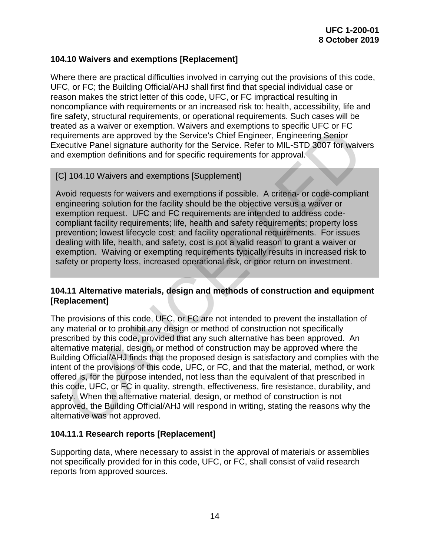#### **104.10 Waivers and exemptions [Replacement]**

Where there are practical difficulties involved in carrying out the provisions of this code, UFC, or FC; the Building Official/AHJ shall first find that special individual case or reason makes the strict letter of this code, UFC, or FC impractical resulting in noncompliance with requirements or an increased risk to: health, accessibility, life and fire safety, structural requirements, or operational requirements. Such cases will be treated as a waiver or exemption. Waivers and exemptions to specific UFC or FC requirements are approved by the Service's Chief Engineer, Engineering Senior Executive Panel signature authority for the Service. Refer to MIL-STD 3007 for waivers and exemption definitions and for specific requirements for approval.

#### [C] 104.10 Waivers and exemptions [Supplement]

Avoid requests for waivers and exemptions if possible. A criteria- or code-compliant engineering solution for the facility should be the objective versus a waiver or exemption request. UFC and FC requirements are intended to address codecompliant facility requirements; life, health and safety requirements; property loss prevention; lowest lifecycle cost; and facility operational requirements. For issues dealing with life, health, and safety, cost is not a valid reason to grant a waiver or exemption. Waiving or exempting requirements typically results in increased risk to safety or property loss, increased operational risk, or poor return on investment.

#### **104.11 Alternative materials, design and methods of construction and equipment [Replacement]**

The provisions of this code, UFC, or FC are not intended to prevent the installation of any material or to prohibit any design or method of construction not specifically prescribed by this code, provided that any such alternative has been approved. An alternative material, design, or method of construction may be approved where the Building Official/AHJ finds that the proposed design is satisfactory and complies with the intent of the provisions of this code, UFC, or FC, and that the material, method, or work offered is, for the purpose intended, not less than the equivalent of that prescribed in this code, UFC, or FC in quality, strength, effectiveness, fire resistance, durability, and safety. When the alternative material, design, or method of construction is not approved, the Building Official/AHJ will respond in writing, stating the reasons why the alternative was not approved. to a various of the Service Schief Engineer, Engineering Serior<br>
Luitements are approved by the Services Chief Engineer, Engineering Serior<br>
cultive Panel signature authority for the Service. Refer to MIL-STD 3007 for waiv

#### **104.11.1 Research reports [Replacement]**

Supporting data, where necessary to assist in the approval of materials or assemblies not specifically provided for in this code, UFC, or FC, shall consist of valid research reports from approved sources.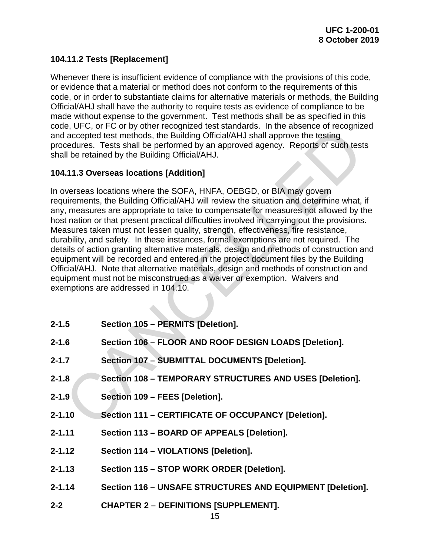# **104.11.2 Tests [Replacement]**

Whenever there is insufficient evidence of compliance with the provisions of this code, or evidence that a material or method does not conform to the requirements of this code, or in order to substantiate claims for alternative materials or methods, the Building Official/AHJ shall have the authority to require tests as evidence of compliance to be made without expense to the government. Test methods shall be as specified in this code, UFC, or FC or by other recognized test standards. In the absence of recognized and accepted test methods, the Building Official/AHJ shall approve the testing procedures. Tests shall be performed by an approved agency. Reports of such tests shall be retained by the Building Official/AHJ.

#### **104.11.3 Overseas locations [Addition]**

|            | 0000, 01 0, 01 1 0 01 by 011101 TOOOgHLEGU toot otaHudi up. 111 the about 100 of TooogHLEG<br>and accepted test methods, the Building Official/AHJ shall approve the testing<br>procedures. Tests shall be performed by an approved agency. Reports of such tests<br>shall be retained by the Building Official/AHJ.                                                                                                                                                                                                                                                                                                                                                                                                                                                                                                                                                                                                             |
|------------|----------------------------------------------------------------------------------------------------------------------------------------------------------------------------------------------------------------------------------------------------------------------------------------------------------------------------------------------------------------------------------------------------------------------------------------------------------------------------------------------------------------------------------------------------------------------------------------------------------------------------------------------------------------------------------------------------------------------------------------------------------------------------------------------------------------------------------------------------------------------------------------------------------------------------------|
|            | 104.11.3 Overseas locations [Addition]                                                                                                                                                                                                                                                                                                                                                                                                                                                                                                                                                                                                                                                                                                                                                                                                                                                                                           |
|            | In overseas locations where the SOFA, HNFA, OEBGD, or BIA may govern<br>requirements, the Building Official/AHJ will review the situation and determine what, if<br>any, measures are appropriate to take to compensate for measures not allowed by th<br>host nation or that present practical difficulties involved in carrying out the provisions.<br>Measures taken must not lessen quality, strength, effectiveness, fire resistance,<br>durability, and safety. In these instances, formal exemptions are not required. The<br>details of action granting alternative materials, design and methods of construction an<br>equipment will be recorded and entered in the project document files by the Building<br>Official/AHJ. Note that alternative materials, design and methods of construction and<br>equipment must not be misconstrued as a waiver or exemption. Waivers and<br>exemptions are addressed in 104.10. |
| $2 - 1.5$  | Section 105 - PERMITS [Deletion].                                                                                                                                                                                                                                                                                                                                                                                                                                                                                                                                                                                                                                                                                                                                                                                                                                                                                                |
|            |                                                                                                                                                                                                                                                                                                                                                                                                                                                                                                                                                                                                                                                                                                                                                                                                                                                                                                                                  |
| 2-1.6      | Section 106 - FLOOR AND ROOF DESIGN LOADS [Deletion].                                                                                                                                                                                                                                                                                                                                                                                                                                                                                                                                                                                                                                                                                                                                                                                                                                                                            |
| $2 - 1.7$  | Section 107 - SUBMITTAL DOCUMENTS [Deletion].                                                                                                                                                                                                                                                                                                                                                                                                                                                                                                                                                                                                                                                                                                                                                                                                                                                                                    |
| $2 - 1.8$  | Section 108 - TEMPORARY STRUCTURES AND USES [Deletion].                                                                                                                                                                                                                                                                                                                                                                                                                                                                                                                                                                                                                                                                                                                                                                                                                                                                          |
| $2 - 1.9$  | Section 109 - FEES [Deletion].                                                                                                                                                                                                                                                                                                                                                                                                                                                                                                                                                                                                                                                                                                                                                                                                                                                                                                   |
| $2 - 1.10$ | Section 111 - CERTIFICATE OF OCCUPANCY [Deletion].                                                                                                                                                                                                                                                                                                                                                                                                                                                                                                                                                                                                                                                                                                                                                                                                                                                                               |
| 2-1.11     | Section 113 - BOARD OF APPEALS [Deletion].                                                                                                                                                                                                                                                                                                                                                                                                                                                                                                                                                                                                                                                                                                                                                                                                                                                                                       |
| $2 - 1.12$ | Section 114 - VIOLATIONS [Deletion].                                                                                                                                                                                                                                                                                                                                                                                                                                                                                                                                                                                                                                                                                                                                                                                                                                                                                             |
| 2-1.13     | Section 115 - STOP WORK ORDER [Deletion].                                                                                                                                                                                                                                                                                                                                                                                                                                                                                                                                                                                                                                                                                                                                                                                                                                                                                        |
| 2-1.14     | Section 116 - UNSAFE STRUCTURES AND EQUIPMENT [Deletion].                                                                                                                                                                                                                                                                                                                                                                                                                                                                                                                                                                                                                                                                                                                                                                                                                                                                        |
| $2 - 2$    | <b>CHAPTER 2 - DEFINITIONS [SUPPLEMENT].</b>                                                                                                                                                                                                                                                                                                                                                                                                                                                                                                                                                                                                                                                                                                                                                                                                                                                                                     |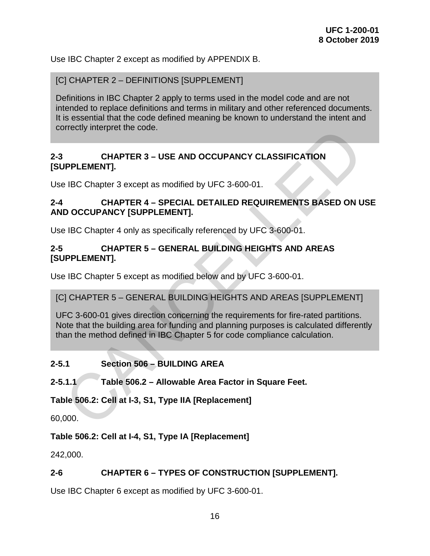Use IBC Chapter 2 except as modified by APPENDIX B.

#### [C] CHAPTER 2 – DEFINITIONS [SUPPLEMENT]

Definitions in IBC Chapter 2 apply to terms used in the model code and are not intended to replace definitions and terms in military and other referenced documents. It is essential that the code defined meaning be known to understand the intent and correctly interpret the code.

#### **2-3 CHAPTER 3 – USE AND OCCUPANCY CLASSIFICATION [SUPPLEMENT].**

Use IBC Chapter 3 except as modified by UFC 3-600-01.

#### **2-4 CHAPTER 4 – SPECIAL DETAILED REQUIREMENTS BASED ON USE AND OCCUPANCY [SUPPLEMENT].**

Use IBC Chapter 4 only as specifically referenced by UFC 3-600-01.

#### **2-5 CHAPTER 5 – GENERAL BUILDING HEIGHTS AND AREAS [SUPPLEMENT].**

Use IBC Chapter 5 except as modified below and by UFC 3-600-01.

#### [C] CHAPTER 5 – GENERAL BUILDING HEIGHTS AND AREAS [SUPPLEMENT]

UFC 3-600-01 gives direction concerning the requirements for fire-rated partitions. Note that the building area for funding and planning purposes is calculated differently than the method defined in IBC Chapter 5 for code compliance calculation. CHAPTER 3 – USE AND OCCUPANCY CLASSIFICATION<br>
PPLEMENT].<br>
BIBC Chapter 3 except as modified by UFC 3-600-01.<br>
CHAPTER 4 – SPECIAL DETAILED REQUIREMENTS BASED ON U<br>
DOCCUPANCY [SUPPLEMENT].<br>
BIBC Chapter 4 only as specifica

#### **2-5.1 Section 506 – BUILDING AREA**

**2-5.1.1 Table 506.2 – Allowable Area Factor in Square Feet.** 

**Table 506.2: Cell at I-3, S1, Type IIA [Replacement]** 

60,000.

#### **Table 506.2: Cell at I-4, S1, Type IA [Replacement]**

242,000.

#### **2-6 CHAPTER 6 – TYPES OF CONSTRUCTION [SUPPLEMENT].**

Use IBC Chapter 6 except as modified by UFC 3-600-01.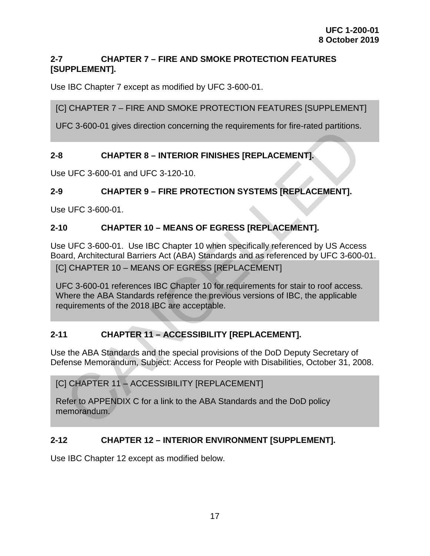# **2-7 CHAPTER 7 – FIRE AND SMOKE PROTECTION FEATURES [SUPPLEMENT].**

Use IBC Chapter 7 except as modified by UFC 3-600-01.

#### [C] CHAPTER 7 – FIRE AND SMOKE PROTECTION FEATURES [SUPPLEMENT]

UFC 3-600-01 gives direction concerning the requirements for fire-rated partitions.

#### **2-8 CHAPTER 8 – INTERIOR FINISHES [REPLACEMENT].**

Use UFC 3-600-01 and UFC 3-120-10.

#### **2-9 CHAPTER 9 – FIRE PROTECTION SYSTEMS [REPLACEMENT].**

Use UFC 3-600-01.

#### **2-10 CHAPTER 10 – MEANS OF EGRESS [REPLACEMENT].**

Use UFC 3-600-01. Use IBC Chapter 10 when specifically referenced by US Access Board, Architectural Barriers Act (ABA) Standards and as referenced by UFC 3-600-01.

[C] CHAPTER 10 – MEANS OF EGRESS [REPLACEMENT]

UFC 3-600-01 references IBC Chapter 10 for requirements for stair to roof access. Where the ABA Standards reference the previous versions of IBC, the applicable requirements of the 2018 IBC are acceptable. C 3-600-01 and UFC 3-120-10.<br>CHAPTER 8 – INTERIOR FINISHES [REPLACEMENT].<br>CHAPTER 9 – FIRE PROTECTION SYSTEMS [REPLACEMENT].<br>CHAPTER 9 – FIRE PROTECTION SYSTEMS [REPLACEMENT].<br>BUFC 3-600-01.<br>CHAPTER 10 – MEANS OF EGRESS [R

#### **2-11 CHAPTER 11 – ACCESSIBILITY [REPLACEMENT].**

Use the ABA Standards and the special provisions of the DoD Deputy Secretary of Defense Memorandum, Subject: Access for People with Disabilities, October 31, 2008.

# [C] CHAPTER 11 – ACCESSIBILITY [REPLACEMENT]

Refer to APPENDIX C for a link to the ABA Standards and the DoD policy memorandum.

#### **2-12 CHAPTER 12 – INTERIOR ENVIRONMENT [SUPPLEMENT].**

Use IBC Chapter 12 except as modified below.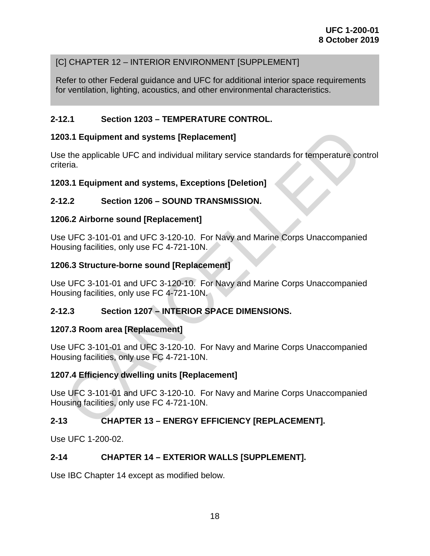## [C] CHAPTER 12 – INTERIOR ENVIRONMENT [SUPPLEMENT]

Refer to other Federal guidance and UFC for additional interior space requirements for ventilation, lighting, acoustics, and other environmental characteristics.

## **2-12.1 Section 1203 – TEMPERATURE CONTROL.**

#### **1203.1 Equipment and systems [Replacement]**

Use the applicable UFC and individual military service standards for temperature control criteria.

#### **1203.1 Equipment and systems, Exceptions [Deletion]**

#### **2-12.2 Section 1206 – SOUND TRANSMISSION.**

#### **1206.2 Airborne sound [Replacement]**

Use UFC 3-101-01 and UFC 3-120-10. For Navy and Marine Corps Unaccompanied Housing facilities, only use FC 4-721-10N.

#### **1206.3 Structure-borne sound [Replacement]**

Use UFC 3-101-01 and UFC 3-120-10. For Navy and Marine Corps Unaccompanied Housing facilities, only use FC 4-721-10N.

# **2-12.3 Section 1207 – INTERIOR SPACE DIMENSIONS.**

#### **1207.3 Room area [Replacement]**

Use UFC 3-101-01 and UFC 3-120-10. For Navy and Marine Corps Unaccompanied Housing facilities, only use FC 4-721-10N.

#### **1207.4 Efficiency dwelling units [Replacement]**

Use UFC 3-101-01 and UFC 3-120-10. For Navy and Marine Corps Unaccompanied Housing facilities, only use FC 4-721-10N. 9.1 Equipment and systems [Replacement]<br>
the applicable UFC and individual military service standards for temperature cor-<br>
Fria.<br>
9.1 Equipment and systems, Exceptions [Deletion]<br>
2.2 Section 1206 – SOUND TRANSMISSION.<br>

#### **2-13 CHAPTER 13 – ENERGY EFFICIENCY [REPLACEMENT].**

Use UFC 1-200-02.

#### **2-14 CHAPTER 14 – EXTERIOR WALLS [SUPPLEMENT].**

Use IBC Chapter 14 except as modified below.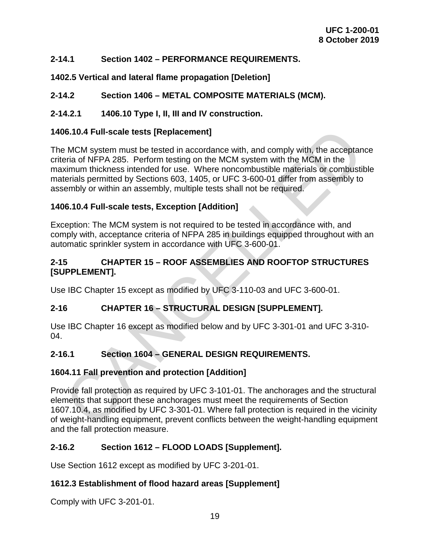# **2-14.1 Section 1402 – PERFORMANCE REQUIREMENTS.**

**1402.5 Vertical and lateral flame propagation [Deletion]**

# **2-14.2 Section 1406 – METAL COMPOSITE MATERIALS (MCM).**

#### **2-14.2.1 1406.10 Type I, II, III and IV construction.**

#### **1406.10.4 Full-scale tests [Replacement]**

The MCM system must be tested in accordance with, and comply with, the acceptance criteria of NFPA 285. Perform testing on the MCM system with the MCM in the maximum thickness intended for use. Where noncombustible materials or combustible materials permitted by Sections 603, 1405, or UFC 3-600-01 differ from assembly to assembly or within an assembly, multiple tests shall not be required. **16.10.4 Full-scale tests [Replacement]**<br>
MCM system must be tested in accordance with, and comply with, the acceptancy<br>
MCM system must be tested in accordance with, and comply with, the acceptanc<br>
Minimum trickness inten

#### **1406.10.4 Full-scale tests, Exception [Addition]**

Exception: The MCM system is not required to be tested in accordance with, and comply with, acceptance criteria of NFPA 285 in buildings equipped throughout with an automatic sprinkler system in accordance with UFC 3-600-01.

#### **2-15 CHAPTER 15 – ROOF ASSEMBLIES AND ROOFTOP STRUCTURES [SUPPLEMENT].**

Use IBC Chapter 15 except as modified by UFC 3-110-03 and UFC 3-600-01.

#### **2-16 CHAPTER 16 – STRUCTURAL DESIGN [SUPPLEMENT].**

Use IBC Chapter 16 except as modified below and by UFC 3-301-01 and UFC 3-310- 04.

#### **2-16.1 Section 1604 – GENERAL DESIGN REQUIREMENTS.**

#### **1604.11 Fall prevention and protection [Addition]**

Provide fall protection as required by UFC 3-101-01. The anchorages and the structural elements that support these anchorages must meet the requirements of Section 1607.10.4, as modified by UFC 3-301-01. Where fall protection is required in the vicinity of weight-handling equipment, prevent conflicts between the weight-handling equipment and the fall protection measure.

#### **2-16.2 Section 1612 – FLOOD LOADS [Supplement].**

Use Section 1612 except as modified by UFC 3-201-01.

#### **1612.3 Establishment of flood hazard areas [Supplement]**

Comply with UFC 3-201-01.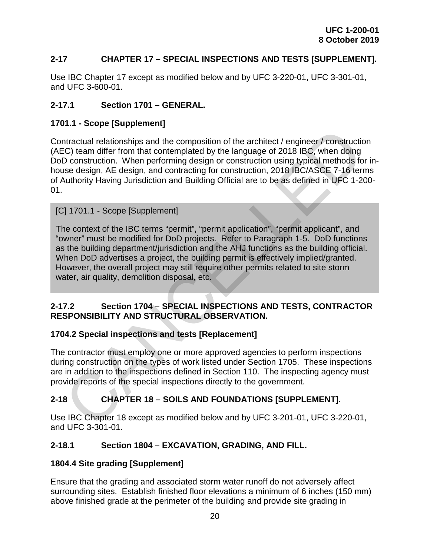## **2-17 CHAPTER 17 – SPECIAL INSPECTIONS AND TESTS [SUPPLEMENT].**

Use IBC Chapter 17 except as modified below and by UFC 3-220-01, UFC 3-301-01, and UFC 3-600-01.

#### **2-17.1 Section 1701 – GENERAL.**

#### **1701.1 - Scope [Supplement]**

Contractual relationships and the composition of the architect / engineer / construction (AEC) team differ from that contemplated by the language of 2018 IBC, when doing DoD construction. When performing design or construction using typical methods for inhouse design, AE design, and contracting for construction, 2018 IBC/ASCE 7-16 terms of Authority Having Jurisdiction and Building Official are to be as defined in UFC 1-200- 01. ntractual relationships and the composition of the architect / engineer / constructic)<br>C) team differ from that contemplated by the language of 2018 IBC, when doing<br>Construction. When performing design or construction usin

#### [C] 1701.1 - Scope [Supplement]

The context of the IBC terms "permit", "permit application", "permit applicant", and "owner" must be modified for DoD projects. Refer to Paragraph 1-5. DoD functions as the building department/jurisdiction and the AHJ functions as the building official. When DoD advertises a project, the building permit is effectively implied/granted. However, the overall project may still require other permits related to site storm water, air quality, demolition disposal, etc.

#### **2-17.2 Section 1704 – SPECIAL INSPECTIONS AND TESTS, CONTRACTOR RESPONSIBILITY AND STRUCTURAL OBSERVATION.**

#### **1704.2 Special inspections and tests [Replacement]**

The contractor must employ one or more approved agencies to perform inspections during construction on the types of work listed under Section 1705. These inspections are in addition to the inspections defined in Section 110. The inspecting agency must provide reports of the special inspections directly to the government.

#### **2-18 CHAPTER 18 – SOILS AND FOUNDATIONS [SUPPLEMENT].**

Use IBC Chapter 18 except as modified below and by UFC 3-201-01, UFC 3-220-01, and UFC 3-301-01.

#### **2-18.1 Section 1804 – EXCAVATION, GRADING, AND FILL.**

#### **1804.4 Site grading [Supplement]**

Ensure that the grading and associated storm water runoff do not adversely affect surrounding sites. Establish finished floor elevations a minimum of 6 inches (150 mm) above finished grade at the perimeter of the building and provide site grading in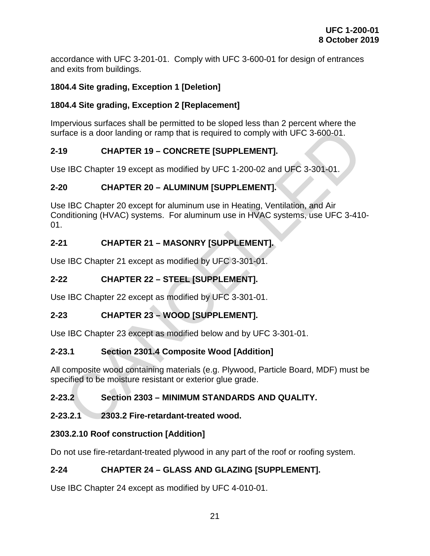accordance with UFC 3-201-01. Comply with UFC 3-600-01 for design of entrances and exits from buildings.

# **1804.4 Site grading, Exception 1 [Deletion]**

# **1804.4 Site grading, Exception 2 [Replacement]**

Impervious surfaces shall be permitted to be sloped less than 2 percent where the surface is a door landing or ramp that is required to comply with UFC 3-600-01.

# **2-19 CHAPTER 19 – CONCRETE [SUPPLEMENT].**

Use IBC Chapter 19 except as modified by UFC 1-200-02 and UFC 3-301-01.

# **2-20 CHAPTER 20 – ALUMINUM [SUPPLEMENT].**

Use IBC Chapter 20 except for aluminum use in Heating, Ventilation, and Air Conditioning (HVAC) systems. For aluminum use in HVAC systems, use UFC 3-410- 01. Face is a door landing or ramp that is required to comply with UFC 3-600-01.<br>
9 CHAPTER 19 – CONCRETE [SUPPLEMENT].<br>
9 IBC Chapter 19 except as modified by UFC 1-200-02 and UFC 3-301-01.<br>
0 CHAPTER 20 – ALUMINUM [SUPPLEMEN

# **2-21 CHAPTER 21 – MASONRY [SUPPLEMENT].**

Use IBC Chapter 21 except as modified by UFC 3-301-01.

# **2-22 CHAPTER 22 – STEEL [SUPPLEMENT].**

Use IBC Chapter 22 except as modified by UFC 3-301-01.

# **2-23 CHAPTER 23 – WOOD [SUPPLEMENT].**

Use IBC Chapter 23 except as modified below and by UFC 3-301-01.

# **2-23.1 Section 2301.4 Composite Wood [Addition]**

All composite wood containing materials (e.g. Plywood, Particle Board, MDF) must be specified to be moisture resistant or exterior glue grade.

# **2-23.2 Section 2303 – MINIMUM STANDARDS AND QUALITY.**

#### **2-23.2.1 2303.2 Fire-retardant-treated wood.**

#### **2303.2.10 Roof construction [Addition]**

Do not use fire-retardant-treated plywood in any part of the roof or roofing system.

# **2-24 CHAPTER 24 – GLASS AND GLAZING [SUPPLEMENT].**

Use IBC Chapter 24 except as modified by UFC 4-010-01.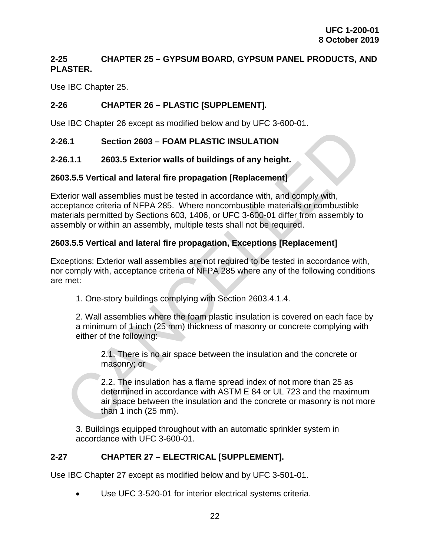# **2-25 CHAPTER 25 – GYPSUM BOARD, GYPSUM PANEL PRODUCTS, AND PLASTER.**

Use IBC Chapter 25.

# **2-26 CHAPTER 26 – PLASTIC [SUPPLEMENT].**

Use IBC Chapter 26 except as modified below and by UFC 3-600-01.

#### **2-26.1 Section 2603 – FOAM PLASTIC INSULATION**

#### **2-26.1.1 2603.5 Exterior walls of buildings of any height.**

#### **2603.5.5 Vertical and lateral fire propagation [Replacement]**

Exterior wall assemblies must be tested in accordance with, and comply with, acceptance criteria of NFPA 285. Where noncombustible materials or combustible materials permitted by Sections 603, 1406, or UFC 3-600-01 differ from assembly to assembly or within an assembly, multiple tests shall not be required. 6.1 Section 2603 – FOAM PLASTIC INSULATION<br>
6.1.1 2603.5 Exterior walls of buildings of any height.<br>
3.5.5 Vertical and lateral fire propagation [Replacement]<br>
eightnee criteria of NFPA 285. Where noncombustible metals or

#### **2603.5.5 Vertical and lateral fire propagation, Exceptions [Replacement]**

Exceptions: Exterior wall assemblies are not required to be tested in accordance with, nor comply with, acceptance criteria of NFPA 285 where any of the following conditions are met:

1. One-story buildings complying with Section 2603.4.1.4.

2. Wall assemblies where the foam plastic insulation is covered on each face by a minimum of 1 inch (25 mm) thickness of masonry or concrete complying with either of the following:

2.1. There is no air space between the insulation and the concrete or masonry; or

2.2. The insulation has a flame spread index of not more than 25 as determined in accordance with ASTM E 84 or UL 723 and the maximum air space between the insulation and the concrete or masonry is not more than 1 inch (25 mm).

3. Buildings equipped throughout with an automatic sprinkler system in accordance with UFC 3-600-01.

#### **2-27 CHAPTER 27 – ELECTRICAL [SUPPLEMENT].**

Use IBC Chapter 27 except as modified below and by UFC 3-501-01.

Use UFC 3-520-01 for interior electrical systems criteria.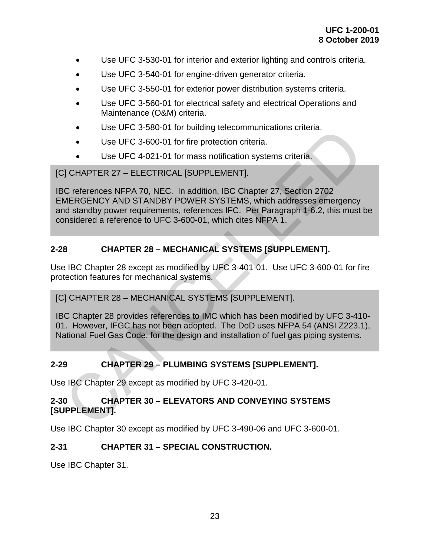- Use UFC 3-530-01 for interior and exterior lighting and controls criteria.
- Use UFC 3-540-01 for engine-driven generator criteria.
- Use UFC 3-550-01 for exterior power distribution systems criteria.
- Use UFC 3-560-01 for electrical safety and electrical Operations and Maintenance (O&M) criteria.
- Use UFC 3-580-01 for building telecommunications criteria.
- Use UFC 3-600-01 for fire protection criteria.
- Use UFC 4-021-01 for mass notification systems criteria.

[C] CHAPTER 27 – ELECTRICAL [SUPPLEMENT].

IBC references NFPA 70, NEC. In addition, IBC Chapter 27, Section 2702 EMERGENCY AND STANDBY POWER SYSTEMS, which addresses emergency and standby power requirements, references IFC. Per Paragraph 1-6.2, this must be considered a reference to UFC 3-600-01, which cites NFPA 1. CREAD TO THE TRANSPORT ON THE PROCESS AND CONVEYING SYSTEMS<br>
USE UFC 3-600-01 for the protection criteria.<br>
CHAPTER 27 – ELECTRICAL [SUPPLEMENT].<br>
CHAPTER 27 – ELECTRICAL [SUPPLEMENT].<br>
CERÉPRICES NPPA 70, NEC. In addition

#### **2-28 CHAPTER 28 – MECHANICAL SYSTEMS [SUPPLEMENT].**

Use IBC Chapter 28 except as modified by UFC 3-401-01. Use UFC 3-600-01 for fire protection features for mechanical systems.

#### [C] CHAPTER 28 – MECHANICAL SYSTEMS [SUPPLEMENT].

IBC Chapter 28 provides references to IMC which has been modified by UFC 3-410- 01. However, IFGC has not been adopted. The DoD uses NFPA 54 (ANSI Z223.1), National Fuel Gas Code, for the design and installation of fuel gas piping systems.

#### **2-29 CHAPTER 29 – PLUMBING SYSTEMS [SUPPLEMENT].**

Use IBC Chapter 29 except as modified by UFC 3-420-01.

#### **2-30 CHAPTER 30 – ELEVATORS AND CONVEYING SYSTEMS [SUPPLEMENT].**

Use IBC Chapter 30 except as modified by UFC 3-490-06 and UFC 3-600-01.

#### **2-31 CHAPTER 31 – SPECIAL CONSTRUCTION.**

Use IBC Chapter 31.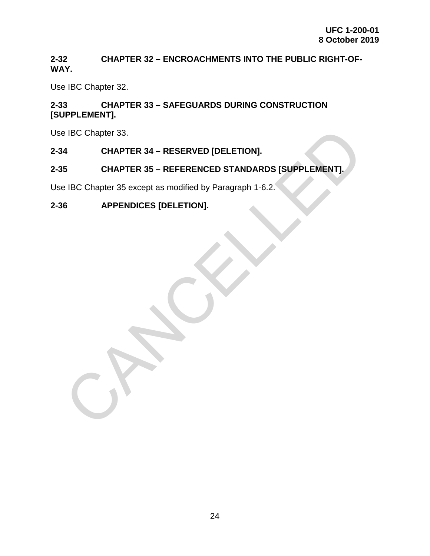# **2-32 CHAPTER 32 – ENCROACHMENTS INTO THE PUBLIC RIGHT-OF-WAY.**

Use IBC Chapter 32.

# **2-33 CHAPTER 33 – SAFEGUARDS DURING CONSTRUCTION [SUPPLEMENT].**

Use IBC Chapter 33.

# **2-34 CHAPTER 34 – RESERVED [DELETION].**

# **2-35 CHAPTER 35 – REFERENCED STANDARDS [SUPPLEMENT].** BIC Chapter 33.<br>
CHAPTER 34 – RESERVED [DELETION].<br>
S<br>
CHAPTER 35 – REFERENCED STANDARDS [SUPPLEMENT].<br>
6 – APPENDICES [DELETION].<br>
S<br>
CHAPTER SEXCEPT AS except as modified by Paragraph 1-6.2.

Use IBC Chapter 35 except as modified by Paragraph 1-6.2.

# **2-36 APPENDICES [DELETION].**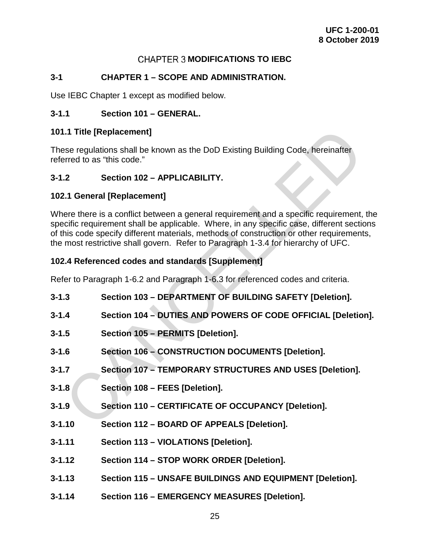#### CHAPTER 3 MODIFICATIONS TO **IEBC**

#### **3-1 CHAPTER 1 – SCOPE AND ADMINISTRATION.**

Use IEBC Chapter 1 except as modified below.

#### **3-1.1 Section 101 – GENERAL.**

#### **101.1 Title [Replacement]**

These regulations shall be known as the DoD Existing Building Code, hereinafter referred to as "this code."

#### **3-1.2 Section 102 – APPLICABILITY.**

#### **102.1 General [Replacement]**

Where there is a conflict between a general requirement and a specific requirement, the specific requirement shall be applicable. Where, in any specific case, different sections of this code specify different materials, methods of construction or other requirements, the most restrictive shall govern. Refer to Paragraph 1-3.4 for hierarchy of UFC. 1.1 Title [Replacement]<br>
See regulations shall be known as the DoD Existing Building Code, hereinafter<br>
red to as "this code."<br>
Section 102 – APPLICABILITY.<br>
2.1 General [Replacement]<br>
ere there is a conflict between a gen

#### **102.4 Referenced codes and standards [Supplement]**

Refer to Paragraph 1-6.2 and Paragraph 1-6.3 for referenced codes and criteria.

- **3-1.3 Section 103 DEPARTMENT OF BUILDING SAFETY [Deletion].**
- **3-1.4 Section 104 DUTIES AND POWERS OF CODE OFFICIAL [Deletion].**
- **3-1.5 Section 105 PERMITS [Deletion].**
- **3-1.6 Section 106 CONSTRUCTION DOCUMENTS [Deletion].**
- **3-1.7 Section 107 TEMPORARY STRUCTURES AND USES [Deletion].**
- **3-1.8 Section 108 FEES [Deletion].**
- **3-1.9 Section 110 CERTIFICATE OF OCCUPANCY [Deletion].**
- **3-1.10 Section 112 BOARD OF APPEALS [Deletion].**
- **3-1.11 Section 113 VIOLATIONS [Deletion].**
- **3-1.12 Section 114 STOP WORK ORDER [Deletion].**
- **3-1.13 Section 115 UNSAFE BUILDINGS AND EQUIPMENT [Deletion].**
- **3-1.14 Section 116 EMERGENCY MEASURES [Deletion].**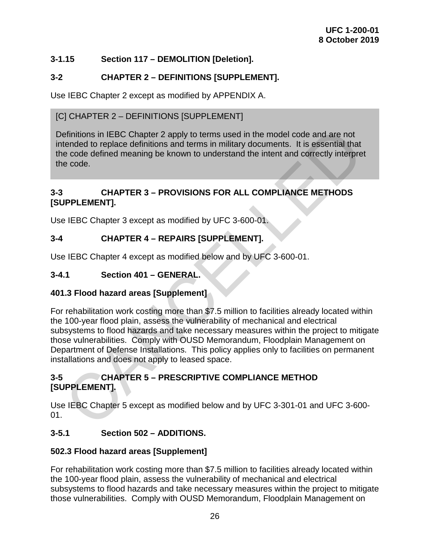# **3-1.15 Section 117 – DEMOLITION [Deletion].**

# **3-2 CHAPTER 2 – DEFINITIONS [SUPPLEMENT].**

Use IEBC Chapter 2 except as modified by APPENDIX A.

# [C] CHAPTER 2 – DEFINITIONS [SUPPLEMENT]

Definitions in IEBC Chapter 2 apply to terms used in the model code and are not intended to replace definitions and terms in military documents. It is essential that the code defined meaning be known to understand the intent and correctly interpret the code.

#### **3-3 CHAPTER 3 – PROVISIONS FOR ALL COMPLIANCE METHODS [SUPPLEMENT].**

Use IEBC Chapter 3 except as modified by UFC 3-600-01.

# **3-4 CHAPTER 4 – REPAIRS [SUPPLEMENT].**

Use IEBC Chapter 4 except as modified below and by UFC 3-600-01.

#### **3-4.1 Section 401 – GENERAL.**

#### **401.3 Flood hazard areas [Supplement]**

For rehabilitation work costing more than \$7.5 million to facilities already located within the 100-year flood plain, assess the vulnerability of mechanical and electrical subsystems to flood hazards and take necessary measures within the project to mitigate those vulnerabilities. Comply with OUSD Memorandum, Floodplain Management on Department of Defense Installations. This policy applies only to facilities on permanent installations and does not apply to leased space. efinitions in IEBC Chapter 2 apply to terms used in the model code and are not<br>
ended to replace definitions and terms in military documents. It is essential that<br>
ended to replace definitions and terms in military documen

#### **3-5 CHAPTER 5 – PRESCRIPTIVE COMPLIANCE METHOD [SUPPLEMENT].**

Use IEBC Chapter 5 except as modified below and by UFC 3-301-01 and UFC 3-600- 01.

#### **3-5.1 Section 502 – ADDITIONS.**

#### **502.3 Flood hazard areas [Supplement]**

For rehabilitation work costing more than \$7.5 million to facilities already located within the 100-year flood plain, assess the vulnerability of mechanical and electrical subsystems to flood hazards and take necessary measures within the project to mitigate those vulnerabilities. Comply with OUSD Memorandum, Floodplain Management on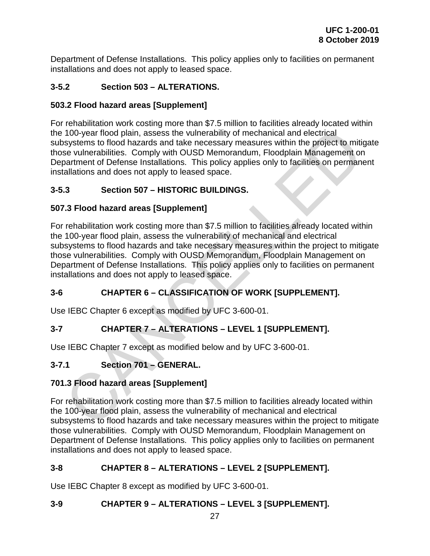Department of Defense Installations. This policy applies only to facilities on permanent installations and does not apply to leased space.

# **3-5.2 Section 503 – ALTERATIONS.**

## **503.2 Flood hazard areas [Supplement]**

For rehabilitation work costing more than \$7.5 million to facilities already located within the 100-year flood plain, assess the vulnerability of mechanical and electrical subsystems to flood hazards and take necessary measures within the project to mitigate those vulnerabilities. Comply with OUSD Memorandum, Floodplain Management on Department of Defense Installations. This policy applies only to facilities on permanent installations and does not apply to leased space.

# **3-5.3 Section 507 – HISTORIC BUILDINGS.**

# **507.3 Flood hazard areas [Supplement]**

For rehabilitation work costing more than \$7.5 million to facilities already located within the 100-year flood plain, assess the vulnerability of mechanical and electrical subsystems to flood hazards and take necessary measures within the project to mitigate those vulnerabilities. Comply with OUSD Memorandum, Floodplain Management on Department of Defense Installations. This policy applies only to facilities on permanent installations and does not apply to leased space. 100-year flood plain, assess the wulnerability of mechanical and electrical<br>systems to flood hazards and take necessary measures within the project to mitigate<br>se vulnerabilities. Comply with OUSD Memorandum, Floodplain Ma

# **3-6 CHAPTER 6 – CLASSIFICATION OF WORK [SUPPLEMENT].**

Use IEBC Chapter 6 except as modified by UFC 3-600-01.

# **3-7 CHAPTER 7 – ALTERATIONS – LEVEL 1 [SUPPLEMENT].**

Use IEBC Chapter 7 except as modified below and by UFC 3-600-01.

# **3-7.1 Section 701 – GENERAL.**

# **701.3 Flood hazard areas [Supplement]**

For rehabilitation work costing more than \$7.5 million to facilities already located within the 100-year flood plain, assess the vulnerability of mechanical and electrical subsystems to flood hazards and take necessary measures within the project to mitigate those vulnerabilities. Comply with OUSD Memorandum, Floodplain Management on Department of Defense Installations. This policy applies only to facilities on permanent installations and does not apply to leased space.

# **3-8 CHAPTER 8 – ALTERATIONS – LEVEL 2 [SUPPLEMENT].**

Use IEBC Chapter 8 except as modified by UFC 3-600-01.

# **3-9 CHAPTER 9 – ALTERATIONS – LEVEL 3 [SUPPLEMENT].**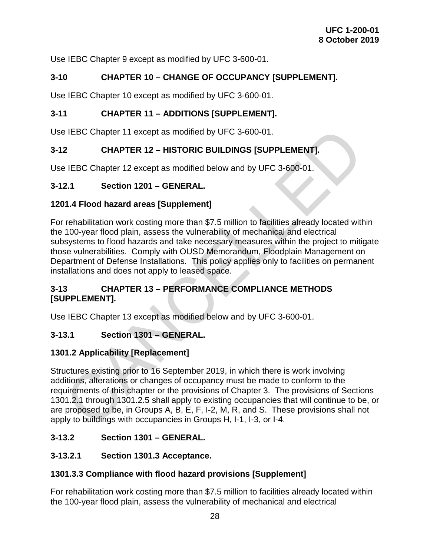Use IEBC Chapter 9 except as modified by UFC 3-600-01.

# **3-10 CHAPTER 10 – CHANGE OF OCCUPANCY [SUPPLEMENT].**

Use IEBC Chapter 10 except as modified by UFC 3-600-01.

## **3-11 CHAPTER 11 – ADDITIONS [SUPPLEMENT].**

Use IEBC Chapter 11 except as modified by UFC 3-600-01.

# **3-12 CHAPTER 12 – HISTORIC BUILDINGS [SUPPLEMENT].**

Use IEBC Chapter 12 except as modified below and by UFC 3-600-01.

### **3-12.1 Section 1201 – GENERAL.**

### **1201.4 Flood hazard areas [Supplement]**

For rehabilitation work costing more than \$7.5 million to facilities already located within the 100-year flood plain, assess the vulnerability of mechanical and electrical subsystems to flood hazards and take necessary measures within the project to mitigate those vulnerabilities. Comply with OUSD Memorandum, Floodplain Management on Department of Defense Installations. This policy applies only to facilities on permanent installations and does not apply to leased space. **EBC Chapter 11 except as modified by UFC 3-600-01.**<br> **CHAPTER 12 – HISTORIC BUILDINGS [SUPPLEMENT].**<br> **CHAPTER 12 – HISTORIC BUILDINGS [SUPPLEMENT].**<br> **Section 1201 – GENERAL.**<br> **CHAPTER 12 except as modified below and by** 

### **3-13 CHAPTER 13 – PERFORMANCE COMPLIANCE METHODS [SUPPLEMENT].**

Use IEBC Chapter 13 except as modified below and by UFC 3-600-01.

### **3-13.1 Section 1301 – GENERAL.**

### **1301.2 Applicability [Replacement]**

Structures existing prior to 16 September 2019, in which there is work involving additions, alterations or changes of occupancy must be made to conform to the requirements of this chapter or the provisions of Chapter 3. The provisions of Sections 1301.2.1 through 1301.2.5 shall apply to existing occupancies that will continue to be, or are proposed to be, in Groups A, B, E, F, I-2, M, R, and S. These provisions shall not apply to buildings with occupancies in Groups H, I-1, I-3, or I-4.

### **3-13.2 Section 1301 – GENERAL.**

### **3-13.2.1 Section 1301.3 Acceptance.**

### **1301.3.3 Compliance with flood hazard provisions [Supplement]**

For rehabilitation work costing more than \$7.5 million to facilities already located within the 100-year flood plain, assess the vulnerability of mechanical and electrical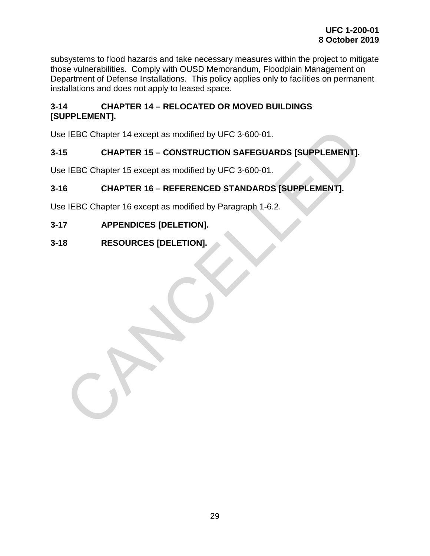subsystems to flood hazards and take necessary measures within the project to mitigate those vulnerabilities. Comply with OUSD Memorandum, Floodplain Management on Department of Defense Installations. This policy applies only to facilities on permanent installations and does not apply to leased space.

### **3-14 CHAPTER 14 – RELOCATED OR MOVED BUILDINGS [SUPPLEMENT].**

Use IEBC Chapter 14 except as modified by UFC 3-600-01.

# **3-15 CHAPTER 15 – CONSTRUCTION SAFEGUARDS [SUPPLEMENT].** IEBC Chapter 14 except as modified by UFC 3-600-01.<br>
SCHAPTER 15 – CONSTRUCTION SAFEGUARDS [SUPPLEMENT].<br>
IEBC Chapter 15 except as modified by UFC 3-600-01.<br>
CHAPTER 16 – REFERENCED STANDARDS [SUPPLEMENT].<br>
IEBC Chapter 1

Use IEBC Chapter 15 except as modified by UFC 3-600-01.

# **3-16 CHAPTER 16 – REFERENCED STANDARDS [SUPPLEMENT].**

Use IEBC Chapter 16 except as modified by Paragraph 1-6.2.

### **3-17 APPENDICES [DELETION].**

**3-18 RESOURCES [DELETION].**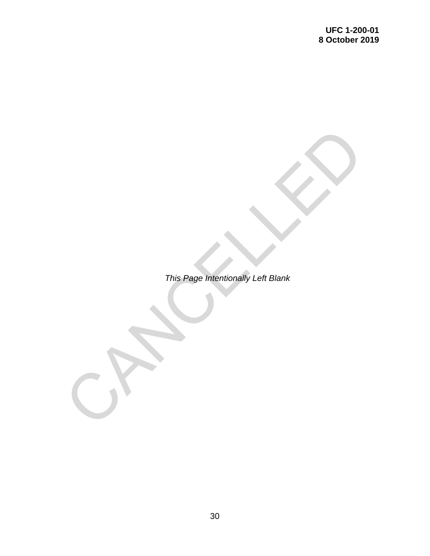*This Page Intentionally Left Blank* This Page Imentionally Left Blank<br>
State of Canada<br>
State of Canada<br>
State of Canada<br>
State of Canada<br>
State of Canada<br>
State of Canada<br>
State of Canada<br>
State of Canada<br>
State of Canada<br>
State of Canada<br>
State of Canada<br>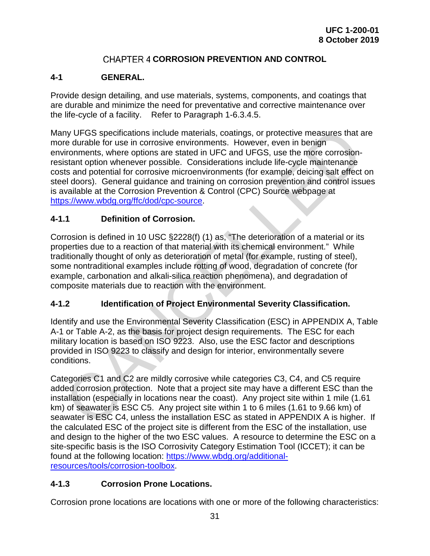## **CHAPTER 4 CORROSION PREVENTION AND CONTROL**

### **4-1 GENERAL.**

Provide design detailing, and use materials, systems, components, and coatings that are durable and minimize the need for preventative and corrective maintenance over the life-cycle of a facility. Refer to Paragraph 1-6.3.4.5.

Many UFGS specifications include materials, coatings, or protective measures that are more durable for use in corrosive environments. However, even in benign environments, where options are stated in UFC and UFGS, use the more corrosionresistant option whenever possible. Considerations include life-cycle maintenance costs and potential for corrosive microenvironments (for example, deicing salt effect on steel doors). General guidance and training on corrosion prevention and control issues is available at the Corrosion Prevention & Control (CPC) Source webpage at https://www.wbdg.org/ffc/dod/cpc-source. ny UFGS specifications include materials, coatings, or protective measures that a<br>
durable for use in corrosive environments. However, even in benign<br>
distinct price materials in the can consider the more corrosion-<br>
stand

### **4-1.1 Definition of Corrosion.**

Corrosion is defined in 10 USC §2228(f) (1) as, "The deterioration of a material or its properties due to a reaction of that material with its chemical environment." While traditionally thought of only as deterioration of metal (for example, rusting of steel), some nontraditional examples include rotting of wood, degradation of concrete (for example, carbonation and alkali-silica reaction phenomena), and degradation of composite materials due to reaction with the environment.

### **4-1.2 Identification of Project Environmental Severity Classification.**

Identify and use the Environmental Severity Classification (ESC) in APPENDIX A, Table A-1 or Table A-2, as the basis for project design requirements. The ESC for each military location is based on ISO 9223. Also, use the ESC factor and descriptions provided in ISO 9223 to classify and design for interior, environmentally severe conditions.

Categories C1 and C2 are mildly corrosive while categories C3, C4, and C5 require added corrosion protection. Note that a project site may have a different ESC than the installation (especially in locations near the coast). Any project site within 1 mile (1.61 km) of seawater is ESC C5. Any project site within 1 to 6 miles (1.61 to 9.66 km) of seawater is ESC C4, unless the installation ESC as stated in APPENDIX A is higher. If the calculated ESC of the project site is different from the ESC of the installation, use and design to the higher of the two ESC values. A resource to determine the ESC on a site-specific basis is the ISO Corrosivity Category Estimation Tool (ICCET); it can be found at the following location: https://www.wbdg.org/additionalresources/tools/corrosion-toolbox.

### **4-1.3 Corrosion Prone Locations.**

Corrosion prone locations are locations with one or more of the following characteristics: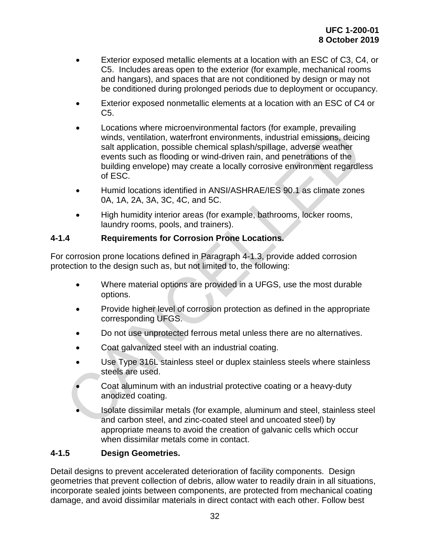- Exterior exposed metallic elements at a location with an ESC of C3, C4, or C5. Includes areas open to the exterior (for example, mechanical rooms and hangars), and spaces that are not conditioned by design or may not be conditioned during prolonged periods due to deployment or occupancy.
- Exterior exposed nonmetallic elements at a location with an ESC of C4 or C5.
- Locations where microenvironmental factors (for example, prevailing winds, ventilation, waterfront environments, industrial emissions, deicing salt application, possible chemical splash/spillage, adverse weather events such as flooding or wind-driven rain, and penetrations of the building envelope) may create a locally corrosive environment regardless of ESC. ■<br>
Locations where introductiviating laterols (to reatingly pervaling<br>
winds, ventilation, waterfront environments, industrial emissions, deter<br>
sail a pplication, possible chemical splash/spillage, adverse weaker<br>
events
	- Humid locations identified in ANSI/ASHRAE/IES 90.1 as climate zones 0A, 1A, 2A, 3A, 3C, 4C, and 5C.
	- High humidity interior areas (for example, bathrooms, locker rooms, laundry rooms, pools, and trainers).

### **4-1.4 Requirements for Corrosion Prone Locations.**

For corrosion prone locations defined in Paragraph 4-1.3, provide added corrosion protection to the design such as, but not limited to, the following:

- Where material options are provided in a UFGS, use the most durable options.
- Provide higher level of corrosion protection as defined in the appropriate corresponding UFGS.
- Do not use unprotected ferrous metal unless there are no alternatives.
- Coat galvanized steel with an industrial coating.
- Use Type 316L stainless steel or duplex stainless steels where stainless steels are used.
	- Coat aluminum with an industrial protective coating or a heavy-duty anodized coating.
- Isolate dissimilar metals (for example, aluminum and steel, stainless steel and carbon steel, and zinc-coated steel and uncoated steel) by appropriate means to avoid the creation of galvanic cells which occur when dissimilar metals come in contact.

### **4-1.5 Design Geometries.**

Detail designs to prevent accelerated deterioration of facility components. Design geometries that prevent collection of debris, allow water to readily drain in all situations, incorporate sealed joints between components, are protected from mechanical coating damage, and avoid dissimilar materials in direct contact with each other. Follow best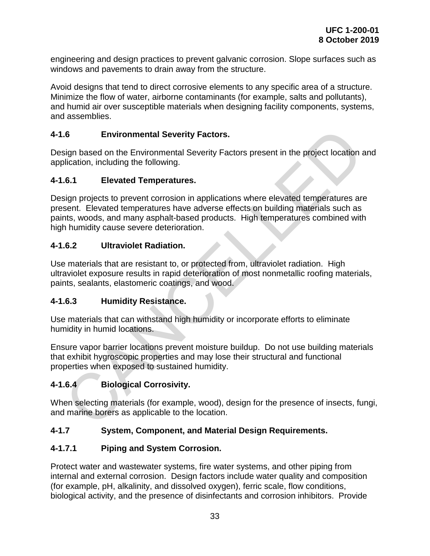engineering and design practices to prevent galvanic corrosion. Slope surfaces such as windows and pavements to drain away from the structure.

Avoid designs that tend to direct corrosive elements to any specific area of a structure. Minimize the flow of water, airborne contaminants (for example, salts and pollutants), and humid air over susceptible materials when designing facility components, systems, and assemblies.

# **4-1.6 Environmental Severity Factors.**

Design based on the Environmental Severity Factors present in the project location and application, including the following.

### **4-1.6.1 Elevated Temperatures.**

Design projects to prevent corrosion in applications where elevated temperatures are present. Elevated temperatures have adverse effects on building materials such as paints, woods, and many asphalt-based products. High temperatures combined with high humidity cause severe deterioration. 6 Environmental Severity Factors.<br>
Sign based on the Environmental Severity Factors present in the project location iclication, including the following.<br>
C-1 Elevated Temperatures.<br>
Sign projects to prevent corrosion in ap

# **4-1.6.2 Ultraviolet Radiation.**

Use materials that are resistant to, or protected from, ultraviolet radiation. High ultraviolet exposure results in rapid deterioration of most nonmetallic roofing materials, paints, sealants, elastomeric coatings, and wood.

### **4-1.6.3 Humidity Resistance.**

Use materials that can withstand high humidity or incorporate efforts to eliminate humidity in humid locations.

Ensure vapor barrier locations prevent moisture buildup. Do not use building materials that exhibit hygroscopic properties and may lose their structural and functional properties when exposed to sustained humidity.

# **4-1.6.4 Biological Corrosivity.**

When selecting materials (for example, wood), design for the presence of insects, fungi, and marine borers as applicable to the location.

# **4-1.7 System, Component, and Material Design Requirements.**

# **4-1.7.1 Piping and System Corrosion.**

Protect water and wastewater systems, fire water systems, and other piping from internal and external corrosion. Design factors include water quality and composition (for example, pH, alkalinity, and dissolved oxygen), ferric scale, flow conditions, biological activity, and the presence of disinfectants and corrosion inhibitors. Provide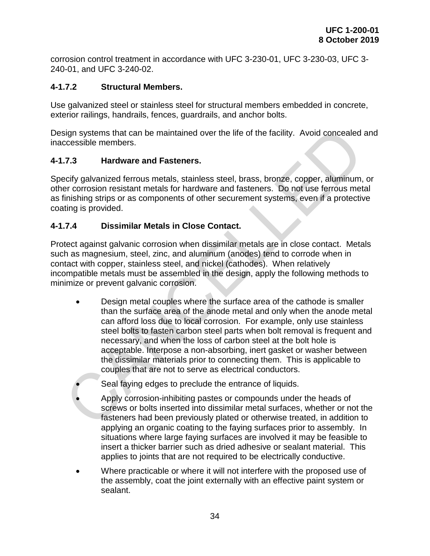corrosion control treatment in accordance with UFC 3-230-01, UFC 3-230-03, UFC 3- 240-01, and UFC 3-240-02.

## **4-1.7.2 Structural Members.**

Use galvanized steel or stainless steel for structural members embedded in concrete, exterior railings, handrails, fences, guardrails, and anchor bolts.

Design systems that can be maintained over the life of the facility. Avoid concealed and inaccessible members.

# **4-1.7.3 Hardware and Fasteners.**

Specify galvanized ferrous metals, stainless steel, brass, bronze, copper, aluminum, or other corrosion resistant metals for hardware and fasteners. Do not use ferrous metal as finishing strips or as components of other securement systems, even if a protective coating is provided.

# **4-1.7.4 Dissimilar Metals in Close Contact.**

Protect against galvanic corrosion when dissimilar metals are in close contact. Metals such as magnesium, steel, zinc, and aluminum (anodes) tend to corrode when in contact with copper, stainless steel, and nickel (cathodes). When relatively incompatible metals must be assembled in the design, apply the following methods to minimize or prevent galvanic corrosion.

• Design metal couples where the surface area of the cathode is smaller than the surface area of the anode metal and only when the anode metal can afford loss due to local corrosion. For example, only use stainless steel bolts to fasten carbon steel parts when bolt removal is frequent and necessary, and when the loss of carbon steel at the bolt hole is acceptable. Interpose a non-absorbing, inert gasket or washer between the dissimilar materials prior to connecting them. This is applicable to couples that are not to serve as electrical conductors. sign systems that can be maintained over the life of the facility. Avoid concealed<br>
cressible members.<br>
T.3 Hardware and Fasteners.<br>
T.3 Hardware and Fasteners.<br>
T.3 Hardware and Fasteners.<br>
Scribt galvanized ferrous metal

Seal faying edges to preclude the entrance of liquids.

- Apply corrosion-inhibiting pastes or compounds under the heads of screws or bolts inserted into dissimilar metal surfaces, whether or not the fasteners had been previously plated or otherwise treated, in addition to applying an organic coating to the faying surfaces prior to assembly. In situations where large faying surfaces are involved it may be feasible to insert a thicker barrier such as dried adhesive or sealant material. This applies to joints that are not required to be electrically conductive.
- Where practicable or where it will not interfere with the proposed use of the assembly, coat the joint externally with an effective paint system or sealant.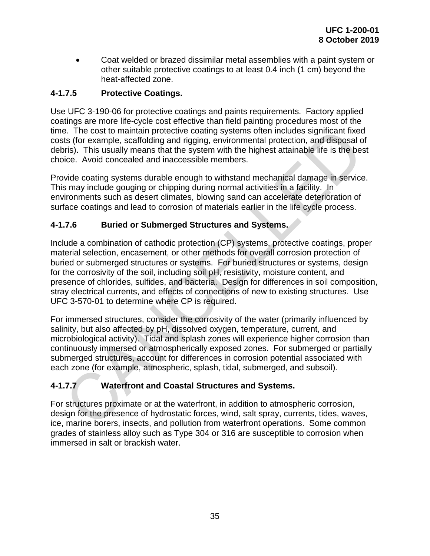• Coat welded or brazed dissimilar metal assemblies with a paint system or other suitable protective coatings to at least 0.4 inch (1 cm) beyond the heat-affected zone.

# **4-1.7.5 Protective Coatings.**

Use UFC 3-190-06 for protective coatings and paints requirements. Factory applied coatings are more life-cycle cost effective than field painting procedures most of the time. The cost to maintain protective coating systems often includes significant fixed costs (for example, scaffolding and rigging, environmental protection, and disposal of debris). This usually means that the system with the highest attainable life is the best choice. Avoid concealed and inaccessible members.

Provide coating systems durable enough to withstand mechanical damage in service. This may include gouging or chipping during normal activities in a facility. In environments such as desert climates, blowing sand can accelerate deterioration of surface coatings and lead to corrosion of materials earlier in the life cycle process.

# **4-1.7.6 Buried or Submerged Structures and Systems.**

Include a combination of cathodic protection (CP) systems, protective coatings, proper material selection, encasement, or other methods for overall corrosion protection of buried or submerged structures or systems. For buried structures or systems, design for the corrosivity of the soil, including soil pH, resistivity, moisture content, and presence of chlorides, sulfides, and bacteria. Design for differences in soil composition, stray electrical currents, and effects of connections of new to existing structures. Use UFC 3-570-01 to determine where CP is required. a. The cost to maintain protective coating systems often includes significant fixed<br>ts (for example, scaffolding and rigging, environmental protection, and disposal or<br>is). This usually means that the system with the high

For immersed structures, consider the corrosivity of the water (primarily influenced by salinity, but also affected by pH, dissolved oxygen, temperature, current, and microbiological activity). Tidal and splash zones will experience higher corrosion than continuously immersed or atmospherically exposed zones. For submerged or partially submerged structures, account for differences in corrosion potential associated with each zone (for example, atmospheric, splash, tidal, submerged, and subsoil).

# **4-1.7.7 Waterfront and Coastal Structures and Systems.**

For structures proximate or at the waterfront, in addition to atmospheric corrosion, design for the presence of hydrostatic forces, wind, salt spray, currents, tides, waves, ice, marine borers, insects, and pollution from waterfront operations. Some common grades of stainless alloy such as Type 304 or 316 are susceptible to corrosion when immersed in salt or brackish water.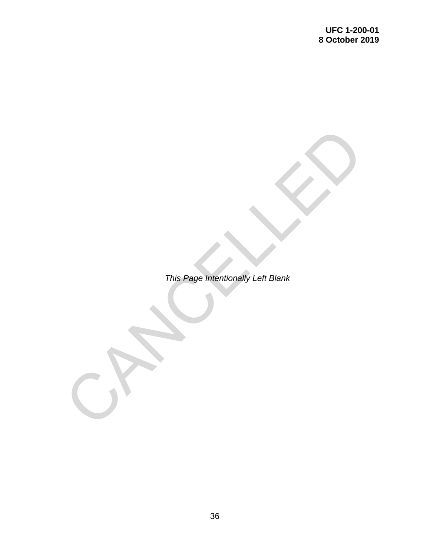*This Page Intentionally Left Blank* This Page Imentionally Left Blank<br>
State of Canada<br>
State of Canada<br>
State of Canada<br>
State of Canada<br>
State of Canada<br>
State of Canada<br>
State of Canada<br>
State of Canada<br>
State of Canada<br>
State of Canada<br>
State of Canada<br>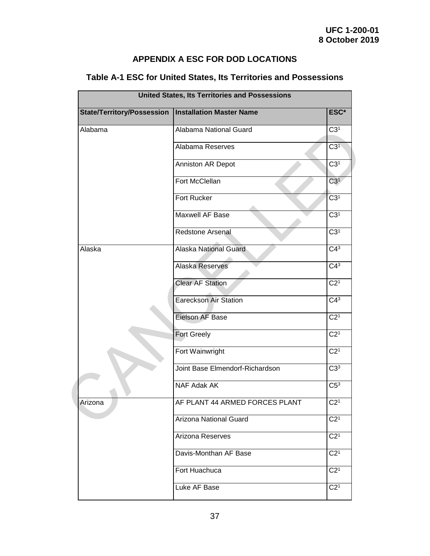# **APPENDIX A ESC FOR DOD LOCATIONS**

| <b>State/Territory/Possession</b> | <b>Installation Master Name</b> | ESC*                         |
|-----------------------------------|---------------------------------|------------------------------|
| Alabama                           | Alabama National Guard          | $\overline{C3}$ <sup>1</sup> |
|                                   | Alabama Reserves                | C3 <sup>1</sup>              |
|                                   | Anniston AR Depot               | $\overline{C3}$ <sup>1</sup> |
|                                   | Fort McClellan                  | C3 <sup>1</sup>              |
|                                   | Fort Rucker                     | C3 <sup>1</sup>              |
|                                   | <b>Maxwell AF Base</b>          | C3 <sup>1</sup>              |
|                                   | Redstone Arsenal                | $\overline{C3}$ <sup>1</sup> |
| Alaska                            | <b>Alaska National Guard</b>    | C4 <sup>3</sup>              |
|                                   | Alaska Reserves                 | C4 <sup>3</sup>              |
|                                   | <b>Clear AF Station</b>         | C2 <sup>1</sup>              |
|                                   | <b>Eareckson Air Station</b>    | $\overline{C4^3}$            |
|                                   | Eielson AF Base                 | C2 <sup>1</sup>              |
|                                   | <b>Fort Greely</b>              | C2 <sup>1</sup>              |
|                                   | Fort Wainwright                 | C2 <sup>1</sup>              |
|                                   | Joint Base Elmendorf-Richardson | C3 <sup>3</sup>              |
|                                   | <b>NAF Adak AK</b>              | C5 <sup>3</sup>              |
| Arizona                           | AF PLANT 44 ARMED FORCES PLANT  | C2 <sup>1</sup>              |
|                                   | Arizona National Guard          | C2 <sup>1</sup>              |
|                                   | Arizona Reserves                | C2 <sup>1</sup>              |
|                                   | Davis-Monthan AF Base           | C2 <sup>1</sup>              |
|                                   | Fort Huachuca                   | C2 <sup>1</sup>              |
|                                   | Luke AF Base                    | C2 <sup>1</sup>              |

# **Table A-1 ESC for United States, Its Territories and Possessions**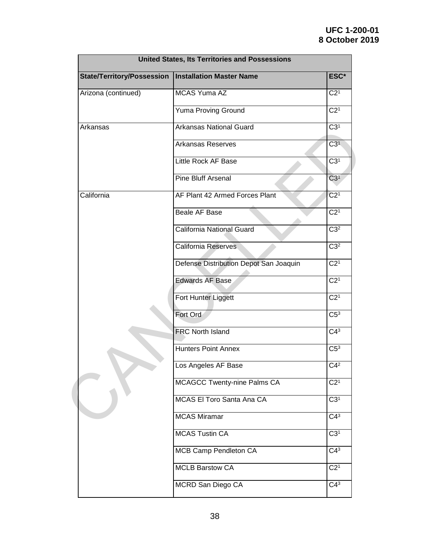| <b>State/Territory/Possession</b> | <b>Installation Master Name</b>        | ESC*                         |
|-----------------------------------|----------------------------------------|------------------------------|
| Arizona (continued)               | <b>MCAS Yuma AZ</b>                    | C2 <sup>1</sup>              |
|                                   | <b>Yuma Proving Ground</b>             | C2 <sup>1</sup>              |
| Arkansas                          | <b>Arkansas National Guard</b>         | $\overline{C3}$ <sup>1</sup> |
|                                   | Arkansas Reserves                      | $\overline{C3}$ <sup>1</sup> |
|                                   | Little Rock AF Base                    | C3 <sup>1</sup>              |
|                                   | <b>Pine Bluff Arsenal</b>              | C3 <sup>1</sup>              |
| California                        | AF Plant 42 Armed Forces Plant         | C2 <sup>1</sup>              |
|                                   | <b>Beale AF Base</b>                   | C2 <sup>1</sup>              |
|                                   | California National Guard              | $\overline{C3^2}$            |
|                                   | California Reserves                    | $\overline{C3^2}$            |
|                                   | Defense Distribution Depot San Joaquin | C2 <sup>1</sup>              |
|                                   | <b>Edwards AF Base</b>                 | C2 <sup>1</sup>              |
|                                   | Fort Hunter Liggett                    | C2 <sup>1</sup>              |
|                                   | Fort Ord                               | $\overline{C5^3}$            |
|                                   | <b>FRC North Island</b>                | C4 <sup>3</sup>              |
|                                   | <b>Hunters Point Annex</b>             | $\overline{\text{C5}^3}$     |
|                                   | Los Angeles AF Base                    | C4 <sup>2</sup>              |
|                                   | <b>MCAGCC Twenty-nine Palms CA</b>     | C2 <sup>1</sup>              |
|                                   | MCAS El Toro Santa Ana CA              | $\overline{C3}$ <sup>1</sup> |
|                                   | <b>MCAS Miramar</b>                    | C4 <sup>3</sup>              |
|                                   | <b>MCAS Tustin CA</b>                  | $\overline{C3}$ <sup>1</sup> |
|                                   | <b>MCB Camp Pendleton CA</b>           | $\overline{C4^3}$            |
|                                   | <b>MCLB Barstow CA</b>                 | C2 <sup>1</sup>              |
|                                   | MCRD San Diego CA                      | C4 <sup>3</sup>              |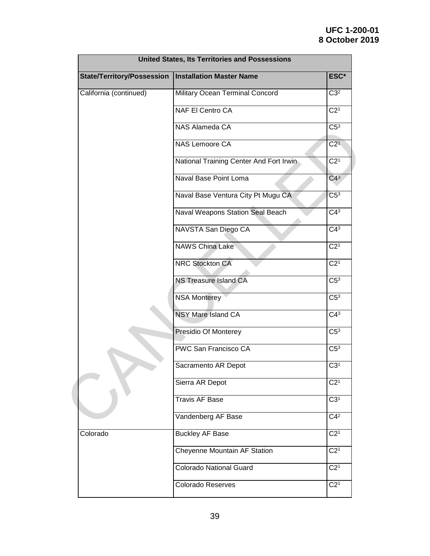| <b>State/Territory/Possession</b> | <b>Installation Master Name</b>         | ESC*                         |
|-----------------------------------|-----------------------------------------|------------------------------|
| California (continued)            | Military Ocean Terminal Concord         | $\overline{C3^2}$            |
|                                   | NAF El Centro CA                        | C2 <sup>1</sup>              |
|                                   | <b>NAS Alameda CA</b>                   | C5 <sup>3</sup>              |
|                                   | <b>NAS Lemoore CA</b>                   | $\overline{C2^1}$            |
|                                   | National Training Center And Fort Irwin | C2 <sup>1</sup>              |
|                                   | Naval Base Point Loma                   | C4 <sup>3</sup>              |
|                                   | Naval Base Ventura City Pt Mugu CA      | C5 <sup>3</sup>              |
|                                   | Naval Weapons Station Seal Beach        | C4 <sup>3</sup>              |
|                                   | NAVSTA San Diego CA                     | $\overline{C4^3}$            |
|                                   | <b>NAWS China Lake</b>                  | C2 <sup>1</sup>              |
|                                   | <b>NRC Stockton CA</b>                  | C2 <sup>1</sup>              |
|                                   | <b>NS Treasure Island CA</b>            | $\overline{C5^3}$            |
|                                   | <b>NSA Monterey</b>                     | $\overline{\text{C5}^3}$     |
|                                   | <b>NSY Mare Island CA</b>               | C4 <sup>3</sup>              |
|                                   | Presidio Of Monterey                    | $\overline{\text{C5}^3}$     |
|                                   | PWC San Francisco CA                    | $\overline{\text{C5}^3}$     |
|                                   | Sacramento AR Depot                     | $\overline{C3}$ <sup>1</sup> |
|                                   | Sierra AR Depot                         | C2 <sup>1</sup>              |
|                                   | <b>Travis AF Base</b>                   | $\overline{C3}$ <sup>1</sup> |
|                                   | Vandenberg AF Base                      | $\overline{C4^2}$            |
| Colorado                          | <b>Buckley AF Base</b>                  | C2 <sup>1</sup>              |
|                                   | Cheyenne Mountain AF Station            | C2 <sup>1</sup>              |
|                                   | <b>Colorado National Guard</b>          | C2 <sup>1</sup>              |
|                                   | <b>Colorado Reserves</b>                | C2 <sup>1</sup>              |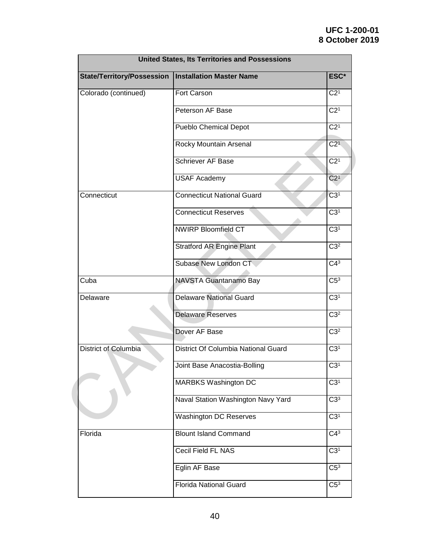| <b>State/Territory/Possession</b> | <b>Installation Master Name</b>     | ESC*                         |
|-----------------------------------|-------------------------------------|------------------------------|
| Colorado (continued)              | Fort Carson                         | C2 <sup>1</sup>              |
|                                   | Peterson AF Base                    | C2 <sup>1</sup>              |
|                                   | <b>Pueblo Chemical Depot</b>        | C2 <sup>1</sup>              |
|                                   | Rocky Mountain Arsenal              | $\overline{C2^1}$            |
|                                   | <b>Schriever AF Base</b>            | C2 <sup>1</sup>              |
|                                   | <b>USAF Academy</b>                 | C2 <sup>1</sup>              |
| Connecticut                       | <b>Connecticut National Guard</b>   | C3 <sup>1</sup>              |
|                                   | <b>Connecticut Reserves</b>         | C3 <sup>1</sup>              |
|                                   | <b>NWIRP Bloomfield CT</b>          | $\overline{C3}$ <sup>1</sup> |
|                                   | <b>Stratford AR Engine Plant</b>    | $\overline{C3^2}$            |
|                                   | Subase New London CT                | C4 <sup>3</sup>              |
| Cuba                              | NAVSTA Guantanamo Bay               | $\overline{C5^3}$            |
| Delaware                          | <b>Delaware National Guard</b>      | $\overline{C3}$ <sup>1</sup> |
|                                   | <b>Delaware Reserves</b>            | $\overline{C3^2}$            |
|                                   | Dover AF Base                       | $\overline{C3^2}$            |
| District of Columbia              | District Of Columbia National Guard | $\overline{C3}$ <sup>1</sup> |
|                                   | Joint Base Anacostia-Bolling        | C3 <sup>1</sup>              |
|                                   | <b>MARBKS Washington DC</b>         | C3 <sup>1</sup>              |
|                                   | Naval Station Washington Navy Yard  | $\overline{C3^3}$            |
|                                   | <b>Washington DC Reserves</b>       | C3 <sup>1</sup>              |
| Florida                           | <b>Blount Island Command</b>        | $\overline{C4^3}$            |
|                                   | Cecil Field FL NAS                  | $\overline{C3}$ <sup>1</sup> |
|                                   | Eglin AF Base                       | C5 <sup>3</sup>              |
|                                   | <b>Florida National Guard</b>       | C5 <sup>3</sup>              |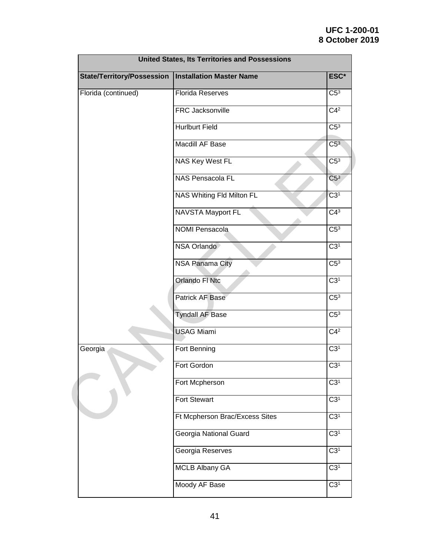| <b>State/Territory/Possession</b> | <b>Installation Master Name</b> | ESC <sup>*</sup>             |
|-----------------------------------|---------------------------------|------------------------------|
| Florida (continued)               | <b>Florida Reserves</b>         | $\overline{\text{C5}^3}$     |
|                                   | FRC Jacksonville                | $\overline{C4^2}$            |
|                                   | <b>Hurlburt Field</b>           | $\overline{\text{C5}^3}$     |
|                                   | <b>Macdill AF Base</b>          | $\overline{\text{C5}^3}$     |
|                                   | NAS Key West FL                 | C5 <sup>3</sup>              |
|                                   | NAS Pensacola FL                | C5 <sup>3</sup>              |
|                                   | NAS Whiting Fld Milton FL       | C3 <sup>1</sup>              |
|                                   | <b>NAVSTA Mayport FL</b>        | C4 <sup>3</sup>              |
|                                   | <b>NOMI Pensacola</b>           | $\overline{C5^3}$            |
|                                   | NSA Orlando                     | $\overline{C3}$ <sup>1</sup> |
|                                   | <b>NSA Panama City</b>          | $\overline{\text{C5}^3}$     |
|                                   | <b>Orlando FI Ntc</b>           | $\overline{C3}$ <sup>1</sup> |
|                                   | Patrick AF Base                 | $\overline{C5^3}$            |
|                                   | <b>Tyndall AF Base</b>          | $\overline{C5^3}$            |
|                                   | <b>USAG Miami</b>               | C4 <sup>2</sup>              |
| Georgia                           | Fort Benning                    | $\overline{C3}$ <sup>1</sup> |
|                                   | Fort Gordon                     | $\overline{C3}$ <sup>1</sup> |
|                                   | Fort Mcpherson                  | C3 <sup>1</sup>              |
|                                   | <b>Fort Stewart</b>             | $\overline{C3}$ <sup>1</sup> |
|                                   | Ft Mcpherson Brac/Excess Sites  | C3 <sup>1</sup>              |
|                                   | Georgia National Guard          | $\overline{C3}$ <sup>1</sup> |
|                                   | Georgia Reserves                | $\overline{C3}$ <sup>1</sup> |
|                                   | <b>MCLB Albany GA</b>           | $\overline{C3}$ <sup>1</sup> |
|                                   | Moody AF Base                   | $\overline{C3}$ <sup>1</sup> |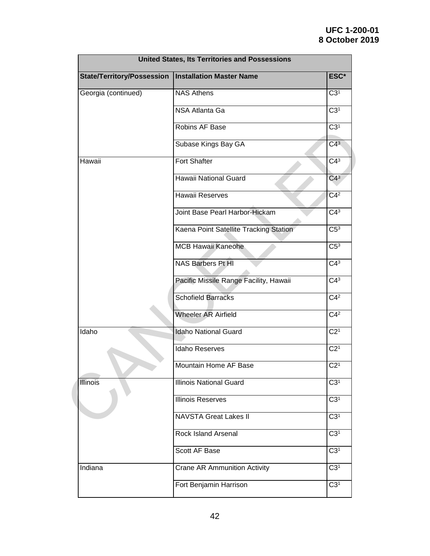| <b>State/Territory/Possession</b> | <b>Installation Master Name</b>        | ESC*                         |
|-----------------------------------|----------------------------------------|------------------------------|
| Georgia (continued)               | <b>NAS Athens</b>                      | $\overline{C3}$ <sup>1</sup> |
|                                   | <b>NSA Atlanta Ga</b>                  | $\overline{C3}$ <sup>1</sup> |
|                                   | Robins AF Base                         | $\overline{C3}$ <sup>1</sup> |
|                                   | Subase Kings Bay GA                    | C4 <sup>3</sup>              |
| Hawaii                            | <b>Fort Shafter</b>                    | $\overline{C4^3}$            |
|                                   | Hawaii National Guard                  | C4 <sup>3</sup>              |
|                                   | Hawaii Reserves                        | C4 <sup>2</sup>              |
|                                   | Joint Base Pearl Harbor-Hickam         | C4 <sup>3</sup>              |
|                                   | Kaena Point Satellite Tracking Station | C5 <sup>3</sup>              |
|                                   | <b>MCB Hawaii Kaneohe</b>              | C5 <sup>3</sup>              |
|                                   | <b>NAS Barbers Pt HI</b>               | C4 <sup>3</sup>              |
|                                   | Pacific Missile Range Facility, Hawaii | C4 <sup>3</sup>              |
|                                   | <b>Schofield Barracks</b>              | C4 <sup>2</sup>              |
|                                   | <b>Wheeler AR Airfield</b>             | $\overline{C4^2}$            |
| Idaho                             | <b>Idaho National Guard</b>            | C2 <sup>1</sup>              |
|                                   | <b>Idaho Reserves</b>                  | C2 <sup>1</sup>              |
|                                   | Mountain Home AF Base                  | $\overline{C2}$ <sup>1</sup> |
| <b>Illinois</b>                   | <b>Illinois National Guard</b>         | C3 <sup>1</sup>              |
|                                   | <b>Illinois Reserves</b>               | C3 <sup>1</sup>              |
|                                   | <b>NAVSTA Great Lakes II</b>           | $\overline{C3}$ <sup>1</sup> |
|                                   | Rock Island Arsenal                    | C3 <sup>1</sup>              |
|                                   | Scott AF Base                          | C3 <sup>1</sup>              |
| Indiana                           | <b>Crane AR Ammunition Activity</b>    | $\overline{C3}$ <sup>1</sup> |
|                                   | Fort Benjamin Harrison                 | C3 <sup>1</sup>              |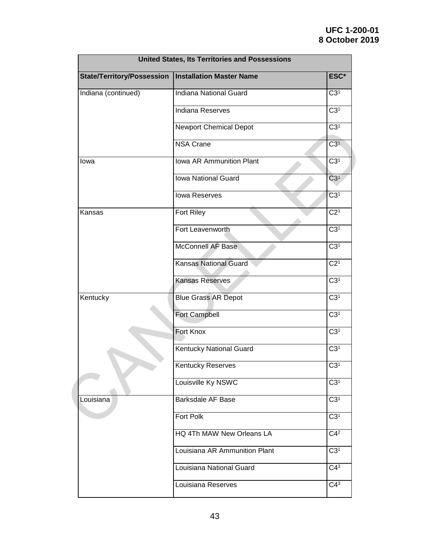| <b>State/Territory/Possession</b> | <b>Installation Master Name</b> | ESC*                         |
|-----------------------------------|---------------------------------|------------------------------|
| Indiana (continued)               | <b>Indiana National Guard</b>   | C3 <sup>1</sup>              |
|                                   | <b>Indiana Reserves</b>         | $\overline{C3}$ <sup>1</sup> |
|                                   | <b>Newport Chemical Depot</b>   | $\overline{C3}$ <sup>1</sup> |
|                                   | <b>NSA Crane</b>                | $\overline{C3}$ <sup>1</sup> |
| Iowa                              | Iowa AR Ammunition Plant        | C3 <sup>1</sup>              |
|                                   | <b>Iowa National Guard</b>      | C3 <sup>1</sup>              |
|                                   | lowa Reserves                   | C3 <sup>1</sup>              |
| Kansas                            | Fort Riley                      | C2 <sup>1</sup>              |
|                                   | Fort Leavenworth                | $\overline{C3}$ <sup>1</sup> |
|                                   | McConnell AF Base               | $\overline{C3}$ <sup>1</sup> |
|                                   | <b>Kansas National Guard</b>    | C2 <sup>1</sup>              |
|                                   | <b>Kansas Reserves</b>          | $\overline{C3}$ <sup>1</sup> |
| Kentucky                          | <b>Blue Grass AR Depot</b>      | $\overline{C3}$ <sup>1</sup> |
|                                   | <b>Fort Campbell</b>            | $\overline{C3}$ <sup>1</sup> |
|                                   | Fort Knox                       | $\overline{C3}$ <sup>1</sup> |
|                                   | Kentucky National Guard         | $\overline{C3}$ <sup>1</sup> |
|                                   | Kentucky Reserves               | $\overline{C3}$ <sup>1</sup> |
|                                   | Louisville Ky NSWC              | C3 <sup>1</sup>              |
| Louisiana                         | <b>Barksdale AF Base</b>        | $\overline{C3}$ <sup>1</sup> |
|                                   | Fort Polk                       | C3 <sup>1</sup>              |
|                                   | HQ 4Th MAW New Orleans LA       | $\overline{C4^2}$            |
|                                   | Louisiana AR Ammunition Plant   | $\overline{C3}$ <sup>1</sup> |
|                                   | Louisiana National Guard        | C4 <sup>3</sup>              |
|                                   | Louisiana Reserves              | C4 <sup>3</sup>              |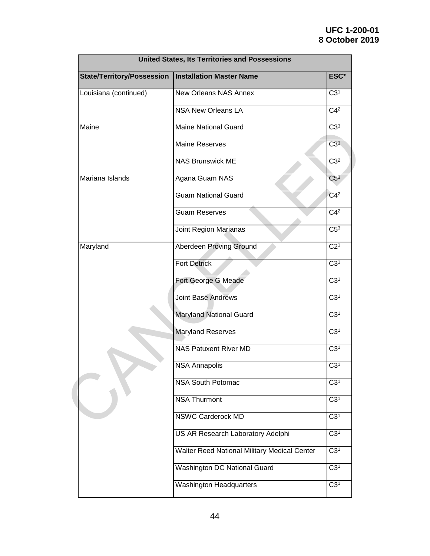| <b>State/Territory/Possession</b> | <b>Installation Master Name</b>              | ESC <sup>*</sup>             |
|-----------------------------------|----------------------------------------------|------------------------------|
| Louisiana (continued)             | <b>New Orleans NAS Annex</b>                 | C3 <sup>1</sup>              |
|                                   | <b>NSA New Orleans LA</b>                    | $\overline{C4^2}$            |
| Maine                             | Maine National Guard                         | C3 <sup>3</sup>              |
|                                   | <b>Maine Reserves</b>                        | $\overline{C3^3}$            |
|                                   | <b>NAS Brunswick ME</b>                      | C3 <sup>2</sup>              |
| Mariana Islands                   | Agana Guam NAS                               | C5 <sup>3</sup>              |
|                                   | <b>Guam National Guard</b>                   | C4 <sup>2</sup>              |
|                                   | <b>Guam Reserves</b>                         | C4 <sup>2</sup>              |
|                                   | Joint Region Marianas                        | C5 <sup>3</sup>              |
| Maryland                          | Aberdeen Proving Ground                      | C2 <sup>1</sup>              |
|                                   | <b>Fort Detrick</b>                          | $\overline{C3}$ <sup>1</sup> |
|                                   | Fort George G Meade                          | $\overline{C3}$ <sup>1</sup> |
|                                   | <b>Joint Base Andrews</b>                    | $\overline{C3}$ <sup>1</sup> |
|                                   | <b>Maryland National Guard</b>               | $\overline{C3}$ <sup>1</sup> |
|                                   | <b>Maryland Reserves</b>                     | $\overline{C3}$ <sup>1</sup> |
|                                   | <b>NAS Patuxent River MD</b>                 | $\overline{C3}$ <sup>1</sup> |
|                                   | <b>NSA Annapolis</b>                         | $\overline{C3}$ <sup>1</sup> |
|                                   | <b>NSA South Potomac</b>                     | C3 <sup>1</sup>              |
|                                   | <b>NSA Thurmont</b>                          | $\overline{C3}$ <sup>1</sup> |
|                                   | <b>NSWC Carderock MD</b>                     | $\overline{C3}$ <sup>1</sup> |
|                                   | US AR Research Laboratory Adelphi            | C3 <sup>1</sup>              |
|                                   | Walter Reed National Military Medical Center | C3 <sup>1</sup>              |
|                                   | Washington DC National Guard                 | $\overline{C3}$ <sup>1</sup> |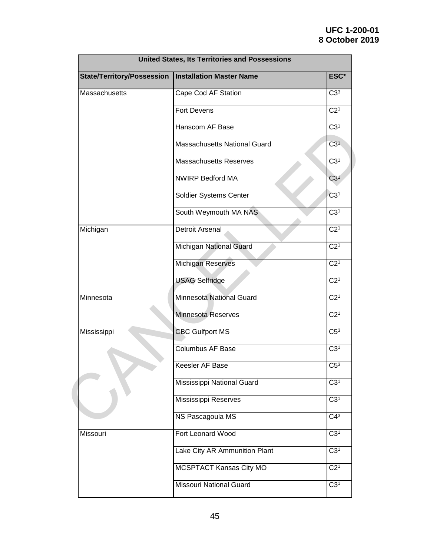| <b>State/Territory/Possession</b> | <b>Installation Master Name</b> | ESC*                         |
|-----------------------------------|---------------------------------|------------------------------|
| Massachusetts                     | Cape Cod AF Station             | $C3^3$                       |
|                                   | <b>Fort Devens</b>              | C2 <sup>1</sup>              |
|                                   | Hanscom AF Base                 | $\overline{C3}$ <sup>1</sup> |
|                                   | Massachusetts National Guard    | $\overline{C3}$ <sup>1</sup> |
|                                   | <b>Massachusetts Reserves</b>   | C3 <sup>1</sup>              |
|                                   | <b>NWIRP Bedford MA</b>         | C3 <sup>1</sup>              |
|                                   | Soldier Systems Center          | C3 <sup>1</sup>              |
|                                   | South Weymouth MA NAS           | C3 <sup>1</sup>              |
| Michigan                          | <b>Detroit Arsenal</b>          | C2 <sup>1</sup>              |
|                                   | Michigan National Guard         | C2 <sup>1</sup>              |
|                                   | <b>Michigan Reserves</b>        | C2 <sup>1</sup>              |
|                                   | <b>USAG Selfridge</b>           | C2 <sup>1</sup>              |
| Minnesota                         | Minnesota National Guard        | C2 <sup>1</sup>              |
|                                   | <b>Minnesota Reserves</b>       | C2 <sup>1</sup>              |
| Mississippi                       | <b>CBC Gulfport MS</b>          | $\overline{\text{C5}^3}$     |
|                                   | <b>Columbus AF Base</b>         | $\overline{C3}$ <sup>1</sup> |
|                                   | Keesler AF Base                 | C5 <sup>3</sup>              |
|                                   | Mississippi National Guard      | C3 <sup>1</sup>              |
|                                   | Mississippi Reserves            | $\overline{C3}$ <sup>1</sup> |
|                                   | NS Pascagoula MS                | C4 <sup>3</sup>              |
| Missouri                          | Fort Leonard Wood               | $\overline{C3}$ <sup>1</sup> |
|                                   | Lake City AR Ammunition Plant   | $\overline{C3}$ <sup>1</sup> |
|                                   | <b>MCSPTACT Kansas City MO</b>  | C2 <sup>1</sup>              |
|                                   | <b>Missouri National Guard</b>  | $\overline{C3}$ <sup>1</sup> |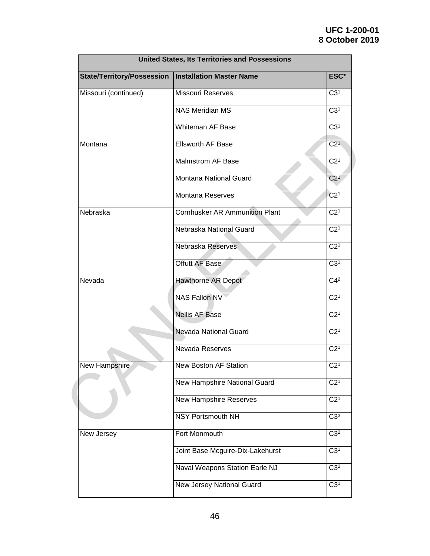| <b>State/Territory/Possession</b> | <b>Installation Master Name</b>       | ESC*                         |
|-----------------------------------|---------------------------------------|------------------------------|
| Missouri (continued)              | Missouri Reserves                     | $\overline{C3}$ <sup>1</sup> |
|                                   | <b>NAS Meridian MS</b>                | $\overline{C3}$ <sup>1</sup> |
|                                   | <b>Whiteman AF Base</b>               | $\overline{C3}$ <sup>1</sup> |
| Montana                           | <b>Ellsworth AF Base</b>              | C2 <sup>1</sup>              |
|                                   | <b>Malmstrom AF Base</b>              | C2 <sup>1</sup>              |
|                                   | Montana National Guard                | C2 <sup>1</sup>              |
|                                   | <b>Montana Reserves</b>               | C2 <sup>1</sup>              |
| Nebraska                          | <b>Cornhusker AR Ammunition Plant</b> | C2 <sup>1</sup>              |
|                                   | Nebraska National Guard               | C2 <sup>1</sup>              |
|                                   | Nebraska Reserves                     | C2 <sup>1</sup>              |
|                                   | Offutt AF Base                        | C3 <sup>1</sup>              |
| Nevada                            | Hawthorne AR Depot                    | C4 <sup>2</sup>              |
|                                   | <b>NAS Fallon NV</b>                  | C2 <sup>1</sup>              |
|                                   | <b>Nellis AF Base</b>                 | C2 <sup>1</sup>              |
|                                   | Nevada National Guard                 | C2 <sup>1</sup>              |
|                                   | Nevada Reserves                       | C2 <sup>1</sup>              |
| New Hampshire                     | <b>New Boston AF Station</b>          | $\overline{C2}$ <sup>1</sup> |
|                                   | New Hampshire National Guard          | C2 <sup>1</sup>              |
|                                   | New Hampshire Reserves                | C2 <sup>1</sup>              |
|                                   | <b>NSY Portsmouth NH</b>              | $\overline{C3^3}$            |
| New Jersey                        | Fort Monmouth                         | $\overline{C3^2}$            |
|                                   | Joint Base Mcguire-Dix-Lakehurst      | $\overline{C3}$ <sup>1</sup> |
|                                   | Naval Weapons Station Earle NJ        | $\overline{C3^2}$            |
|                                   | New Jersey National Guard             | C3 <sup>1</sup>              |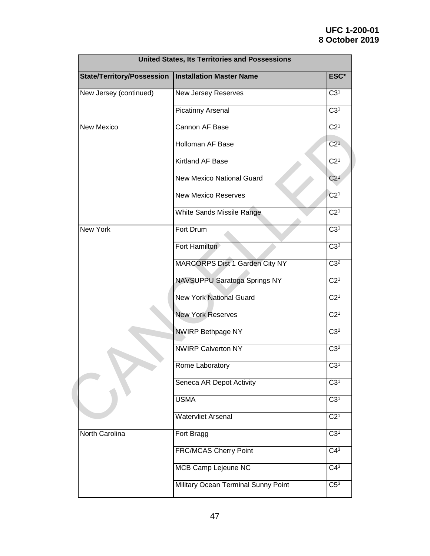| <b>State/Territory/Possession</b> | <b>Installation Master Name</b>     | ESC*                         |
|-----------------------------------|-------------------------------------|------------------------------|
| New Jersey (continued)            | New Jersey Reserves                 | $\overline{C3}$ <sup>1</sup> |
|                                   | <b>Picatinny Arsenal</b>            | $\overline{C3}$ <sup>1</sup> |
| <b>New Mexico</b>                 | Cannon AF Base                      | C2 <sup>1</sup>              |
|                                   | Holloman AF Base                    | $\overline{C2^1}$            |
|                                   | Kirtland AF Base                    | C2 <sup>1</sup>              |
|                                   | <b>New Mexico National Guard</b>    | C2 <sup>1</sup>              |
|                                   | <b>New Mexico Reserves</b>          | C2 <sup>1</sup>              |
|                                   | White Sands Missile Range           | C2 <sup>1</sup>              |
| New York                          | Fort Drum                           | C3 <sup>1</sup>              |
|                                   | Fort Hamilton                       | C3 <sup>3</sup>              |
|                                   | MARCORPS Dist 1 Garden City NY      | $\overline{C3^2}$            |
|                                   | NAVSUPPU Saratoga Springs NY        | C2 <sup>1</sup>              |
|                                   | <b>New York National Guard</b>      | C2 <sup>1</sup>              |
|                                   | <b>New York Reserves</b>            | C2 <sup>1</sup>              |
|                                   | <b>NWIRP Bethpage NY</b>            | $\overline{C3^2}$            |
|                                   | <b>NWIRP Calverton NY</b>           | $\overline{C3^2}$            |
|                                   | Rome Laboratory                     | $\overline{C3}$ <sup>1</sup> |
|                                   | Seneca AR Depot Activity            | C3 <sup>1</sup>              |
|                                   | <b>USMA</b>                         | C3 <sup>1</sup>              |
|                                   | <b>Watervliet Arsenal</b>           | C2 <sup>1</sup>              |
| North Carolina                    | Fort Bragg                          | C3 <sup>1</sup>              |
|                                   | FRC/MCAS Cherry Point               | C4 <sup>3</sup>              |
|                                   | MCB Camp Lejeune NC                 | C4 <sup>3</sup>              |
|                                   | Military Ocean Terminal Sunny Point | C5 <sup>3</sup>              |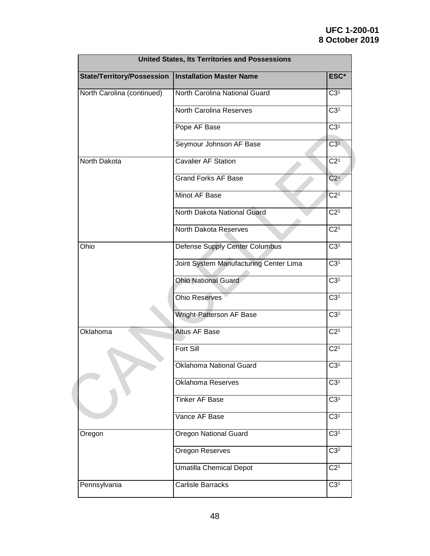| <b>State/Territory/Possession</b> | <b>Installation Master Name</b>        | ESC*                         |
|-----------------------------------|----------------------------------------|------------------------------|
| North Carolina (continued)        | North Carolina National Guard          | C3 <sup>1</sup>              |
|                                   | <b>North Carolina Reserves</b>         | $\overline{C3}^1$            |
|                                   | Pope AF Base                           | $\overline{C3}$ <sup>1</sup> |
|                                   | Seymour Johnson AF Base                | $\overline{C3}$ <sup>1</sup> |
| North Dakota                      | <b>Cavalier AF Station</b>             | C2 <sup>1</sup>              |
|                                   | <b>Grand Forks AF Base</b>             | C2 <sup>1</sup>              |
|                                   | <b>Minot AF Base</b>                   | C2 <sup>1</sup>              |
|                                   | North Dakota National Guard            | C2 <sup>1</sup>              |
|                                   | North Dakota Reserves                  | C2 <sup>1</sup>              |
| Ohio                              | Defense Supply Center Columbus         | $\overline{C3}$ <sup>1</sup> |
|                                   | Joint System Manufacturing Center Lima | C3 <sup>1</sup>              |
|                                   | <b>Ohio National Guard</b>             | $\overline{C3}$ <sup>1</sup> |
|                                   | <b>Ohio Reserves</b>                   | $\overline{C3}$ <sup>1</sup> |
|                                   | Wright-Patterson AF Base               | $\overline{C3}$ <sup>1</sup> |
| Oklahoma                          | <b>Altus AF Base</b>                   | $\overline{C2^1}$            |
|                                   | Fort Sill                              | $\overline{C2^1}$            |
|                                   | Oklahoma National Guard                | C3 <sup>1</sup>              |
|                                   | Oklahoma Reserves                      | C3 <sup>1</sup>              |
|                                   | <b>Tinker AF Base</b>                  | $\overline{C3}$ <sup>1</sup> |
|                                   | Vance AF Base                          | $\overline{C3}$ <sup>1</sup> |
| Oregon                            | Oregon National Guard                  | $\overline{C3}$ <sup>1</sup> |
|                                   | Oregon Reserves                        | $\overline{C3^2}$            |
|                                   | <b>Umatilla Chemical Depot</b>         | C2 <sup>1</sup>              |
| Pennsylvania                      | <b>Carlisle Barracks</b>               | $\overline{C3}$ <sup>1</sup> |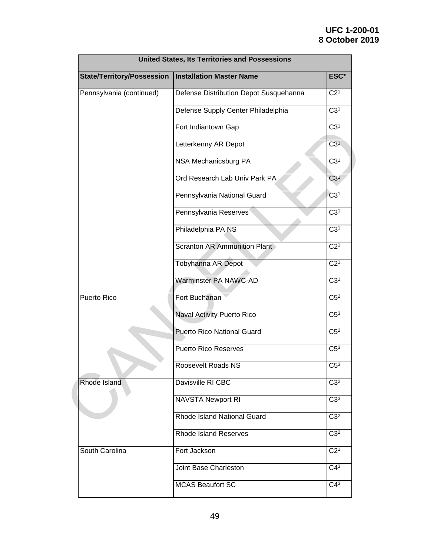| <b>State/Territory/Possession</b> | <b>Installation Master Name</b>        |                              |
|-----------------------------------|----------------------------------------|------------------------------|
| Pennsylvania (continued)          | Defense Distribution Depot Susquehanna | C2 <sup>1</sup>              |
|                                   | Defense Supply Center Philadelphia     | C3 <sup>1</sup>              |
|                                   | Fort Indiantown Gap                    | $\overline{C3}$ <sup>1</sup> |
|                                   | Letterkenny AR Depot                   | $\overline{C3}$ <sup>1</sup> |
|                                   | NSA Mechanicsburg PA                   | C3 <sup>1</sup>              |
|                                   | Ord Research Lab Univ Park PA          | C3 <sup>1</sup>              |
|                                   | Pennsylvania National Guard            | C3 <sup>1</sup>              |
|                                   | Pennsylvania Reserves                  | C3 <sup>1</sup>              |
|                                   | Philadelphia PA NS                     | $\overline{C3}$ <sup>1</sup> |
|                                   | Scranton AR Ammunition Plant           | C2 <sup>1</sup>              |
|                                   | Tobyhanna AR Depot                     | C2 <sup>1</sup>              |
|                                   | Warminster PA NAWC-AD                  | $\overline{C3}$ <sup>1</sup> |
| Puerto Rico                       | Fort Buchanan                          | $\overline{C5^2}$            |
|                                   | Naval Activity Puerto Rico             | $\overline{C5^3}$            |
|                                   | <b>Puerto Rico National Guard</b>      | $\overline{C5^2}$            |
|                                   | <b>Puerto Rico Reserves</b>            | $\overline{\text{C5}^3}$     |
|                                   | Roosevelt Roads NS                     | C5 <sup>3</sup>              |
| Rhode Island                      | Davisville RI CBC                      | C3 <sup>2</sup>              |
|                                   | <b>NAVSTA Newport RI</b>               | C3 <sup>3</sup>              |
|                                   | Rhode Island National Guard            | C3 <sup>2</sup>              |
|                                   | <b>Rhode Island Reserves</b>           | C3 <sup>2</sup>              |
| South Carolina                    | Fort Jackson                           | C2 <sup>1</sup>              |
|                                   | <b>Joint Base Charleston</b>           | C4 <sup>3</sup>              |
|                                   | <b>MCAS Beaufort SC</b>                | C4 <sup>3</sup>              |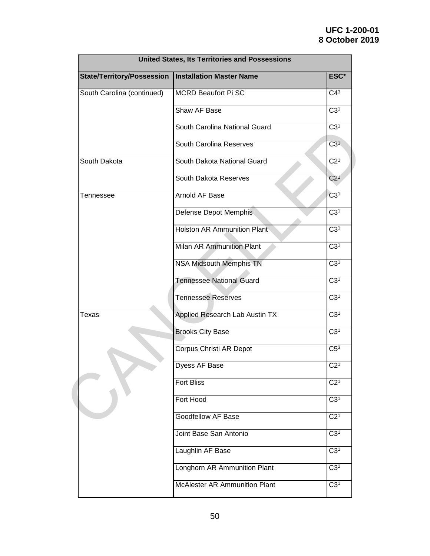| <b>State/Territory/Possession</b> | <b>Installation Master Name</b>      |                              |
|-----------------------------------|--------------------------------------|------------------------------|
| South Carolina (continued)        | <b>MCRD Beaufort Pi SC</b>           | C4 <sup>3</sup>              |
|                                   | Shaw AF Base                         | $\overline{C3}$ <sup>1</sup> |
|                                   | South Carolina National Guard        | $\overline{C3}$ <sup>1</sup> |
|                                   | South Carolina Reserves              | $\overline{C3}$ <sup>1</sup> |
| South Dakota                      | South Dakota National Guard          | C2 <sup>1</sup>              |
|                                   | South Dakota Reserves                | C2 <sup>1</sup>              |
| <b>Tennessee</b>                  | Arnold AF Base                       | C3 <sup>1</sup>              |
|                                   | Defense Depot Memphis                | C3 <sup>1</sup>              |
|                                   | <b>Holston AR Ammunition Plant</b>   | $\overline{C3}$ <sup>1</sup> |
|                                   | Milan AR Ammunition Plant            | $\overline{C3}$ <sup>1</sup> |
|                                   | <b>NSA Midsouth Memphis TN</b>       | C3 <sup>1</sup>              |
|                                   | <b>Tennessee National Guard</b>      | $\overline{C3}$ <sup>1</sup> |
|                                   | <b>Tennessee Reserves</b>            | $\overline{C3}$ <sup>1</sup> |
| <b>Texas</b>                      | Applied Research Lab Austin TX       | $\overline{C3}$ <sup>1</sup> |
|                                   | <b>Brooks City Base</b>              | $\overline{C3}$ <sup>1</sup> |
|                                   | Corpus Christi AR Depot              | $\overline{\text{C5}^3}$     |
|                                   | Dyess AF Base                        | C2 <sup>1</sup>              |
|                                   | Fort Bliss                           | C2 <sup>1</sup>              |
|                                   | Fort Hood                            | $\overline{C3}$ <sup>1</sup> |
|                                   | Goodfellow AF Base                   | C2 <sup>1</sup>              |
|                                   | Joint Base San Antonio               | $\overline{C3}$ <sup>1</sup> |
|                                   | Laughlin AF Base                     | $\overline{C3}$ <sup>1</sup> |
|                                   | Longhorn AR Ammunition Plant         | C3 <sup>2</sup>              |
|                                   | <b>McAlester AR Ammunition Plant</b> | C3 <sup>1</sup>              |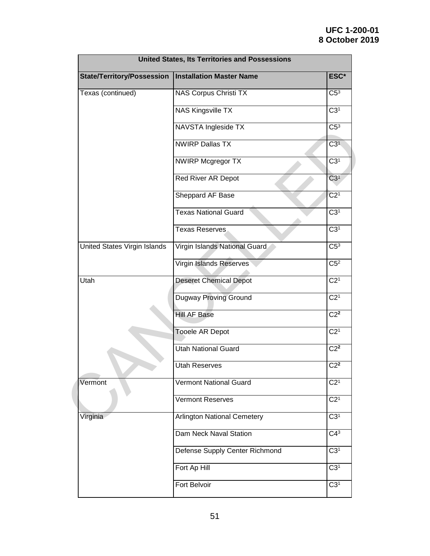| <b>State/Territory/Possession</b> | <b>Installation Master Name</b>    |                              |
|-----------------------------------|------------------------------------|------------------------------|
| Texas (continued)                 | <b>NAS Corpus Christi TX</b>       | $\overline{\text{C5}^3}$     |
|                                   | <b>NAS Kingsville TX</b>           | $\overline{C3}$ <sup>1</sup> |
|                                   | <b>NAVSTA Ingleside TX</b>         | C5 <sup>3</sup>              |
|                                   | <b>NWIRP Dallas TX</b>             | $\overline{C3}$ <sup>1</sup> |
|                                   | <b>NWIRP Mcgregor TX</b>           | $\overline{C3}$ <sup>1</sup> |
|                                   | <b>Red River AR Depot</b>          | C3 <sup>1</sup>              |
|                                   | Sheppard AF Base                   | C2 <sup>1</sup>              |
|                                   | <b>Texas National Guard</b>        | C3 <sup>1</sup>              |
|                                   | Texas Reserves                     | $\overline{C3}$ <sup>1</sup> |
| United States Virgin Islands      | Virgin Islands National Guard      | C5 <sup>3</sup>              |
|                                   | <b>Virgin Islands Reserves</b>     | $\overline{C5^2}$            |
| Utah                              | <b>Deseret Chemical Depot</b>      | C2 <sup>1</sup>              |
|                                   | <b>Dugway Proving Ground</b>       | C2 <sup>1</sup>              |
|                                   | <b>Hill AF Base</b>                | $C2^2$                       |
|                                   | Tooele AR Depot                    | C2 <sup>1</sup>              |
|                                   | <b>Utah National Guard</b>         | C <sub>2</sub>               |
|                                   | <b>Utah Reserves</b>               | C <sub>2</sub>               |
| Vermont                           | Vermont National Guard             | C2 <sup>1</sup>              |
|                                   | <b>Vermont Reserves</b>            | C2 <sup>1</sup>              |
| Virginia                          | <b>Arlington National Cemetery</b> |                              |
|                                   | <b>Dam Neck Naval Station</b>      | C4 <sup>3</sup>              |
|                                   | Defense Supply Center Richmond     | C3 <sup>1</sup>              |
|                                   | Fort Ap Hill                       | C3 <sup>1</sup>              |
|                                   | Fort Belvoir                       | C3 <sup>1</sup>              |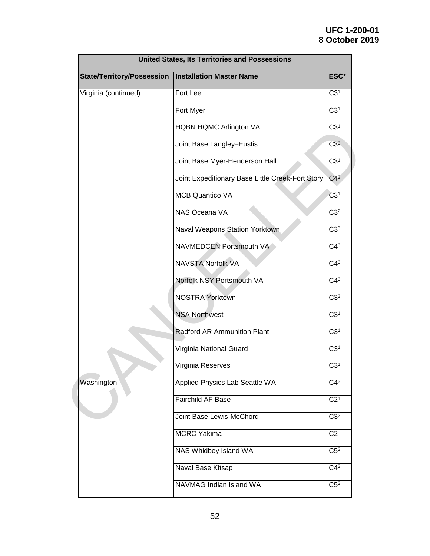| <b>State/Territory/Possession</b> | <b>Installation Master Name</b>                  |                              |
|-----------------------------------|--------------------------------------------------|------------------------------|
| Virginia (continued)              | Fort Lee                                         | C3 <sup>1</sup>              |
|                                   | Fort Myer                                        | $\overline{C3}$ <sup>1</sup> |
|                                   | <b>HQBN HQMC Arlington VA</b>                    | $\overline{C3}$ <sup>1</sup> |
|                                   | Joint Base Langley-Eustis                        | $\overline{C3^3}$            |
|                                   | Joint Base Myer-Henderson Hall                   | C3 <sup>1</sup>              |
|                                   | Joint Expeditionary Base Little Creek-Fort Story | $C4^3$                       |
|                                   | <b>MCB Quantico VA</b>                           | C3 <sup>1</sup>              |
|                                   | <b>NAS Oceana VA</b>                             | C3 <sup>2</sup>              |
|                                   | Naval Weapons Station Yorktown                   | $\overline{C3^3}$            |
|                                   | <b>NAVMEDCEN Portsmouth VA</b>                   | $\overline{C4^3}$            |
|                                   | <b>NAVSTA Norfolk VA</b>                         | $\overline{C4^3}$            |
|                                   | Norfolk NSY Portsmouth VA                        | $\overline{C4^3}$            |
|                                   | <b>NOSTRA Yorktown</b>                           | $\overline{C3^3}$            |
|                                   | <b>NSA Northwest</b>                             | $\overline{C3}$ <sup>1</sup> |
|                                   | <b>Radford AR Ammunition Plant</b>               | $\overline{C3}$ <sup>1</sup> |
|                                   | Virginia National Guard                          | $\overline{C3}$ <sup>1</sup> |
|                                   | Virginia Reserves                                | C3 <sup>1</sup>              |
| Washington                        | Applied Physics Lab Seattle WA                   | C4 <sup>3</sup>              |
|                                   | <b>Fairchild AF Base</b>                         | C2 <sup>1</sup>              |
|                                   | Joint Base Lewis-McChord                         | C3 <sup>2</sup>              |
|                                   | <b>MCRC Yakima</b>                               | $\overline{C2}$              |
|                                   | NAS Whidbey Island WA                            | $\overline{C5^3}$            |
|                                   | Naval Base Kitsap                                | C4 <sup>3</sup>              |
|                                   | NAVMAG Indian Island WA                          | C5 <sup>3</sup>              |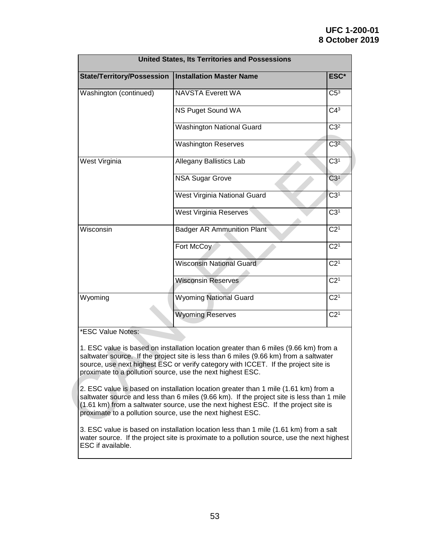| <b>State/Territory/Possession</b>                          | <b>Installation Master Name</b>                                                                                                                                                                                                                                         | ESC*                         |
|------------------------------------------------------------|-------------------------------------------------------------------------------------------------------------------------------------------------------------------------------------------------------------------------------------------------------------------------|------------------------------|
| Washington (continued)                                     | <b>NAVSTA Everett WA</b>                                                                                                                                                                                                                                                | C5 <sup>3</sup>              |
|                                                            | NS Puget Sound WA                                                                                                                                                                                                                                                       | C4 <sup>3</sup>              |
|                                                            | <b>Washington National Guard</b>                                                                                                                                                                                                                                        | C3 <sup>2</sup>              |
|                                                            | <b>Washington Reserves</b>                                                                                                                                                                                                                                              | C3 <sup>2</sup>              |
| West Virginia                                              | Allegany Ballistics Lab                                                                                                                                                                                                                                                 | C3 <sup>1</sup>              |
|                                                            | <b>NSA Sugar Grove</b>                                                                                                                                                                                                                                                  | C3 <sup>1</sup>              |
|                                                            | West Virginia National Guard                                                                                                                                                                                                                                            | C3 <sup>1</sup>              |
|                                                            | West Virginia Reserves                                                                                                                                                                                                                                                  | $\overline{C3}$ <sup>1</sup> |
| Wisconsin                                                  | <b>Badger AR Ammunition Plant</b>                                                                                                                                                                                                                                       | C2 <sup>1</sup>              |
|                                                            | Fort McCoy                                                                                                                                                                                                                                                              | C2 <sup>1</sup>              |
|                                                            | <b>Wisconsin National Guard</b>                                                                                                                                                                                                                                         | $\overline{C2^1}$            |
|                                                            | <b>Wisconsin Reserves</b>                                                                                                                                                                                                                                               | C2 <sup>1</sup>              |
| Wyoming                                                    | <b>Wyoming National Guard</b>                                                                                                                                                                                                                                           | C2 <sup>1</sup>              |
|                                                            | <b>Wyoming Reserves</b>                                                                                                                                                                                                                                                 | $\overline{C2^1}$            |
| *ESC Value Notes:                                          |                                                                                                                                                                                                                                                                         |                              |
| proximate to a pollution source, use the next highest ESC. | 1. ESC value is based on installation location greater than 6 miles (9.66 km) from a<br>saltwater source. If the project site is less than 6 miles (9.66 km) from a saltwater<br>source, use next highest ESC or verify category with ICCET. If the project site is     |                              |
|                                                            | 2. ESC value is based on installation location greater than 1 mile (1.61 km) from a<br>saltwater source and less than 6 miles (9.66 km). If the project site is less than 1 mile<br>(1.61 km) from a saltwater source, use the next highest ESC. If the project site is |                              |

3. ESC value is based on installation location less than 1 mile (1.61 km) from a salt water source. If the project site is proximate to a pollution source, use the next highest ESC if available.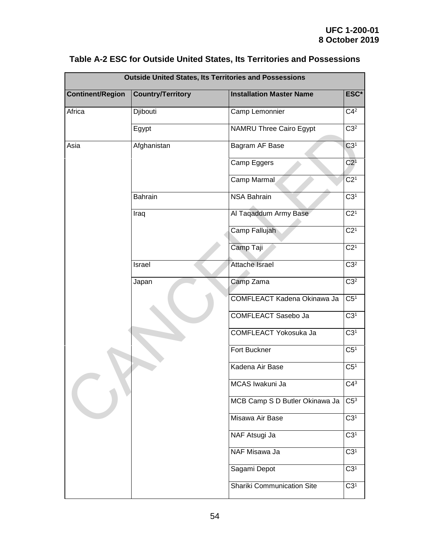| <b>Outside United States, Its Territories and Possessions</b> |                          |                                   |                              |
|---------------------------------------------------------------|--------------------------|-----------------------------------|------------------------------|
| <b>Continent/Region</b>                                       | <b>Country/Territory</b> | <b>Installation Master Name</b>   | ESC*                         |
| Africa                                                        | Djibouti                 | Camp Lemonnier                    | C4 <sup>2</sup>              |
|                                                               | Egypt                    | <b>NAMRU Three Cairo Egypt</b>    | C3 <sup>2</sup>              |
| Asia                                                          | Afghanistan              | Bagram AF Base                    | C3 <sup>1</sup>              |
|                                                               |                          | Camp Eggers                       | C2 <sup>1</sup>              |
|                                                               |                          | Camp Marmal                       | C2 <sup>1</sup>              |
|                                                               | Bahrain                  | <b>NSA Bahrain</b>                | C3 <sup>1</sup>              |
|                                                               | Iraq                     | Al Taqaddum Army Base             | C2 <sup>1</sup>              |
|                                                               |                          | Camp Fallujah                     | $\overline{C2}$ <sup>1</sup> |
|                                                               |                          | Camp Taji                         | C2 <sup>1</sup>              |
|                                                               | Israel                   | Attache Israel                    | C3 <sup>2</sup>              |
|                                                               | Japan                    | Camp Zama                         | C3 <sup>2</sup>              |
|                                                               |                          | COMFLEACT Kadena Okinawa Ja       | C5 <sup>1</sup>              |
|                                                               |                          | COMFLEACT Sasebo Ja               | C3 <sup>1</sup>              |
|                                                               |                          | COMFLEACT Yokosuka Ja             | C3 <sup>1</sup>              |
|                                                               |                          | Fort Buckner                      | C5 <sup>1</sup>              |
|                                                               |                          | Kadena Air Base                   | C5 <sup>1</sup>              |
|                                                               |                          | MCAS Iwakuni Ja                   | C4 <sup>3</sup>              |
|                                                               |                          | MCB Camp S D Butler Okinawa Ja    | C5 <sup>3</sup>              |
|                                                               |                          | Misawa Air Base                   | C3 <sup>1</sup>              |
|                                                               |                          | NAF Atsugi Ja                     | $\overline{C3}$ <sup>1</sup> |
|                                                               |                          | NAF Misawa Ja                     | $\overline{C3}$ <sup>1</sup> |
|                                                               |                          | Sagami Depot                      | $\overline{C3}$ <sup>1</sup> |
|                                                               |                          | <b>Shariki Communication Site</b> | C3 <sup>1</sup>              |

# **Table A-2 ESC for Outside United States, Its Territories and Possessions**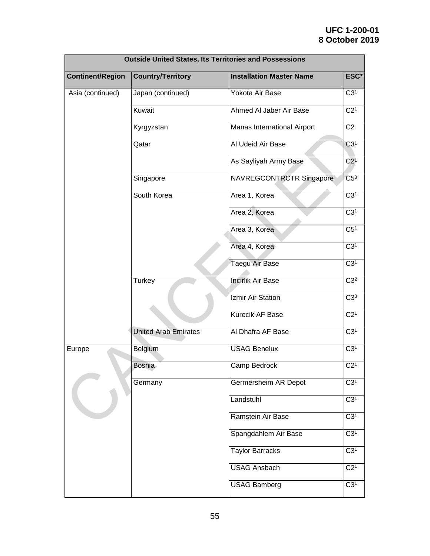| <b>Outside United States, Its Territories and Possessions</b> |                             |                                 |                              |
|---------------------------------------------------------------|-----------------------------|---------------------------------|------------------------------|
| <b>Continent/Region</b>                                       | <b>Country/Territory</b>    | <b>Installation Master Name</b> | ESC*                         |
| Asia (continued)                                              | Japan (continued)           | Yokota Air Base                 | C3 <sup>1</sup>              |
|                                                               | Kuwait                      | Ahmed Al Jaber Air Base         | C2 <sup>1</sup>              |
|                                                               | Kyrgyzstan                  | Manas International Airport     | C <sub>2</sub>               |
|                                                               | Qatar                       | Al Udeid Air Base               | C3 <sup>1</sup>              |
|                                                               |                             | As Sayliyah Army Base           | C2 <sup>1</sup>              |
|                                                               | Singapore                   | NAVREGCONTRCTR Singapore        | C5 <sup>3</sup>              |
|                                                               | South Korea                 | Area 1, Korea                   | C3 <sup>1</sup>              |
|                                                               |                             | Area 2, Korea                   | $\overline{C3}$ <sup>1</sup> |
|                                                               |                             | Area 3, Korea                   | $\overline{\text{C5}^1}$     |
|                                                               |                             | Area 4, Korea                   | C3 <sup>1</sup>              |
|                                                               |                             | Taegu Air Base                  | $\overline{C3}$ <sup>1</sup> |
|                                                               | Turkey                      | <b>Incirlik Air Base</b>        | $\overline{C3^2}$            |
|                                                               |                             | Izmir Air Station               | C3 <sup>3</sup>              |
|                                                               |                             | <b>Kurecik AF Base</b>          | C2 <sup>1</sup>              |
|                                                               | <b>United Arab Emirates</b> | Al Dhafra AF Base               | C3 <sup>1</sup>              |
| Europe                                                        | Belgium                     | <b>USAG Benelux</b>             | C3 <sup>1</sup>              |
|                                                               | <b>Bosnia</b>               | Camp Bedrock                    | C2 <sup>1</sup>              |
|                                                               | Germany                     | Germersheim AR Depot            | C3 <sup>1</sup>              |
|                                                               |                             | Landstuhl                       | C3 <sup>1</sup>              |
|                                                               |                             | Ramstein Air Base               | C3 <sup>1</sup>              |
|                                                               |                             | Spangdahlem Air Base            | C3 <sup>1</sup>              |
|                                                               |                             | <b>Taylor Barracks</b>          | C3 <sup>1</sup>              |
|                                                               |                             | <b>USAG Ansbach</b>             | C2 <sup>1</sup>              |
|                                                               |                             | <b>USAG Bamberg</b>             | C3 <sup>1</sup>              |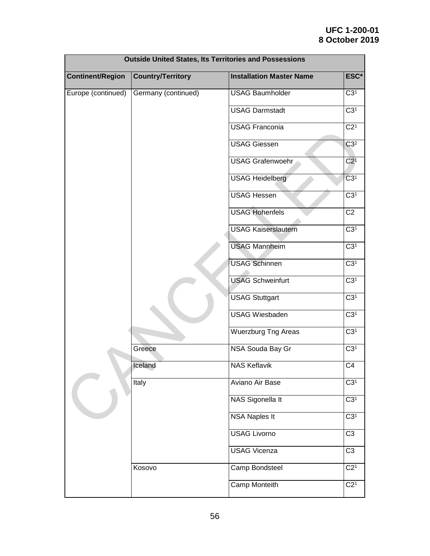| <b>Outside United States, Its Territories and Possessions</b> |                          |                                 |                              |
|---------------------------------------------------------------|--------------------------|---------------------------------|------------------------------|
| <b>Continent/Region</b>                                       | <b>Country/Territory</b> | <b>Installation Master Name</b> | ESC <sup>*</sup>             |
| Europe (continued)                                            | Germany (continued)      | <b>USAG Baumholder</b>          | C3 <sup>1</sup>              |
|                                                               |                          | <b>USAG Darmstadt</b>           | $\overline{C3}$ <sup>1</sup> |
|                                                               |                          | <b>USAG Franconia</b>           | C2 <sup>1</sup>              |
|                                                               |                          | <b>USAG Giessen</b>             | C3 <sup>2</sup>              |
|                                                               |                          | <b>USAG Grafenwoehr</b>         | C2 <sup>1</sup>              |
|                                                               |                          | <b>USAG Heidelberg</b>          | C3 <sup>1</sup>              |
|                                                               |                          | <b>USAG Hessen</b>              | C3 <sup>1</sup>              |
|                                                               |                          | <b>USAG Hohenfels</b>           | C <sub>2</sub>               |
|                                                               |                          | <b>USAG Kaiserslautern</b>      | C3 <sup>1</sup>              |
|                                                               |                          | <b>USAG Mannheim</b>            | C3 <sup>1</sup>              |
|                                                               |                          | <b>USAG Schinnen</b>            | $\overline{C3}$ <sup>1</sup> |
|                                                               |                          | <b>USAG Schweinfurt</b>         | C3 <sup>1</sup>              |
|                                                               |                          | <b>USAG Stuttgart</b>           | C3 <sup>1</sup>              |
|                                                               |                          | <b>USAG Wiesbaden</b>           | $\overline{C3}$ <sup>1</sup> |
|                                                               |                          | <b>Wuerzburg Tng Areas</b>      | $\overline{C3}$ <sup>1</sup> |
|                                                               | Greece                   | NSA Souda Bay Gr                | $\overline{C3}$ <sup>1</sup> |
|                                                               | Iceland                  | <b>NAS Keflavik</b>             | C <sub>4</sub>               |
|                                                               | Italy                    | Aviano Air Base                 | C3 <sup>1</sup>              |
|                                                               |                          | NAS Sigonella It                | C3 <sup>1</sup>              |
|                                                               |                          | <b>NSA Naples It</b>            | $\overline{C3}$ <sup>1</sup> |
|                                                               |                          | <b>USAG Livorno</b>             | C <sub>3</sub>               |
|                                                               |                          | <b>USAG Vicenza</b>             | C <sub>3</sub>               |
|                                                               | Kosovo                   | Camp Bondsteel                  | C2 <sup>1</sup>              |
|                                                               |                          | Camp Monteith                   | C2 <sup>1</sup>              |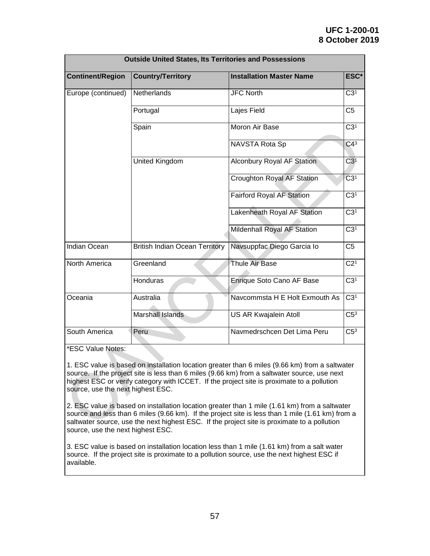| <b>Outside United States, Its Territories and Possessions</b> |                                       |                                                                                                                                                                                                                                                                                                  |                              |
|---------------------------------------------------------------|---------------------------------------|--------------------------------------------------------------------------------------------------------------------------------------------------------------------------------------------------------------------------------------------------------------------------------------------------|------------------------------|
| <b>Continent/Region</b>                                       | <b>Country/Territory</b>              | <b>Installation Master Name</b>                                                                                                                                                                                                                                                                  | ESC*                         |
| Europe (continued)                                            | Netherlands                           | <b>JFC North</b>                                                                                                                                                                                                                                                                                 | C3 <sup>1</sup>              |
|                                                               | Portugal                              | Lajes Field                                                                                                                                                                                                                                                                                      | C <sub>5</sub>               |
|                                                               | Spain                                 | Moron Air Base                                                                                                                                                                                                                                                                                   | C3 <sup>1</sup>              |
|                                                               |                                       | NAVSTA Rota Sp                                                                                                                                                                                                                                                                                   | C <sub>43</sub>              |
|                                                               | United Kingdom                        | <b>Alconbury Royal AF Station</b>                                                                                                                                                                                                                                                                | C3 <sup>1</sup>              |
|                                                               |                                       | Croughton Royal AF Station                                                                                                                                                                                                                                                                       | $\overline{C3}$ <sup>1</sup> |
|                                                               |                                       | Fairford Royal AF Station                                                                                                                                                                                                                                                                        | C3 <sup>1</sup>              |
|                                                               |                                       | Lakenheath Royal AF Station                                                                                                                                                                                                                                                                      | C3 <sup>1</sup>              |
|                                                               |                                       | Mildenhall Royal AF Station                                                                                                                                                                                                                                                                      | C3 <sup>1</sup>              |
| <b>Indian Ocean</b>                                           | <b>British Indian Ocean Territory</b> | Navsuppfac Diego Garcia lo                                                                                                                                                                                                                                                                       | C <sub>5</sub>               |
| North America                                                 | Greenland                             | Thule Air Base                                                                                                                                                                                                                                                                                   | C2 <sup>1</sup>              |
|                                                               | Honduras                              | Enrique Soto Cano AF Base                                                                                                                                                                                                                                                                        | $\overline{C3}$ <sup>1</sup> |
| Oceania                                                       | Australia                             | Navcommsta H E Holt Exmouth As                                                                                                                                                                                                                                                                   | C3 <sup>1</sup>              |
|                                                               | <b>Marshall Islands</b>               | US AR Kwajalein Atoll                                                                                                                                                                                                                                                                            | C5 <sup>3</sup>              |
| South America                                                 | Peru                                  | Navmedrschcen Det Lima Peru                                                                                                                                                                                                                                                                      | C5 <sup>3</sup>              |
| *ESC Value Notes:                                             |                                       |                                                                                                                                                                                                                                                                                                  |                              |
|                                                               |                                       | 1. ESC value is based on installation location greater than 6 miles (9.66 km) from a saltwater<br>source. If the project site is less than 6 miles (9.66 km) from a saltwater source, use next<br>highest ESC or verify category with ICCET. If the project site is proximate to a pollution     |                              |
| source, use the next highest ESC.                             |                                       |                                                                                                                                                                                                                                                                                                  |                              |
|                                                               |                                       | 2. ESC value is based on installation location greater than 1 mile (1.61 km) from a saltwater<br>source and less than 6 miles (9.66 km). If the project site is less than 1 mile (1.61 km) from a<br>saltwater source, use the next highest ESC. If the project site is proximate to a pollution |                              |

2. ESC value is based on installation location greater than 1 mile (1.61 km) from a saltwater source and less than 6 miles (9.66 km). If the project site is less than 1 mile (1.61 km) from a saltwater source, use the next highest ESC. If the project site is proximate to a pollution source, use the next highest ESC.

3. ESC value is based on installation location less than 1 mile (1.61 km) from a salt water source. If the project site is proximate to a pollution source, use the next highest ESC if available.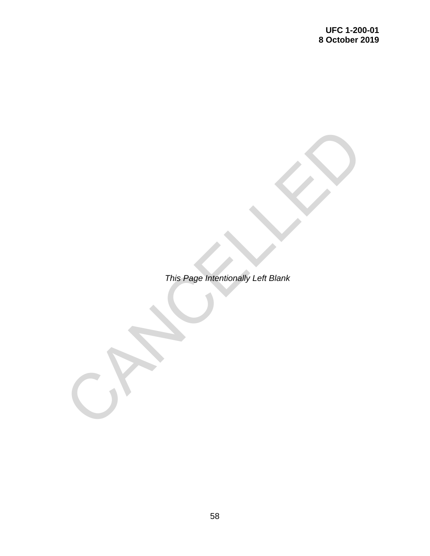*This Page Intentionally Left Blank* This Page Imentionally Left Blank<br>
State of Canada<br>
State of Canada<br>
State of Canada<br>
State of Canada<br>
State of Canada<br>
State of Canada<br>
State of Canada<br>
State of Canada<br>
State of Canada<br>
State of Canada<br>
State of Canada<br>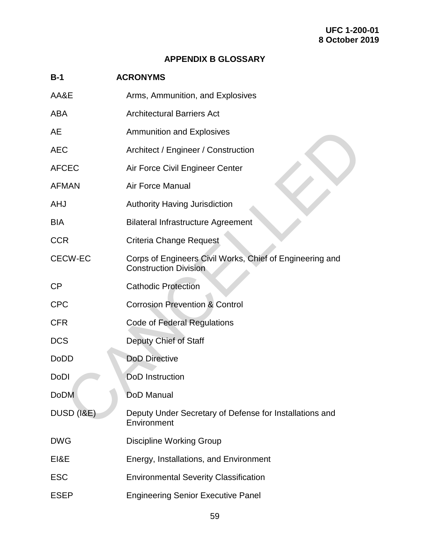# **APPENDIX B GLOSSARY**

## **B-1 ACRONYMS**

| AA&E                  | Arms, Ammunition, and Explosives                                                         |
|-----------------------|------------------------------------------------------------------------------------------|
| <b>ABA</b>            | <b>Architectural Barriers Act</b>                                                        |
| AE                    | <b>Ammunition and Explosives</b>                                                         |
| <b>AEC</b>            | Architect / Engineer / Construction                                                      |
| <b>AFCEC</b>          | Air Force Civil Engineer Center                                                          |
| <b>AFMAN</b>          | <b>Air Force Manual</b>                                                                  |
| <b>AHJ</b>            | <b>Authority Having Jurisdiction</b>                                                     |
| <b>BIA</b>            | <b>Bilateral Infrastructure Agreement</b>                                                |
| <b>CCR</b>            | <b>Criteria Change Request</b>                                                           |
| <b>CECW-EC</b>        | Corps of Engineers Civil Works, Chief of Engineering and<br><b>Construction Division</b> |
| CP                    | <b>Cathodic Protection</b>                                                               |
| <b>CPC</b>            | <b>Corrosion Prevention &amp; Control</b>                                                |
| <b>CFR</b>            | <b>Code of Federal Regulations</b>                                                       |
| <b>DCS</b>            | Deputy Chief of Staff                                                                    |
| <b>DoDD</b>           | <b>DoD Directive</b>                                                                     |
| <b>DoDI</b>           | <b>DoD</b> Instruction                                                                   |
| <b>DoDM</b>           | DoD Manual                                                                               |
| <b>DUSD (1&amp;E)</b> | Deputy Under Secretary of Defense for Installations and<br>Environment                   |
| <b>DWG</b>            | <b>Discipline Working Group</b>                                                          |
| EI&E                  | Energy, Installations, and Environment                                                   |
| <b>ESC</b>            | <b>Environmental Severity Classification</b>                                             |
| <b>ESEP</b>           | <b>Engineering Senior Executive Panel</b>                                                |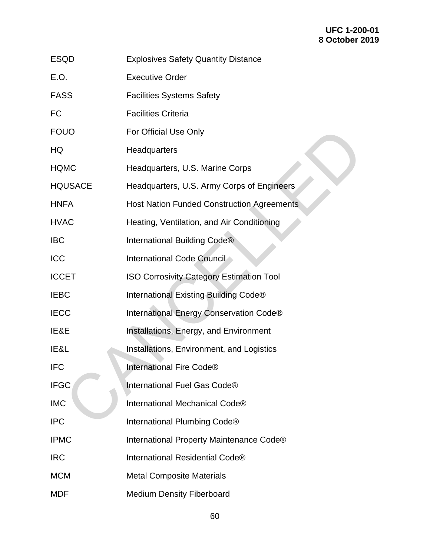- ESQD Explosives Safety Quantity Distance
- E.O. Executive Order
- FASS Facilities Systems Safety
- FC **Facilities Criteria**
- FOUO For Official Use Only
- HQ Headquarters
- HQMC Headquarters, U.S. Marine Corps
- HQUSACE Headquarters, U.S. Army Corps of Engineers
- HNFA Host Nation Funded Construction Agreements UC For Official Use Only<br>
Headquarters<br>
MC Headquarters, U.S. Marine Corps<br>
USACE Headquarters, U.S. Army Corps of Engineers<br>
FA Host Nation Funded Construction Agreements<br>
Heating, Ventilation, and Air Conditioning<br>
Inter
- HVAC Heating, Ventilation, and Air Conditioning
- IBC International Building Code®
- ICC International Code Council
- **ICCET** ISO Corrosivity Category Estimation Tool
- IEBC International Existing Building Code®
- IECC International Energy Conservation Code®
- IE&E Installations, Energy, and Environment
- IE&L Installations, Environment, and Logistics
- **IFC** International Fire Code®
- IFGC International Fuel Gas Code®
- IMC International Mechanical Code®
- IPC International Plumbing Code®
- IPMC International Property Maintenance Code®
- IRC International Residential Code®
- MCM Metal Composite Materials
- MDF Medium Density Fiberboard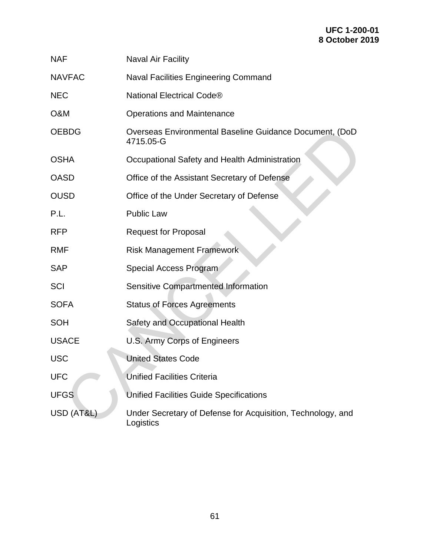| <b>NAF</b>    | <b>Naval Air Facility</b>                                                |
|---------------|--------------------------------------------------------------------------|
| <b>NAVFAC</b> | <b>Naval Facilities Engineering Command</b>                              |
| <b>NEC</b>    | <b>National Electrical Code®</b>                                         |
| O&M           | <b>Operations and Maintenance</b>                                        |
| <b>OEBDG</b>  | Overseas Environmental Baseline Guidance Document, (DoD<br>4715.05-G     |
| <b>OSHA</b>   | Occupational Safety and Health Administration                            |
| <b>OASD</b>   | Office of the Assistant Secretary of Defense                             |
| <b>OUSD</b>   | Office of the Under Secretary of Defense                                 |
| P.L.          | <b>Public Law</b>                                                        |
| <b>RFP</b>    | <b>Request for Proposal</b>                                              |
| <b>RMF</b>    | <b>Risk Management Framework</b>                                         |
| <b>SAP</b>    | <b>Special Access Program</b>                                            |
| SCI           | Sensitive Compartmented Information                                      |
| <b>SOFA</b>   | <b>Status of Forces Agreements</b>                                       |
| <b>SOH</b>    | Safety and Occupational Health                                           |
| <b>USACE</b>  | U.S. Army Corps of Engineers                                             |
| <b>USC</b>    | <b>United States Code</b>                                                |
| <b>UFC</b>    | <b>Unified Facilities Criteria</b>                                       |
| <b>UFGS</b>   | <b>Unified Facilities Guide Specifications</b>                           |
| USD (AT&L)    | Under Secretary of Defense for Acquisition, Technology, and<br>Logistics |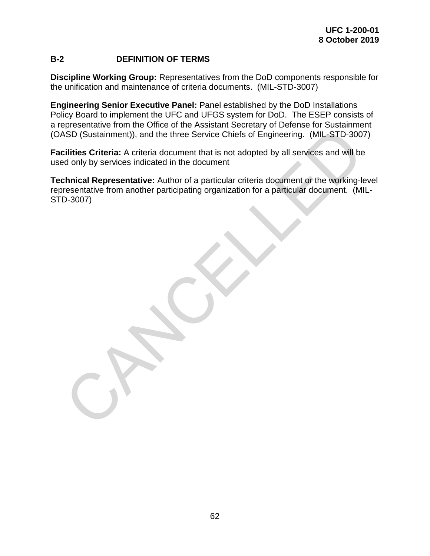### **B-2 DEFINITION OF TERMS**

**Discipline Working Group:** Representatives from the DoD components responsible for the unification and maintenance of criteria documents. (MIL-STD-3007)

**Engineering Senior Executive Panel:** Panel established by the DoD Installations Policy Board to implement the UFC and UFGS system for DoD. The ESEP consists of a representative from the Office of the Assistant Secretary of Defense for Sustainment (OASD (Sustainment)), and the three Service Chiefs of Engineering. (MIL-STD-3007)

**Facilities Criteria:** A criteria document that is not adopted by all services and will be used only by services indicated in the document

**Technical Representative:** Author of a particular criteria document or the working-level representative from another participating organization for a particular document. (MIL-STD-3007) SD (Sustainment)), and the three Service Chiefs of Engineering. (MIL-STD-300)<br>
dilities Criteria: A criteria document that is not adopted by all services and will be<br>
didny by services indicated in the document<br>
thnical Re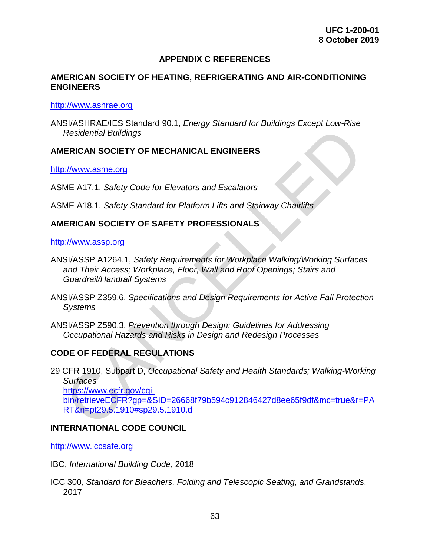## **APPENDIX C REFERENCES**

### **AMERICAN SOCIETY OF HEATING, REFRIGERATING AND AIR-CONDITIONING ENGINEERS**

#### http://www.ashrae.org

ANSI/ASHRAE/IES Standard 90.1, *Energy Standard for Buildings Except Low-Rise Residential Buildings*

### **AMERICAN SOCIETY OF MECHANICAL ENGINEERS**

http://www.asme.org

ASME A17.1, *Safety Code for Elevators and Escalators*

ASME A18.1, *Safety Standard for Platform Lifts and Stairway Chairlifts*

### **AMERICAN SOCIETY OF SAFETY PROFESSIONALS**

#### http://www.assp.org

- ANSI/ASSP A1264.1, *Safety Requirements for Workplace Walking/Working Surfaces and Their Access; Workplace, Floor, Wall and Roof Openings; Stairs and Guardrail/Handrail Systems*
- ANSI/ASSP Z359.6, *Specifications and Design Requirements for Active Fall Protection Systems*
- ANSI/ASSP Z590.3, *Prevention through Design: Guidelines for Addressing Occupational Hazards and Risks in Design and Redesign Processes*

### **CODE OF FEDERAL REGULATIONS**

29 CFR 1910, Subpart D, *Occupational Safety and Health Standards; Walking-Working Surfaces* https://www.ecfr.gov/cgibin/retrieveECFR?gp=&SID=26668f79b594c912846427d8ee65f9df&mc=true&r=PA RT&n=pt29.5.1910#sp29.5.1910.d Residential Buildings<br>
ERICAN SOCIETY OF MECHANICAL ENGINEERS<br>
ERICAN SOCIETY OF MECHANICAL ENGINEERS<br>
SUMMARIASING SCRIPT OF SAFETY PROFESSIONALS<br>
ME A17.1, Safety Standard for Platform Lifts and Stairway Chairlifts<br>
ERIC

### **INTERNATIONAL CODE COUNCIL**

http://www.iccsafe.org

- IBC, *International Building Code*, 2018
- ICC 300, *Standard for Bleachers, Folding and Telescopic Seating, and Grandstands*, 2017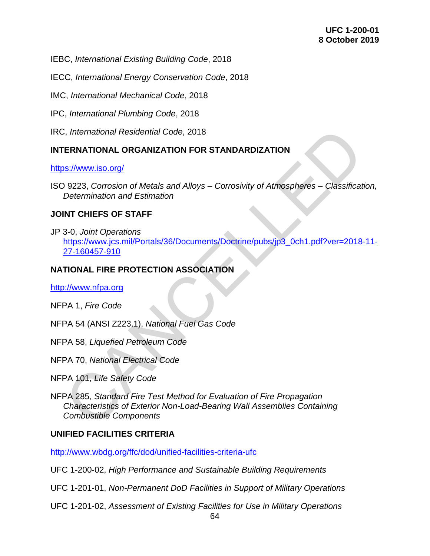- IEBC, *International Existing Building Code*, 2018
- IECC, *International Energy Conservation Code*, 2018
- IMC, *International Mechanical Code*, 2018
- IPC, *International Plumbing Code*, 2018
- IRC, *International Residential Code*, 2018

#### **INTERNATIONAL ORGANIZATION FOR STANDARDIZATION**

https://www.iso.org/

ISO 9223, *Corrosion of Metals and Alloys – Corrosivity of Atmospheres – Classification, Determination and Estimation*

#### **JOINT CHIEFS OF STAFF**

JP 3-0, *Joint Operations* https://www.jcs.mil/Portals/36/Documents/Doctrine/pubs/jp3\_0ch1.pdf?ver=2018-11- 27-160457-910 i, International Residential Code, 2018<br>
ERNATIONAL ORGANIZATION FOR STANDARDIZATION<br>
IS://www.iso.org/<br>
9223, Corrosion of Metals and Alloys – Corrosivity of Atmospheres – Classificat<br>
Determination and Estimation<br>
NT CHI

### **NATIONAL FIRE PROTECTION ASSOCIATION**

http://www.nfpa.org

NFPA 1, *Fire Code*

- NFPA 54 (ANSI Z223.1), *National Fuel Gas Code*
- NFPA 58, *Liquefied Petroleum Code*
- NFPA 70, *National Electrical Code*
- NFPA 101, *Life Safety Code*
- NFPA 285, *Standard Fire Test Method for Evaluation of Fire Propagation Characteristics of Exterior Non-Load-Bearing Wall Assemblies Containing Combustible Components*

### **UNIFIED FACILITIES CRITERIA**

http://www.wbdg.org/ffc/dod/unified-facilities-criteria-ufc

- UFC 1-200-02, *High Performance and Sustainable Building Requirements*
- UFC 1-201-01, *Non-Permanent DoD Facilities in Support of Military Operations*
- UFC 1-201-02, *Assessment of Existing Facilities for Use in Military Operations*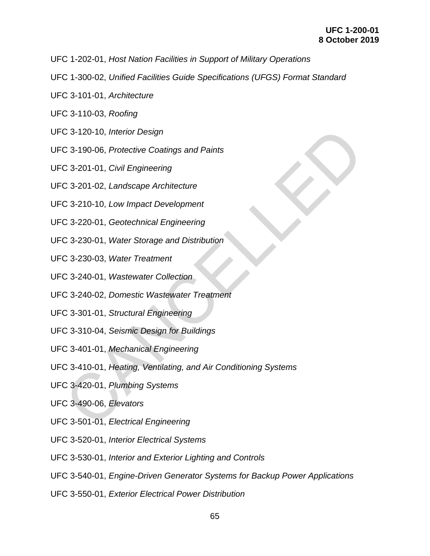- UFC 1-202-01, *Host Nation Facilities in Support of Military Operations*
- UFC 1-300-02, *Unified Facilities Guide Specifications (UFGS) Format Standard*
- UFC 3-101-01, *Architecture*
- UFC 3-110-03, *Roofing*
- UFC 3-120-10, *Interior Design*
- UFC 3-190-06, *Protective Coatings and Paints*
- UFC 3-201-01, *Civil Engineering*
- UFC 3-201-02, *Landscape Architecture*
- UFC 3-210-10, *Low Impact Development*
- UFC 3-220-01, *Geotechnical Engineering*
- UFC 3-230-01, *Water Storage and Distribution*
- UFC 3-230-03, *Water Treatment*
- UFC 3-240-01, *Wastewater Collection*
- UFC 3-240-02, *Domestic Wastewater Treatment*
- UFC 3-301-01, *Structural Engineering*
- UFC 3-310-04, *Seismic Design for Buildings*
- UFC 3-401-01, *Mechanical Engineering*
- UFC 3-410-01, *Heating, Ventilating, and Air Conditioning Systems* C. 3-120-10, Interior Design<br>
C. 3-190-06, Protective Coatings and Paints<br>
C. 3-201-01, Civil Engineering<br>
C. 3-201-02, Landscape Architecture<br>
C. 3-210-10, Low Impact Development<br>
C. 3-210-10, Low Impact Development<br>
C. 3
- UFC 3-420-01, *Plumbing Systems*
- UFC 3-490-06, *Elevators*
- UFC 3-501-01, *Electrical Engineering*
- UFC 3-520-01, *Interior Electrical Systems*
- UFC 3-530-01, *Interior and Exterior Lighting and Controls*
- UFC 3-540-01, *Engine-Driven Generator Systems for Backup Power Applications*
- UFC 3-550-01, *Exterior Electrical Power Distribution*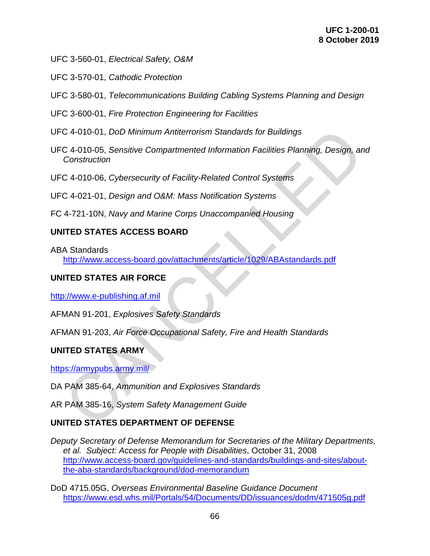UFC 3-560-01, *Electrical Safety, O&M*

UFC 3-570-01, *Cathodic Protection*

UFC 3-580-01, *Telecommunications Building Cabling Systems Planning and Design*

UFC 3-600-01, *Fire Protection Engineering for Facilities*

UFC 4-010-01, *DoD Minimum Antiterrorism Standards for Buildings*

UFC 4-010-05, *Sensitive Compartmented Information Facilities Planning, Design, and Construction* C 4-010-01, *DoD Minimum Antiterrorism Standards for Buildings*<br>
C 4-010-05, Sensitive Compartmented Information Facilities Planning, Design, ar<br>
Construction<br>
C 4-010-06, Cybersecurity of Facility-Related Control Systems<br>

UFC 4-010-06, *Cybersecurity of Facility-Related Control Systems*

UFC 4-021-01, *Design and O&M: Mass Notification Systems*

FC 4-721-10N, *Navy and Marine Corps Unaccompanied Housing*

## **UNITED STATES ACCESS BOARD**

ABA Standards

http://www.access-board.gov/attachments/article/1029/ABAstandards.pdf

### **UNITED STATES AIR FORCE**

http://www.e-publishing.af.mil

AFMAN 91-201, *Explosives Safety Standards*

AFMAN 91-203, *Air Force Occupational Safety, Fire and Health Standards*

## **UNITED STATES ARMY**

https://armypubs.army.mil/

DA PAM 385-64, *Ammunition and Explosives Standards*

AR PAM 385-16, *System Safety Management Guide*

## **UNITED STATES DEPARTMENT OF DEFENSE**

*Deputy Secretary of Defense Memorandum for Secretaries of the Military Departments, et al. Subject: Access for People with Disabilities*, October 31, 2008 http://www.access-board.gov/guidelines-and-standards/buildings-and-sites/aboutthe-aba-standards/background/dod-memorandum

DoD 4715.05G, *Overseas Environmental Baseline Guidance Document* https://www.esd.whs.mil/Portals/54/Documents/DD/issuances/dodm/471505g.pdf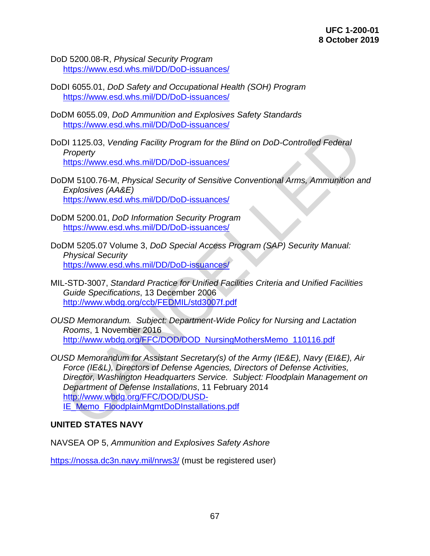DoD 5200.08-R, *Physical Security Program* https://www.esd.whs.mil/DD/DoD-issuances/

DoDI 6055.01, *DoD Safety and Occupational Health (SOH) Program* https://www.esd.whs.mil/DD/DoD-issuances/

- DoDM 6055.09, *DoD Ammunition and Explosives Safety Standards* https://www.esd.whs.mil/DD/DoD-issuances/
- DoDI 1125.03, *Vending Facility Program for the Blind on DoD-Controlled Federal Property* https://www.esd.whs.mil/DD/DoD-issuances/

DoDM 5100.76-M, *Physical Security of Sensitive Conventional Arms, Ammunition and Explosives (AA&E)* https://www.esd.whs.mil/DD/DoD-issuances/

DoDM 5200.01, *DoD Information Security Program* https://www.esd.whs.mil/DD/DoD-issuances/

DoDM 5205.07 Volume 3, *DoD Special Access Program (SAP) Security Manual: Physical Security* https://www.esd.whs.mil/DD/DoD-issuances/

- MIL-STD-3007, *Standard Practice for Unified Facilities Criteria and Unified Facilities Guide Specifications*, 13 December 2006 http://www.wbdg.org/ccb/FEDMIL/std3007f.pdf
- *OUSD Memorandum. Subject: Department-Wide Policy for Nursing and Lactation Rooms*, 1 November 2016 http://www.wbdg.org/FFC/DOD/DOD\_NursingMothersMemo\_110116.pdf

*OUSD Memorandum for Assistant Secretary(s) of the Army (IE&E), Navy (EI&E), Air Force (IE&L), Directors of Defense Agencies, Directors of Defense Activities, Director, Washington Headquarters Service. Subject: Floodplain Management on Department of Defense Installations*, 11 February 2014 http://www.wbdg.org/FFC/DOD/DUSD-IE\_Memo\_FloodplainMgmtDoDInstallations.pdf DI 1125.03, Vending Facility Program for the Blind on DoD-Controlled Federal<br>Property<br>Property<br>Https://www.esd.whs.mil/DD/DoD-issuances/<br>NM 5100.76-M. Physical Security of Sensitive Conventional Arms, Ammunition at<br>Explosi

## **UNITED STATES NAVY**

NAVSEA OP 5, *Ammunition and Explosives Safety Ashore*

https://nossa.dc3n.navy.mil/nrws3/ (must be registered user)